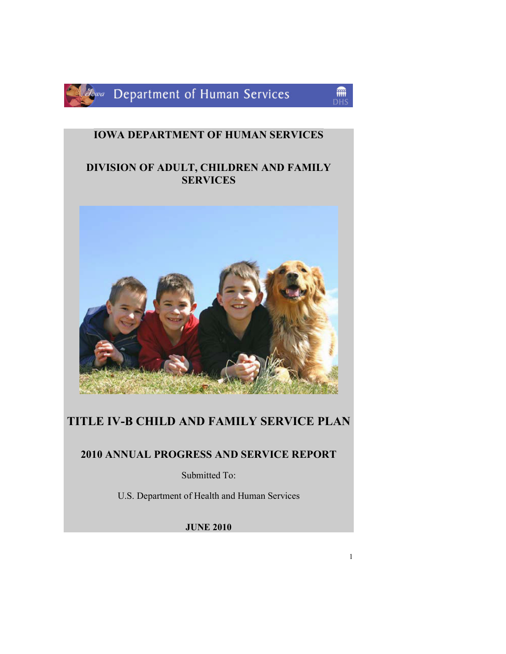

lowa Department of Human Services

### IOWA DEPARTMENT OF HUMAN SERVICES

### DIVISION OF ADULT, CHILDREN AND FAMILY **SERVICES**



### TITLE IV-B CHILD AND FAMILY SERVICE PLAN

### 2010 ANNUAL PROGRESS AND SERVICE REPORT

Submitted To:

U.S. Department of Health and Human Services

JUNE 2010

龠 DHS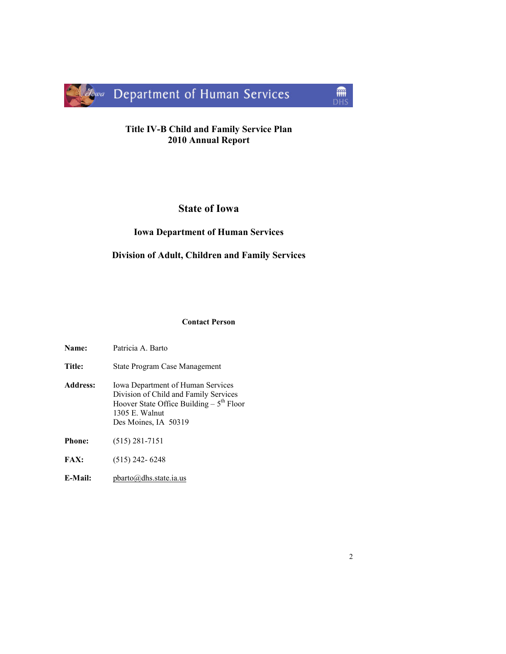

### Title IV-B Child and Family Service Plan 2010 Annual Report

### State of Iowa

### Iowa Department of Human Services

### Division of Adult, Children and Family Services

#### Contact Person

| Name:           | Patricia A. Barto                                                                                                                                                           |
|-----------------|-----------------------------------------------------------------------------------------------------------------------------------------------------------------------------|
| <b>Title:</b>   | State Program Case Management                                                                                                                                               |
| <b>Address:</b> | <b>Iowa Department of Human Services</b><br>Division of Child and Family Services<br>Hoover State Office Building $-5^{th}$ Floor<br>1305 E. Walnut<br>Des Moines, IA 50319 |
| <b>Phone:</b>   | $(515)$ 281-7151                                                                                                                                                            |
| <b>FAX:</b>     | $(515)$ 242-6248                                                                                                                                                            |
| E-Mail:         | $\text{pbarto}(a)$ dhs.state.ia.us                                                                                                                                          |

 $\frac{1}{\text{DHS}}$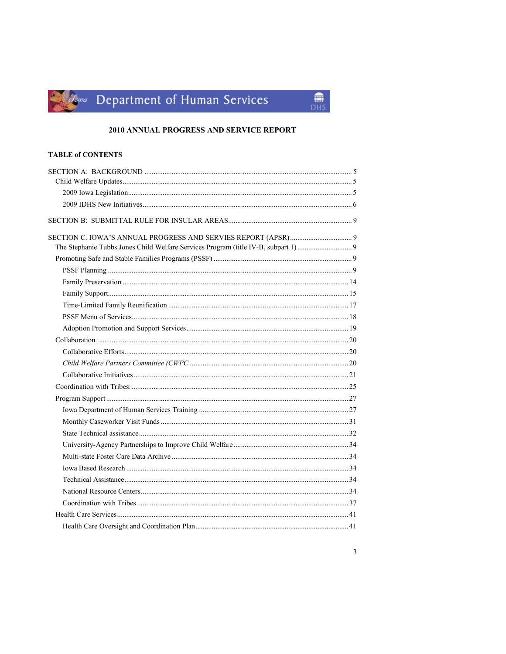# Jowa Department of Human Services

### 2010 ANNUAL PROGRESS AND SERVICE REPORT

 $\begin{array}{c}\n\hline\n\text{min} \\
\text{DHS}\n\end{array}$ 

#### **TABLE of CONTENTS**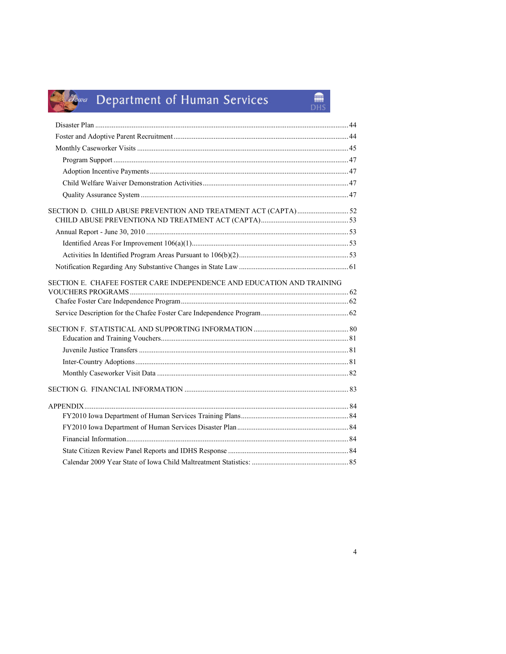# Jowa Department of Human Services

| SECTION E. CHAFEE FOSTER CARE INDEPENDENCE AND EDUCATION AND TRAINING |  |
|-----------------------------------------------------------------------|--|
|                                                                       |  |
|                                                                       |  |
|                                                                       |  |
|                                                                       |  |
|                                                                       |  |
|                                                                       |  |
|                                                                       |  |
|                                                                       |  |
|                                                                       |  |
|                                                                       |  |
|                                                                       |  |
|                                                                       |  |
|                                                                       |  |
|                                                                       |  |
|                                                                       |  |

 $\binom{2}{\text{DHS}}$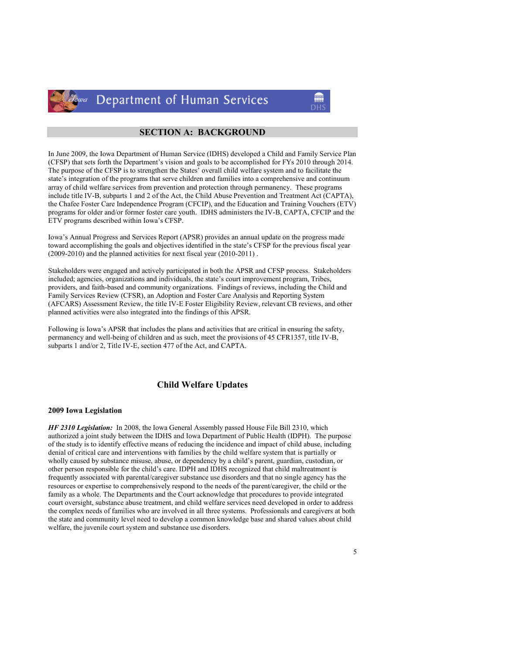

Department of Human Services

#### SECTION A: BACKGROUND

In June 2009, the Iowa Department of Human Service (IDHS) developed a Child and Family Service Plan (CFSP) that sets forth the Department's vision and goals to be accomplished for FYs 2010 through 2014. The purpose of the CFSP is to strengthen the States' overall child welfare system and to facilitate the state's integration of the programs that serve children and families into a comprehensive and continuum array of child welfare services from prevention and protection through permanency. These programs include title IV-B, subparts 1 and 2 of the Act, the Child Abuse Prevention and Treatment Act (CAPTA), the Chafee Foster Care Independence Program (CFCIP), and the Education and Training Vouchers (ETV) programs for older and/or former foster care youth. IDHS administers the IV-B, CAPTA, CFCIP and the ETV programs described within Iowa's CFSP.

Iowa's Annual Progress and Services Report (APSR) provides an annual update on the progress made toward accomplishing the goals and objectives identified in the state's CFSP for the previous fiscal year (2009-2010) and the planned activities for next fiscal year (2010-2011) .

Stakeholders were engaged and actively participated in both the APSR and CFSP process. Stakeholders included; agencies, organizations and individuals, the state's court improvement program, Tribes, providers, and faith-based and community organizations. Findings of reviews, including the Child and Family Services Review (CFSR), an Adoption and Foster Care Analysis and Reporting System (AFCARS) Assessment Review, the title IV-E Foster Eligibility Review, relevant CB reviews, and other planned activities were also integrated into the findings of this APSR.

Following is Iowa's APSR that includes the plans and activities that are critical in ensuring the safety, permanency and well-being of children and as such, meet the provisions of 45 CFR1357, title IV-B, subparts 1 and/or 2, Title IV-E, section 477 of the Act, and CAPTA.

#### Child Welfare Updates

#### 2009 Iowa Legislation

HF 2310 Legislation: In 2008, the Iowa General Assembly passed House File Bill 2310, which authorized a joint study between the IDHS and Iowa Department of Public Health (IDPH). The purpose of the study is to identify effective means of reducing the incidence and impact of child abuse, including denial of critical care and interventions with families by the child welfare system that is partially or wholly caused by substance misuse, abuse, or dependency by a child's parent, guardian, custodian, or other person responsible for the child's care. IDPH and IDHS recognized that child maltreatment is frequently associated with parental/caregiver substance use disorders and that no single agency has the resources or expertise to comprehensively respond to the needs of the parent/caregiver, the child or the family as a whole. The Departments and the Court acknowledge that procedures to provide integrated court oversight, substance abuse treatment, and child welfare services need developed in order to address the complex needs of families who are involved in all three systems. Professionals and caregivers at both the state and community level need to develop a common knowledge base and shared values about child welfare, the juvenile court system and substance use disorders.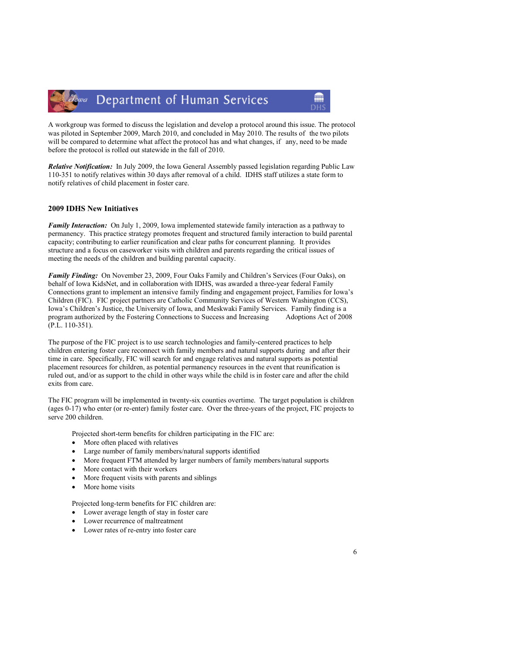#### Department of Human Services lowa

A workgroup was formed to discuss the legislation and develop a protocol around this issue. The protocol was piloted in September 2009, March 2010, and concluded in May 2010. The results of the two pilots will be compared to determine what affect the protocol has and what changes, if any, need to be made before the protocol is rolled out statewide in the fall of 2010.

Relative Notification: In July 2009, the Iowa General Assembly passed legislation regarding Public Law 110-351 to notify relatives within 30 days after removal of a child. IDHS staff utilizes a state form to notify relatives of child placement in foster care.

#### 2009 IDHS New Initiatives

Family Interaction: On July 1, 2009, Iowa implemented statewide family interaction as a pathway to permanency. This practice strategy promotes frequent and structured family interaction to build parental capacity; contributing to earlier reunification and clear paths for concurrent planning. It provides structure and a focus on caseworker visits with children and parents regarding the critical issues of meeting the needs of the children and building parental capacity.

Family Finding: On November 23, 2009, Four Oaks Family and Children's Services (Four Oaks), on behalf of Iowa KidsNet, and in collaboration with IDHS, was awarded a three-year federal Family Connections grant to implement an intensive family finding and engagement project, Families for Iowa's Children (FIC). FIC project partners are Catholic Community Services of Western Washington (CCS), Iowa's Children's Justice, the University of Iowa, and Meskwaki Family Services. Family finding is a program authorized by the Fostering Connections to Success and Increasing Adoptions Act of 2008 (P.L. 110-351).

The purpose of the FIC project is to use search technologies and family-centered practices to help children entering foster care reconnect with family members and natural supports during and after their time in care. Specifically, FIC will search for and engage relatives and natural supports as potential placement resources for children, as potential permanency resources in the event that reunification is ruled out, and/or as support to the child in other ways while the child is in foster care and after the child exits from care.

The FIC program will be implemented in twenty-six counties overtime. The target population is children (ages 0-17) who enter (or re-enter) family foster care. Over the three-years of the project, FIC projects to serve 200 children.

Projected short-term benefits for children participating in the FIC are:

- More often placed with relatives
- Large number of family members/natural supports identified
- More frequent FTM attended by larger numbers of family members/natural supports
- More contact with their workers
- More frequent visits with parents and siblings
- More home visits

Projected long-term benefits for FIC children are:

- Lower average length of stay in foster care
- Lower recurrence of maltreatment
- Lower rates of re-entry into foster care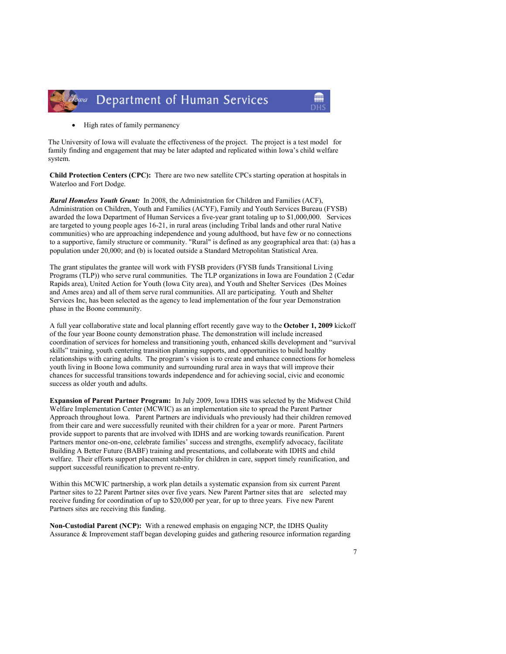

• High rates of family permanency

The University of Iowa will evaluate the effectiveness of the project. The project is a test model for family finding and engagement that may be later adapted and replicated within Iowa's child welfare system.

Child Protection Centers (CPC): There are two new satellite CPCs starting operation at hospitals in Waterloo and Fort Dodge.

Rural Homeless Youth Grant: In 2008, the Administration for Children and Families (ACF), Administration on Children, Youth and Families (ACYF), Family and Youth Services Bureau (FYSB) awarded the Iowa Department of Human Services a five-year grant totaling up to \$1,000,000. Services are targeted to young people ages 16-21, in rural areas (including Tribal lands and other rural Native communities) who are approaching independence and young adulthood, but have few or no connections to a supportive, family structure or community. "Rural" is defined as any geographical area that: (a) has a population under 20,000; and (b) is located outside a Standard Metropolitan Statistical Area.

The grant stipulates the grantee will work with FYSB providers (FYSB funds Transitional Living Programs (TLP)) who serve rural communities. The TLP organizations in Iowa are Foundation 2 (Cedar Rapids area), United Action for Youth (Iowa City area), and Youth and Shelter Services (Des Moines and Ames area) and all of them serve rural communities. All are participating. Youth and Shelter Services Inc, has been selected as the agency to lead implementation of the four year Demonstration phase in the Boone community.

A full year collaborative state and local planning effort recently gave way to the October 1, 2009 kickoff of the four year Boone county demonstration phase. The demonstration will include increased coordination of services for homeless and transitioning youth, enhanced skills development and "survival skills" training, youth centering transition planning supports, and opportunities to build healthy relationships with caring adults. The program's vision is to create and enhance connections for homeless youth living in Boone Iowa community and surrounding rural area in ways that will improve their chances for successful transitions towards independence and for achieving social, civic and economic success as older youth and adults.

Expansion of Parent Partner Program: In July 2009, Iowa IDHS was selected by the Midwest Child Welfare Implementation Center (MCWIC) as an implementation site to spread the Parent Partner Approach throughout Iowa. Parent Partners are individuals who previously had their children removed from their care and were successfully reunited with their children for a year or more. Parent Partners provide support to parents that are involved with IDHS and are working towards reunification. Parent Partners mentor one-on-one, celebrate families' success and strengths, exemplify advocacy, facilitate Building A Better Future (BABF) training and presentations, and collaborate with IDHS and child welfare. Their efforts support placement stability for children in care, support timely reunification, and support successful reunification to prevent re-entry.

Within this MCWIC partnership, a work plan details a systematic expansion from six current Parent Partner sites to 22 Parent Partner sites over five years. New Parent Partner sites that are selected may receive funding for coordination of up to \$20,000 per year, for up to three years. Five new Parent Partners sites are receiving this funding.

Non-Custodial Parent (NCP): With a renewed emphasis on engaging NCP, the IDHS Quality Assurance & Improvement staff began developing guides and gathering resource information regarding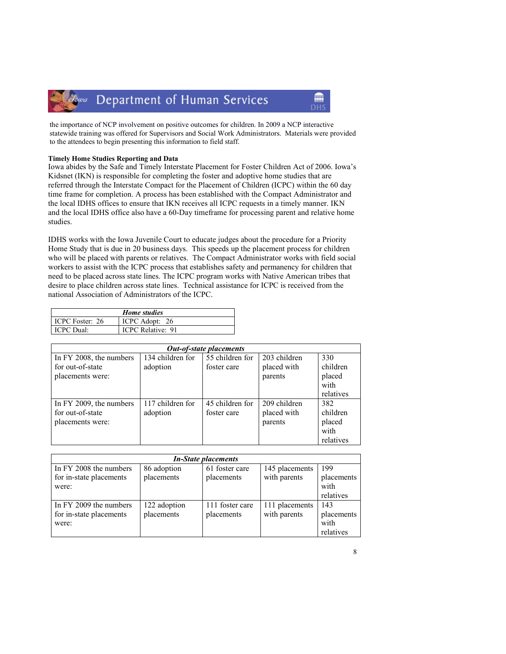#### Department of Human Services Towa

the importance of NCP involvement on positive outcomes for children. In 2009 a NCP interactive statewide training was offered for Supervisors and Social Work Administrators. Materials were provided to the attendees to begin presenting this information to field staff.

m

#### Timely Home Studies Reporting and Data

Iowa abides by the Safe and Timely Interstate Placement for Foster Children Act of 2006. Iowa's Kidsnet (IKN) is responsible for completing the foster and adoptive home studies that are referred through the Interstate Compact for the Placement of Children (ICPC) within the 60 day time frame for completion. A process has been established with the Compact Administrator and the local IDHS offices to ensure that IKN receives all ICPC requests in a timely manner. IKN and the local IDHS office also have a 60-Day timeframe for processing parent and relative home studies.

IDHS works with the Iowa Juvenile Court to educate judges about the procedure for a Priority Home Study that is due in 20 business days. This speeds up the placement process for children who will be placed with parents or relatives. The Compact Administrator works with field social workers to assist with the ICPC process that establishes safety and permanency for children that need to be placed across state lines. The ICPC program works with Native American tribes that desire to place children across state lines. Technical assistance for ICPC is received from the national Association of Administrators of the ICPC.

| <b>Home</b> studies |                          |  |  |  |
|---------------------|--------------------------|--|--|--|
| ICPC Foster: 26     | ICPC Adopt: 26           |  |  |  |
| ICPC Dual:          | <b>ICPC Relative: 91</b> |  |  |  |

| <b>Out-of-state placements</b> |                  |                 |              |           |  |  |  |
|--------------------------------|------------------|-----------------|--------------|-----------|--|--|--|
| In FY 2008, the numbers        | 134 children for | 55 children for | 203 children | 330       |  |  |  |
| for out-of-state               | adoption         | foster care     | placed with  | children  |  |  |  |
| placements were:               |                  |                 | parents      | placed    |  |  |  |
|                                |                  |                 |              | with      |  |  |  |
|                                |                  |                 |              | relatives |  |  |  |
| In FY 2009, the numbers        | 117 children for | 45 children for | 209 children | 382       |  |  |  |
| for out-of-state               | adoption         | foster care     | placed with  | children  |  |  |  |
| placements were:               |                  |                 | parents      | placed    |  |  |  |
|                                |                  |                 |              | with      |  |  |  |
|                                |                  |                 |              | relatives |  |  |  |

| <b>In-State placements</b> |              |                 |                |            |  |  |
|----------------------------|--------------|-----------------|----------------|------------|--|--|
| In FY 2008 the numbers     | 86 adoption  | 61 foster care  | 145 placements | 199        |  |  |
| for in-state placements    | placements   | placements      | with parents   | placements |  |  |
| were:                      |              |                 |                | with       |  |  |
|                            |              |                 |                | relatives  |  |  |
| In FY 2009 the numbers     | 122 adoption | 111 foster care | 111 placements | 143        |  |  |
| for in-state placements    | placements   | placements      | with parents   | placements |  |  |
| were:                      |              |                 |                | with       |  |  |
|                            |              |                 |                | relatives  |  |  |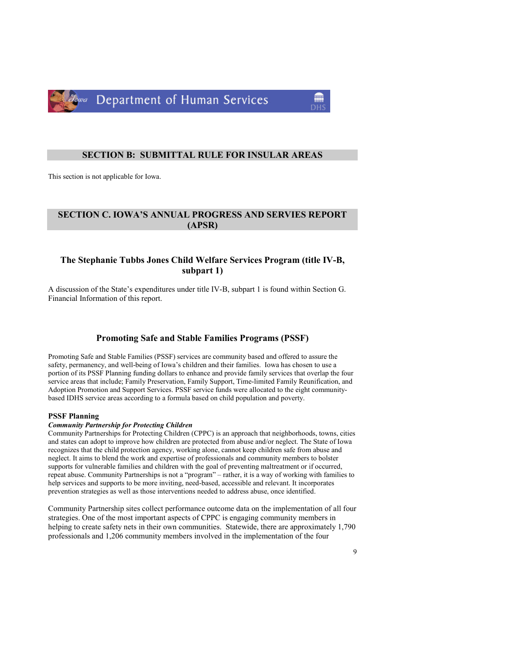

#### SECTION B: SUBMITTAL RULE FOR INSULAR AREAS

This section is not applicable for Iowa.

#### SECTION C. IOWA'S ANNUAL PROGRESS AND SERVIES REPORT (APSR)

#### The Stephanie Tubbs Jones Child Welfare Services Program (title IV-B, subpart 1)

A discussion of the State's expenditures under title IV-B, subpart 1 is found within Section G. Financial Information of this report.

#### Promoting Safe and Stable Families Programs (PSSF)

Promoting Safe and Stable Families (PSSF) services are community based and offered to assure the safety, permanency, and well-being of Iowa's children and their families. Iowa has chosen to use a portion of its PSSF Planning funding dollars to enhance and provide family services that overlap the four service areas that include; Family Preservation, Family Support, Time-limited Family Reunification, and Adoption Promotion and Support Services. PSSF service funds were allocated to the eight communitybased IDHS service areas according to a formula based on child population and poverty.

#### PSSF Planning

#### Community Partnership for Protecting Children

Community Partnerships for Protecting Children (CPPC) is an approach that neighborhoods, towns, cities and states can adopt to improve how children are protected from abuse and/or neglect. The State of Iowa recognizes that the child protection agency, working alone, cannot keep children safe from abuse and neglect. It aims to blend the work and expertise of professionals and community members to bolster supports for vulnerable families and children with the goal of preventing maltreatment or if occurred, repeat abuse. Community Partnerships is not a "program" – rather, it is a way of working with families to help services and supports to be more inviting, need-based, accessible and relevant. It incorporates prevention strategies as well as those interventions needed to address abuse, once identified.

Community Partnership sites collect performance outcome data on the implementation of all four strategies. One of the most important aspects of CPPC is engaging community members in helping to create safety nets in their own communities. Statewide, there are approximately 1,790 professionals and 1,206 community members involved in the implementation of the four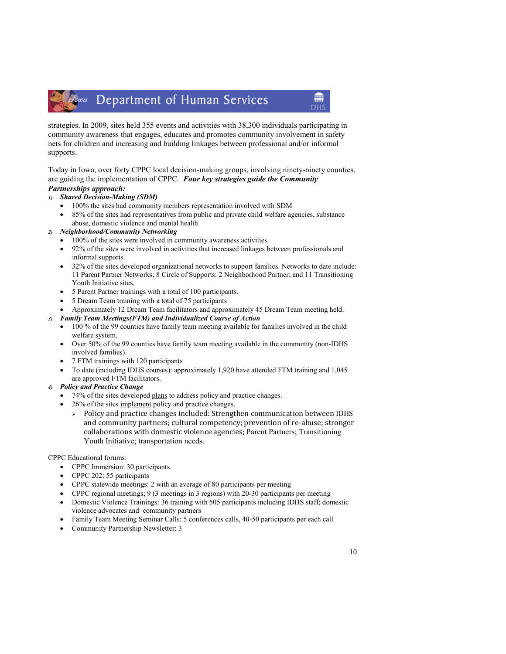### Zowa Department of Human Services

strategies. In 2009, sites held 355 events and activities with 38,300 individuals participating in community awareness that engages, educates and promotes community involvement in safety nets for children and increasing and building linkages between professional and/or informal supports.

Today in Iowa, over forty CPPC local decision-making groups, involving ninety-ninety counties, are guiding the implementation of CPPC. Four key strategies guide the Community Partnerships approach:

- 1) Shared Decision-Making (SDM)
	- 100% the sites had community members representation involved with SDM
	- 85% of the sites had representatives from public and private child welfare agencies, substance abuse, domestic violence and mental health

#### 2) Neighborhood/Community Networking

- 100% of the sites were involved in community awareness activities.
- 92% of the sites were involved in activities that increased linkages between professionals and informal supports.
- 32% of the sites developed organizational networks to support families. Networks to date include: 11 Parent Partner Networks; 8 Circle of Supports; 2 Neighborhood Partner; and 11 Transitioning Youth Initiative sites.
- 5 Parent Partner trainings with a total of 100 participants.
- 5 Dream Team training with a total of 75 participants
- Approximately 12 Dream Team facilitators and approximately 45 Dream Team meeting held.

#### 3) Family Team Meetings(FTM) and Individualized Course of Action

- 100 % of the 99 counties have family team meeting available for families involved in the child welfare system.
- Over 50% of the 99 counties have family team meeting available in the community (non-IDHS involved families).
- 7 FTM trainings with 120 participants
- To date (including IDHS courses): approximately 1,920 have attended FTM training and 1,045 are approved FTM facilitators.

#### 4) Policy and Practice Change

- 74% of the sites developed plans to address policy and practice changes.
- 26% of the sites implement policy and practice changes.
	- > Policy and practice changes included: Strengthen communication between IDHS and community partners; cultural competency; prevention of re-abuse; stronger collaborations with domestic violence agencies; Parent Partners; Transitioning Youth Initiative; transportation needs.

#### CPPC Educational forums:

- CPPC Immersion: 30 participants
- CPPC 202: 55 participants
- CPPC statewide meetings: 2 with an average of 80 participants per meeting
- CPPC regional meetings; 9 (3 meetings in 3 regions) with 20-30 participants per meeting
- Domestic Violence Trainings: 36 training with 505 participants including IDHS staff; domestic violence advocates and community partners
- Family Team Meeting Seminar Calls: 5 conferences calls, 40-50 participants per each call
- Community Partnership Newsletter: 3

**ANTI**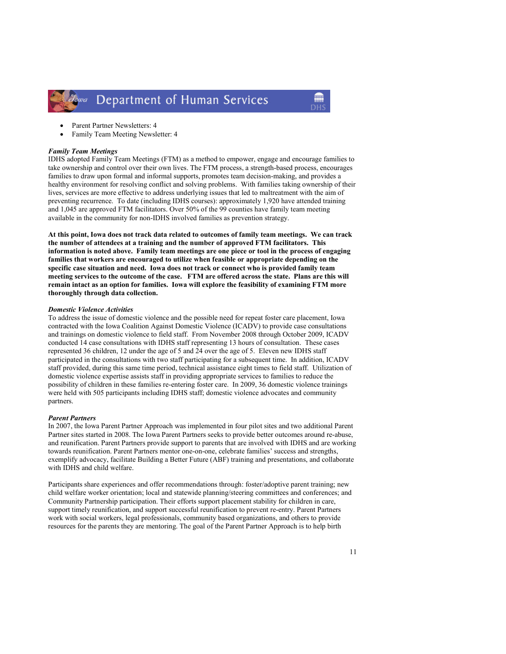

- Parent Partner Newsletters: 4
- Family Team Meeting Newsletter: 4

#### Family Team Meetings

IDHS adopted Family Team Meetings (FTM) as a method to empower, engage and encourage families to take ownership and control over their own lives. The FTM process, a strength-based process, encourages families to draw upon formal and informal supports, promotes team decision-making, and provides a healthy environment for resolving conflict and solving problems. With families taking ownership of their lives, services are more effective to address underlying issues that led to maltreatment with the aim of preventing recurrence. To date (including IDHS courses): approximately 1,920 have attended training and 1,045 are approved FTM facilitators. Over 50% of the 99 counties have family team meeting available in the community for non-IDHS involved families as prevention strategy.

At this point, Iowa does not track data related to outcomes of family team meetings. We can track the number of attendees at a training and the number of approved FTM facilitators. This information is noted above. Family team meetings are one piece or tool in the process of engaging families that workers are encouraged to utilize when feasible or appropriate depending on the specific case situation and need. Iowa does not track or connect who is provided family team meeting services to the outcome of the case. FTM are offered across the state. Plans are this will remain intact as an option for families. Iowa will explore the feasibility of examining FTM more thoroughly through data collection.

#### Domestic Violence Activities

To address the issue of domestic violence and the possible need for repeat foster care placement, Iowa contracted with the Iowa Coalition Against Domestic Violence (ICADV) to provide case consultations and trainings on domestic violence to field staff. From November 2008 through October 2009, ICADV conducted 14 case consultations with IDHS staff representing 13 hours of consultation. These cases represented 36 children, 12 under the age of 5 and 24 over the age of 5. Eleven new IDHS staff participated in the consultations with two staff participating for a subsequent time. In addition, ICADV staff provided, during this same time period, technical assistance eight times to field staff. Utilization of domestic violence expertise assists staff in providing appropriate services to families to reduce the possibility of children in these families re-entering foster care. In 2009, 36 domestic violence trainings were held with 505 participants including IDHS staff; domestic violence advocates and community partners.

#### Parent Partners

In 2007, the Iowa Parent Partner Approach was implemented in four pilot sites and two additional Parent Partner sites started in 2008. The Iowa Parent Partners seeks to provide better outcomes around re-abuse, and reunification. Parent Partners provide support to parents that are involved with IDHS and are working towards reunification. Parent Partners mentor one-on-one, celebrate families' success and strengths, exemplify advocacy, facilitate Building a Better Future (ABF) training and presentations, and collaborate with IDHS and child welfare.

Participants share experiences and offer recommendations through: foster/adoptive parent training; new child welfare worker orientation; local and statewide planning/steering committees and conferences; and Community Partnership participation. Their efforts support placement stability for children in care, support timely reunification, and support successful reunification to prevent re-entry. Parent Partners work with social workers, legal professionals, community based organizations, and others to provide resources for the parents they are mentoring. The goal of the Parent Partner Approach is to help birth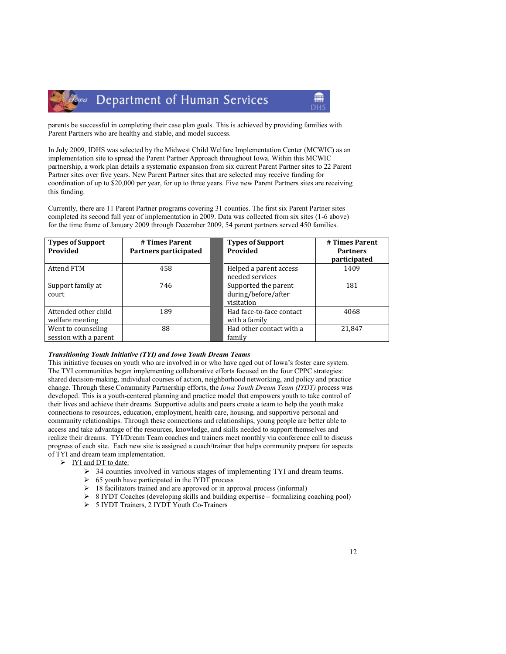

parents be successful in completing their case plan goals. This is achieved by providing families with Parent Partners who are healthy and stable, and model success.

In July 2009, IDHS was selected by the Midwest Child Welfare Implementation Center (MCWIC) as an implementation site to spread the Parent Partner Approach throughout Iowa. Within this MCWIC partnership, a work plan details a systematic expansion from six current Parent Partner sites to 22 Parent Partner sites over five years. New Parent Partner sites that are selected may receive funding for coordination of up to \$20,000 per year, for up to three years. Five new Parent Partners sites are receiving this funding.

Currently, there are 11 Parent Partner programs covering 31 counties. The first six Parent Partner sites completed its second full year of implementation in 2009. Data was collected from six sites (1-6 above) for the time frame of January 2009 through December 2009, 54 parent partners served 450 families.

| <b>Types of Support</b><br>Provided         | # Times Parent<br>Partners participated | <b>Types of Support</b><br>Provided                       | # Times Parent<br><b>Partners</b><br>participated |
|---------------------------------------------|-----------------------------------------|-----------------------------------------------------------|---------------------------------------------------|
| Attend FTM                                  | 458                                     | Helped a parent access<br>needed services                 | 1409                                              |
| Support family at<br>court                  | 746                                     | Supported the parent<br>during/before/after<br>visitation | 181                                               |
| Attended other child<br>welfare meeting     | 189                                     | Had face-to-face contact<br>with a family                 | 4068                                              |
| Went to counseling<br>session with a parent | 88                                      | Had other contact with a<br>family                        | 21.847                                            |

#### Transitioning Youth Initiative (TYI) and Iowa Youth Dream Teams

This initiative focuses on youth who are involved in or who have aged out of Iowa's foster care system. The TYI communities began implementing collaborative efforts focused on the four CPPC strategies: shared decision-making, individual courses of action, neighborhood networking, and policy and practice change. Through these Community Partnership efforts, the Iowa Youth Dream Team (IYDT) process was developed. This is a youth-centered planning and practice model that empowers youth to take control of their lives and achieve their dreams. Supportive adults and peers create a team to help the youth make connections to resources, education, employment, health care, housing, and supportive personal and community relationships. Through these connections and relationships, young people are better able to access and take advantage of the resources, knowledge, and skills needed to support themselves and realize their dreams. TYI/Dream Team coaches and trainers meet monthly via conference call to discuss progress of each site. Each new site is assigned a coach/trainer that helps community prepare for aspects of TYI and dream team implementation.

- > IYI and DT to date:
	- $\geq$  34 counties involved in various stages of implementing TYI and dream teams.
	- $\triangleright$  65 youth have participated in the IYDT process
	- $\geq$  18 facilitators trained and are approved or in approval process (informal)
	- 8 IYDT Coaches (developing skills and building expertise formalizing coaching pool)
	- > 5 IYDT Trainers, 2 IYDT Youth Co-Trainers

m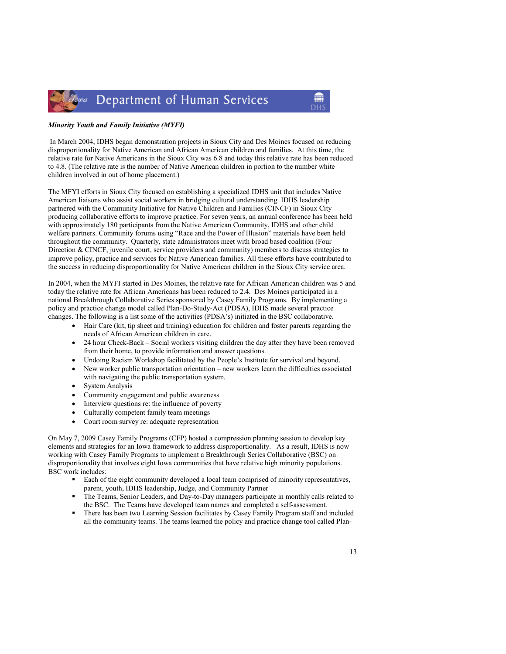

#### Minority Youth and Family Initiative (MYFI)

 In March 2004, IDHS began demonstration projects in Sioux City and Des Moines focused on reducing disproportionality for Native American and African American children and families. At this time, the relative rate for Native Americans in the Sioux City was 6.8 and today this relative rate has been reduced to 4.8. (The relative rate is the number of Native American children in portion to the number white children involved in out of home placement.)

The MFYI efforts in Sioux City focused on establishing a specialized IDHS unit that includes Native American liaisons who assist social workers in bridging cultural understanding. IDHS leadership partnered with the Community Initiative for Native Children and Families (CINCF) in Sioux City producing collaborative efforts to improve practice. For seven years, an annual conference has been held with approximately 180 participants from the Native American Community, IDHS and other child welfare partners. Community forums using "Race and the Power of Illusion" materials have been held throughout the community. Quarterly, state administrators meet with broad based coalition (Four Direction & CINCF, juvenile court, service providers and community) members to discuss strategies to improve policy, practice and services for Native American families. All these efforts have contributed to the success in reducing disproportionality for Native American children in the Sioux City service area.

In 2004, when the MYFI started in Des Moines, the relative rate for African American children was 5 and today the relative rate for African Americans has been reduced to 2.4. Des Moines participated in a national Breakthrough Collaborative Series sponsored by Casey Family Programs. By implementing a policy and practice change model called Plan-Do-Study-Act (PDSA), IDHS made several practice changes. The following is a list some of the activities (PDSA's) initiated in the BSC collaborative.

- Hair Care (kit, tip sheet and training) education for children and foster parents regarding the needs of African American children in care.
- 24 hour Check-Back Social workers visiting children the day after they have been removed from their home, to provide information and answer questions.
- Undoing Racism Workshop facilitated by the People's Institute for survival and beyond.
- New worker public transportation orientation new workers learn the difficulties associated with navigating the public transportation system.
- System Analysis
- Community engagement and public awareness
- Interview questions re: the influence of poverty
- Culturally competent family team meetings
- Court room survey re: adequate representation

On May 7, 2009 Casey Family Programs (CFP) hosted a compression planning session to develop key elements and strategies for an Iowa framework to address disproportionality. As a result, IDHS is now working with Casey Family Programs to implement a Breakthrough Series Collaborative (BSC) on disproportionality that involves eight Iowa communities that have relative high minority populations. BSC work includes:

- - Each of the eight community developed a local team comprised of minority representatives, parent, youth, IDHS leadership, Judge, and Community Partner
- - The Teams, Senior Leaders, and Day-to-Day managers participate in monthly calls related to the BSC. The Teams have developed team names and completed a self-assessment.
- - There has been two Learning Session facilitates by Casey Family Program staff and included all the community teams. The teams learned the policy and practice change tool called Plan-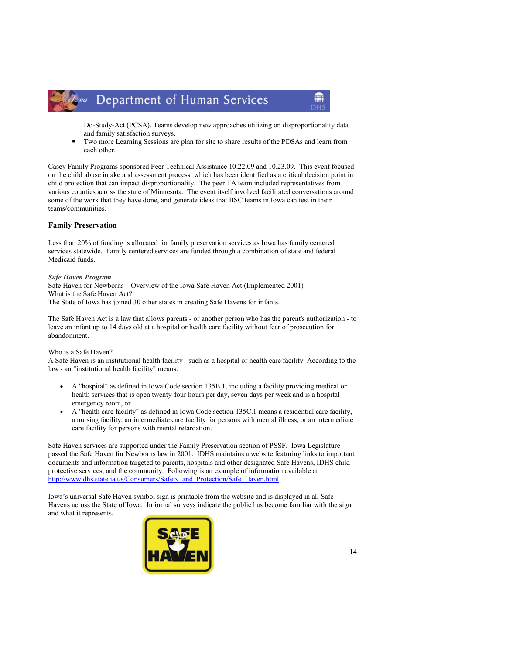

Do-Study-Act (PCSA). Teams develop new approaches utilizing on disproportionality data and family satisfaction surveys.

m

- Two more Learning Sessions are plan for site to share results of the PDSAs and learn from each other.

Casey Family Programs sponsored Peer Technical Assistance 10.22.09 and 10.23.09. This event focused on the child abuse intake and assessment process, which has been identified as a critical decision point in child protection that can impact disproportionality. The peer TA team included representatives from various counties across the state of Minnesota. The event itself involved facilitated conversations around some of the work that they have done, and generate ideas that BSC teams in Iowa can test in their teams/communities.

#### Family Preservation

Less than 20% of funding is allocated for family preservation services as Iowa has family centered services statewide. Family centered services are funded through a combination of state and federal Medicaid funds.

#### Safe Haven Program

Safe Haven for Newborns—Overview of the Iowa Safe Haven Act (Implemented 2001) What is the Safe Haven Act? The State of Iowa has joined 30 other states in creating Safe Havens for infants.

The Safe Haven Act is a law that allows parents - or another person who has the parent's authorization - to leave an infant up to 14 days old at a hospital or health care facility without fear of prosecution for abandonment.

#### Who is a Safe Haven?

A Safe Haven is an institutional health facility - such as a hospital or health care facility. According to the law - an "institutional health facility" means:

- A "hospital" as defined in Iowa Code section 135B.1, including a facility providing medical or health services that is open twenty-four hours per day, seven days per week and is a hospital emergency room, or
- A "health care facility" as defined in Iowa Code section 135C.1 means a residential care facility, a nursing facility, an intermediate care facility for persons with mental illness, or an intermediate care facility for persons with mental retardation.

Safe Haven services are supported under the Family Preservation section of PSSF. Iowa Legislature passed the Safe Haven for Newborns law in 2001. IDHS maintains a website featuring links to important documents and information targeted to parents, hospitals and other designated Safe Havens, IDHS child protective services, and the community. Following is an example of information available at http://www.dhs.state.ia.us/Consumers/Safety\_and\_Protection/Safe\_Haven.html

Iowa's universal Safe Haven symbol sign is printable from the website and is displayed in all Safe Havens across the State of Iowa. Informal surveys indicate the public has become familiar with the sign and what it represents.

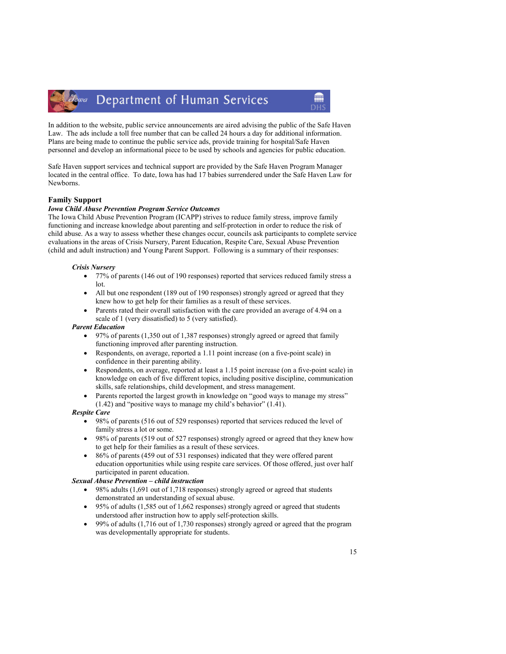#### Department of Human Services Towa

In addition to the website, public service announcements are aired advising the public of the Safe Haven Law. The ads include a toll free number that can be called 24 hours a day for additional information. Plans are being made to continue the public service ads, provide training for hospital/Safe Haven personnel and develop an informational piece to be used by schools and agencies for public education.

Safe Haven support services and technical support are provided by the Safe Haven Program Manager located in the central office. To date, Iowa has had 17 babies surrendered under the Safe Haven Law for Newborns.

#### Family Support

#### Iowa Child Abuse Prevention Program Service Outcomes

The Iowa Child Abuse Prevention Program (ICAPP) strives to reduce family stress, improve family functioning and increase knowledge about parenting and self-protection in order to reduce the risk of child abuse. As a way to assess whether these changes occur, councils ask participants to complete service evaluations in the areas of Crisis Nursery, Parent Education, Respite Care, Sexual Abuse Prevention (child and adult instruction) and Young Parent Support. Following is a summary of their responses:

#### Crisis Nursery

- 77% of parents (146 out of 190 responses) reported that services reduced family stress a lot.
- All but one respondent (189 out of 190 responses) strongly agreed or agreed that they knew how to get help for their families as a result of these services.
- Parents rated their overall satisfaction with the care provided an average of 4.94 on a scale of 1 (very dissatisfied) to 5 (very satisfied).

#### Parent Education

- 97% of parents (1,350 out of 1,387 responses) strongly agreed or agreed that family functioning improved after parenting instruction.
- Respondents, on average, reported a 1.11 point increase (on a five-point scale) in confidence in their parenting ability.
- Respondents, on average, reported at least a 1.15 point increase (on a five-point scale) in knowledge on each of five different topics, including positive discipline, communication skills, safe relationships, child development, and stress management.
- Parents reported the largest growth in knowledge on "good ways to manage my stress" (1.42) and "positive ways to manage my child's behavior" (1.41).

#### Respite Care

- 98% of parents (516 out of 529 responses) reported that services reduced the level of family stress a lot or some.
- 98% of parents (519 out of 527 responses) strongly agreed or agreed that they knew how to get help for their families as a result of these services.
- 86% of parents (459 out of 531 responses) indicated that they were offered parent education opportunities while using respite care services. Of those offered, just over half participated in parent education.

#### Sexual Abuse Prevention – child instruction

- 98% adults (1,691 out of 1,718 responses) strongly agreed or agreed that students demonstrated an understanding of sexual abuse.
- 95% of adults (1,585 out of 1,662 responses) strongly agreed or agreed that students understood after instruction how to apply self-protection skills.
- 99% of adults (1,716 out of 1,730 responses) strongly agreed or agreed that the program was developmentally appropriate for students.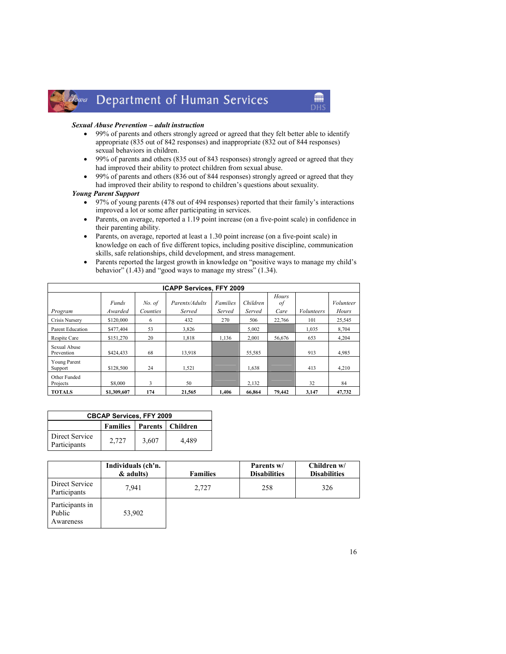#### Department of Human Services Jowa

#### Sexual Abuse Prevention – adult instruction

• 99% of parents and others strongly agreed or agreed that they felt better able to identify appropriate (835 out of 842 responses) and inappropriate (832 out of 844 responses) sexual behaviors in children.

**ANTI** 

**DH** 

- 99% of parents and others (835 out of 843 responses) strongly agreed or agreed that they had improved their ability to protect children from sexual abuse.
- 99% of parents and others (836 out of 844 responses) strongly agreed or agreed that they had improved their ability to respond to children's questions about sexuality.

#### Young Parent Support

- 97% of young parents (478 out of 494 responses) reported that their family's interactions improved a lot or some after participating in services.
- Parents, on average, reported a 1.19 point increase (on a five-point scale) in confidence in their parenting ability.
- Parents, on average, reported at least a 1.30 point increase (on a five-point scale) in knowledge on each of five different topics, including positive discipline, communication skills, safe relationships, child development, and stress management.
- Parents reported the largest growth in knowledge on "positive ways to manage my child's behavior" (1.43) and "good ways to manage my stress" (1.34).

| <b>ICAPP Services, FFY 2009</b> |              |          |                |                 |          |        |                   |                  |
|---------------------------------|--------------|----------|----------------|-----------------|----------|--------|-------------------|------------------|
|                                 |              |          |                |                 |          | Hours  |                   |                  |
|                                 | <b>Funds</b> | No. of   | Parents/Adults | <b>Families</b> | Children | οf     |                   | <i>Volunteer</i> |
| Program                         | Awarded      | Counties | Served         | Served          | Served   | Care   | <i>Volunteers</i> | Hours            |
| Crisis Nurserv                  | \$120,000    | 6        | 432            | 270             | 506      | 22,766 | 101               | 25,545           |
| Parent Education                | \$477,404    | 53       | 3,826          |                 | 5,002    |        | 1,035             | 8,704            |
| Respite Care                    | \$151.270    | 20       | 1.818          | 1.136           | 2,001    | 56.676 | 653               | 4.204            |
| Sexual Abuse<br>Prevention      | \$424.433    | 68       | 13.918         |                 | 55.585   |        | 913               | 4.985            |
| Young Parent                    |              |          |                |                 |          |        |                   |                  |
| Support                         | \$128,500    | 24       | 1,521          |                 | 1.638    |        | 413               | 4,210            |
| Other Funded<br>Projects        | \$8,000      | 3        | 50             |                 | 2,132    |        | 32                | 84               |
| <b>TOTALS</b>                   | \$1,309,607  | 174      | 21,565         | 1.406           | 66,864   | 79,442 | 3,147             | 47,732           |

| <b>CBCAP Services, FFY 2009</b>              |       |       |       |  |  |  |
|----------------------------------------------|-------|-------|-------|--|--|--|
| <b>Families</b><br><b>Parents   Children</b> |       |       |       |  |  |  |
| Direct Service<br>Participants               | 2.727 | 3,607 | 4.489 |  |  |  |

|                                        | Individuals (ch'n. |                 | Parents w/          | Children $w/$       |
|----------------------------------------|--------------------|-----------------|---------------------|---------------------|
|                                        | & adults)          | <b>Families</b> | <b>Disabilities</b> | <b>Disabilities</b> |
| Direct Service<br>Participants         | 7,941              | 2.727           | 258                 | 326                 |
| Participants in<br>Public<br>Awareness | 53,902             |                 |                     |                     |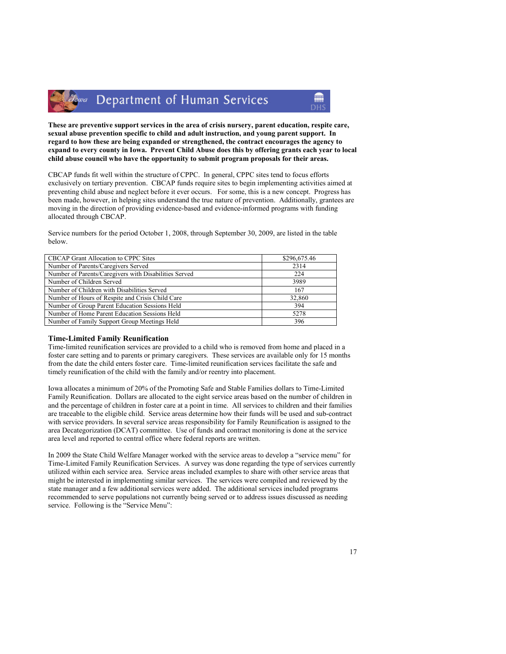

These are preventive support services in the area of crisis nursery, parent education, respite care, sexual abuse prevention specific to child and adult instruction, and young parent support. In regard to how these are being expanded or strengthened, the contract encourages the agency to expand to every county in Iowa. Prevent Child Abuse does this by offering grants each year to local child abuse council who have the opportunity to submit program proposals for their areas.

CBCAP funds fit well within the structure of CPPC. In general, CPPC sites tend to focus efforts exclusively on tertiary prevention. CBCAP funds require sites to begin implementing activities aimed at preventing child abuse and neglect before it ever occurs. For some, this is a new concept. Progress has been made, however, in helping sites understand the true nature of prevention. Additionally, grantees are moving in the direction of providing evidence-based and evidence-informed programs with funding allocated through CBCAP.

Service numbers for the period October 1, 2008, through September 30, 2009, are listed in the table below.

| CBCAP Grant Allocation to CPPC Sites                  | \$296,675.46 |
|-------------------------------------------------------|--------------|
| Number of Parents/Caregivers Served                   | 2314         |
| Number of Parents/Caregivers with Disabilities Served | 224          |
| Number of Children Served                             | 3989         |
| Number of Children with Disabilities Served           | 167          |
| Number of Hours of Respite and Crisis Child Care      | 32,860       |
| Number of Group Parent Education Sessions Held        | 394          |
| Number of Home Parent Education Sessions Held         | 5278         |
| Number of Family Support Group Meetings Held          | 396          |
|                                                       |              |

#### Time-Limited Family Reunification

Time-limited reunification services are provided to a child who is removed from home and placed in a foster care setting and to parents or primary caregivers. These services are available only for 15 months from the date the child enters foster care. Time-limited reunification services facilitate the safe and timely reunification of the child with the family and/or reentry into placement.

Iowa allocates a minimum of 20% of the Promoting Safe and Stable Families dollars to Time-Limited Family Reunification. Dollars are allocated to the eight service areas based on the number of children in and the percentage of children in foster care at a point in time. All services to children and their families are traceable to the eligible child. Service areas determine how their funds will be used and sub-contract with service providers. In several service areas responsibility for Family Reunification is assigned to the area Decategorization (DCAT) committee. Use of funds and contract monitoring is done at the service area level and reported to central office where federal reports are written.

In 2009 the State Child Welfare Manager worked with the service areas to develop a "service menu" for Time-Limited Family Reunification Services. A survey was done regarding the type of services currently utilized within each service area. Service areas included examples to share with other service areas that might be interested in implementing similar services. The services were compiled and reviewed by the state manager and a few additional services were added. The additional services included programs recommended to serve populations not currently being served or to address issues discussed as needing service. Following is the "Service Menu":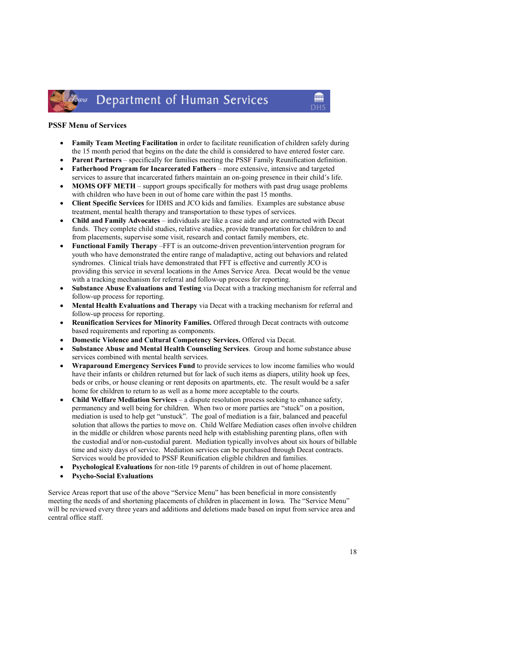#### Department of Human Services Towa

#### PSSF Menu of Services

- Family Team Meeting Facilitation in order to facilitate reunification of children safely during the 15 month period that begins on the date the child is considered to have entered foster care.
- Parent Partners specifically for families meeting the PSSF Family Reunification definition. • Fatherhood Program for Incarcerated Fathers – more extensive, intensive and targeted
- services to assure that incarcerated fathers maintain an on-going presence in their child's life. • MOMS OFF METH – support groups specifically for mothers with past drug usage problems
- with children who have been in out of home care within the past 15 months. • Client Specific Services for IDHS and JCO kids and families. Examples are substance abuse treatment, mental health therapy and transportation to these types of services.
- Child and Family Advocates individuals are like a case aide and are contracted with Decat funds. They complete child studies, relative studies, provide transportation for children to and from placements, supervise some visit, research and contact family members, etc.
- Functional Family Therapy –FFT is an outcome-driven prevention/intervention program for youth who have demonstrated the entire range of maladaptive, acting out behaviors and related syndromes. Clinical trials have demonstrated that FFT is effective and currently JCO is providing this service in several locations in the Ames Service Area. Decat would be the venue with a tracking mechanism for referral and follow-up process for reporting.
- Substance Abuse Evaluations and Testing via Decat with a tracking mechanism for referral and follow-up process for reporting.
- Mental Health Evaluations and Therapy via Decat with a tracking mechanism for referral and follow-up process for reporting.
- Reunification Services for Minority Families. Offered through Decat contracts with outcome based requirements and reporting as components.
- Domestic Violence and Cultural Competency Services. Offered via Decat.
- Substance Abuse and Mental Health Counseling Services. Group and home substance abuse services combined with mental health services.
- Wraparound Emergency Services Fund to provide services to low income families who would have their infants or children returned but for lack of such items as diapers, utility hook up fees, beds or cribs, or house cleaning or rent deposits on apartments, etc. The result would be a safer home for children to return to as well as a home more acceptable to the courts.
- Child Welfare Mediation Services a dispute resolution process seeking to enhance safety, permanency and well being for children. When two or more parties are "stuck" on a position, mediation is used to help get "unstuck". The goal of mediation is a fair, balanced and peaceful solution that allows the parties to move on. Child Welfare Mediation cases often involve children in the middle or children whose parents need help with establishing parenting plans, often with the custodial and/or non-custodial parent. Mediation typically involves about six hours of billable time and sixty days of service. Mediation services can be purchased through Decat contracts. Services would be provided to PSSF Reunification eligible children and families.
- Psychological Evaluations for non-title 19 parents of children in out of home placement.
- Psycho-Social Evaluations

Service Areas report that use of the above "Service Menu" has been beneficial in more consistently meeting the needs of and shortening placements of children in placement in Iowa. The "Service Menu" will be reviewed every three years and additions and deletions made based on input from service area and central office staff.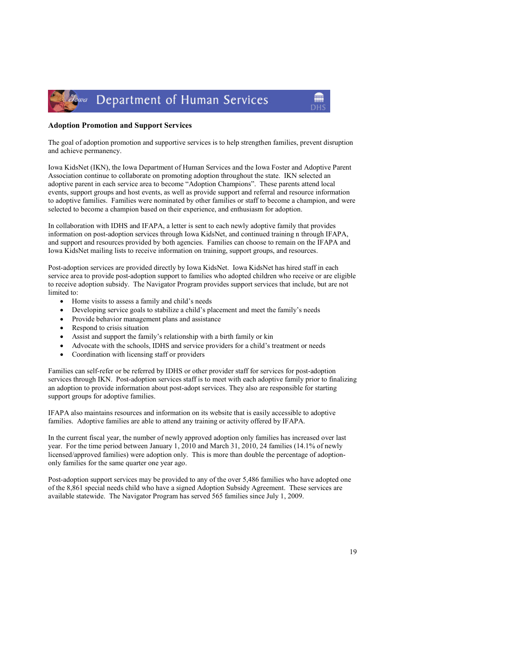

#### Adoption Promotion and Support Services

The goal of adoption promotion and supportive services is to help strengthen families, prevent disruption and achieve permanency.

Iowa KidsNet (IKN), the Iowa Department of Human Services and the Iowa Foster and Adoptive Parent Association continue to collaborate on promoting adoption throughout the state. IKN selected an adoptive parent in each service area to become "Adoption Champions". These parents attend local events, support groups and host events, as well as provide support and referral and resource information to adoptive families. Families were nominated by other families or staff to become a champion, and were selected to become a champion based on their experience, and enthusiasm for adoption.

In collaboration with IDHS and IFAPA, a letter is sent to each newly adoptive family that provides information on post-adoption services through Iowa KidsNet, and continued training n through IFAPA, and support and resources provided by both agencies. Families can choose to remain on the IFAPA and Iowa KidsNet mailing lists to receive information on training, support groups, and resources.

Post-adoption services are provided directly by Iowa KidsNet. Iowa KidsNet has hired staff in each service area to provide post-adoption support to families who adopted children who receive or are eligible to receive adoption subsidy. The Navigator Program provides support services that include, but are not limited to:

- Home visits to assess a family and child's needs
- Developing service goals to stabilize a child's placement and meet the family's needs
- Provide behavior management plans and assistance
- Respond to crisis situation
- Assist and support the family's relationship with a birth family or kin
- Advocate with the schools, IDHS and service providers for a child's treatment or needs
- Coordination with licensing staff or providers

Families can self-refer or be referred by IDHS or other provider staff for services for post-adoption services through IKN. Post-adoption services staff is to meet with each adoptive family prior to finalizing an adoption to provide information about post-adopt services. They also are responsible for starting support groups for adoptive families.

IFAPA also maintains resources and information on its website that is easily accessible to adoptive families. Adoptive families are able to attend any training or activity offered by IFAPA.

In the current fiscal year, the number of newly approved adoption only families has increased over last year. For the time period between January 1, 2010 and March 31, 2010, 24 families (14.1% of newly licensed/approved families) were adoption only. This is more than double the percentage of adoptiononly families for the same quarter one year ago.

Post-adoption support services may be provided to any of the over 5,486 families who have adopted one of the 8,861 special needs child who have a signed Adoption Subsidy Agreement. These services are available statewide. The Navigator Program has served 565 families since July 1, 2009.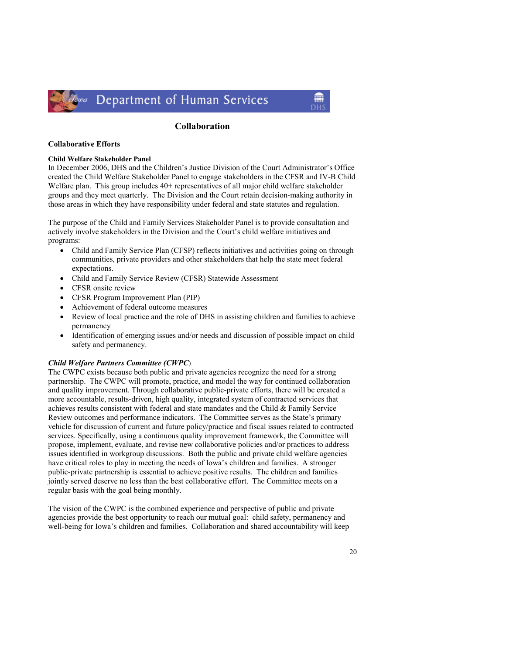

#### Collaboration

m

#### Collaborative Efforts

#### Child Welfare Stakeholder Panel

In December 2006, DHS and the Children's Justice Division of the Court Administrator's Office created the Child Welfare Stakeholder Panel to engage stakeholders in the CFSR and IV-B Child Welfare plan. This group includes 40+ representatives of all major child welfare stakeholder groups and they meet quarterly. The Division and the Court retain decision-making authority in those areas in which they have responsibility under federal and state statutes and regulation.

The purpose of the Child and Family Services Stakeholder Panel is to provide consultation and actively involve stakeholders in the Division and the Court's child welfare initiatives and programs:

- Child and Family Service Plan (CFSP) reflects initiatives and activities going on through communities, private providers and other stakeholders that help the state meet federal expectations.
- Child and Family Service Review (CFSR) Statewide Assessment
- CFSR onsite review
- CFSR Program Improvement Plan (PIP)
- Achievement of federal outcome measures
- Review of local practice and the role of DHS in assisting children and families to achieve permanency
- Identification of emerging issues and/or needs and discussion of possible impact on child safety and permanency.

#### Child Welfare Partners Committee (CWPC)

The CWPC exists because both public and private agencies recognize the need for a strong partnership. The CWPC will promote, practice, and model the way for continued collaboration and quality improvement. Through collaborative public-private efforts, there will be created a more accountable, results-driven, high quality, integrated system of contracted services that achieves results consistent with federal and state mandates and the Child & Family Service Review outcomes and performance indicators. The Committee serves as the State's primary vehicle for discussion of current and future policy/practice and fiscal issues related to contracted services. Specifically, using a continuous quality improvement framework, the Committee will propose, implement, evaluate, and revise new collaborative policies and/or practices to address issues identified in workgroup discussions. Both the public and private child welfare agencies have critical roles to play in meeting the needs of Iowa's children and families. A stronger public-private partnership is essential to achieve positive results. The children and families jointly served deserve no less than the best collaborative effort. The Committee meets on a regular basis with the goal being monthly.

The vision of the CWPC is the combined experience and perspective of public and private agencies provide the best opportunity to reach our mutual goal: child safety, permanency and well-being for Iowa's children and families. Collaboration and shared accountability will keep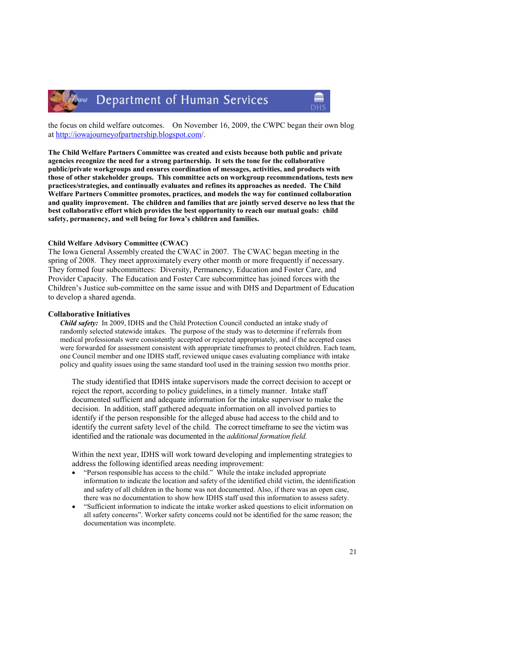

### Department of Human Services

the focus on child welfare outcomes. On November 16, 2009, the CWPC began their own blog at http://iowajourneyofpartnership.blogspot.com/.

The Child Welfare Partners Committee was created and exists because both public and private agencies recognize the need for a strong partnership. It sets the tone for the collaborative public/private workgroups and ensures coordination of messages, activities, and products with those of other stakeholder groups. This committee acts on workgroup recommendations, tests new practices/strategies, and continually evaluates and refines its approaches as needed. The Child Welfare Partners Committee promotes, practices, and models the way for continued collaboration and quality improvement. The children and families that are jointly served deserve no less that the best collaborative effort which provides the best opportunity to reach our mutual goals: child safety, permanency, and well being for Iowa's children and families.

#### Child Welfare Advisory Committee (CWAC)

The Iowa General Assembly created the CWAC in 2007. The CWAC began meeting in the spring of 2008. They meet approximately every other month or more frequently if necessary. They formed four subcommittees: Diversity, Permanency, Education and Foster Care, and Provider Capacity. The Education and Foster Care subcommittee has joined forces with the Children's Justice sub-committee on the same issue and with DHS and Department of Education to develop a shared agenda.

#### Collaborative Initiatives

Child safety: In 2009, IDHS and the Child Protection Council conducted an intake study of randomly selected statewide intakes. The purpose of the study was to determine if referrals from medical professionals were consistently accepted or rejected appropriately, and if the accepted cases were forwarded for assessment consistent with appropriate timeframes to protect children. Each team, one Council member and one IDHS staff, reviewed unique cases evaluating compliance with intake policy and quality issues using the same standard tool used in the training session two months prior.

The study identified that IDHS intake supervisors made the correct decision to accept or reject the report, according to policy guidelines, in a timely manner. Intake staff documented sufficient and adequate information for the intake supervisor to make the decision. In addition, staff gathered adequate information on all involved parties to identify if the person responsible for the alleged abuse had access to the child and to identify the current safety level of the child. The correct timeframe to see the victim was identified and the rationale was documented in the additional formation field.

Within the next year, IDHS will work toward developing and implementing strategies to address the following identified areas needing improvement:

- "Person responsible has access to the child." While the intake included appropriate information to indicate the location and safety of the identified child victim, the identification and safety of all children in the home was not documented. Also, if there was an open case, there was no documentation to show how IDHS staff used this information to assess safety.
- "Sufficient information to indicate the intake worker asked questions to elicit information on all safety concerns". Worker safety concerns could not be identified for the same reason; the documentation was incomplete.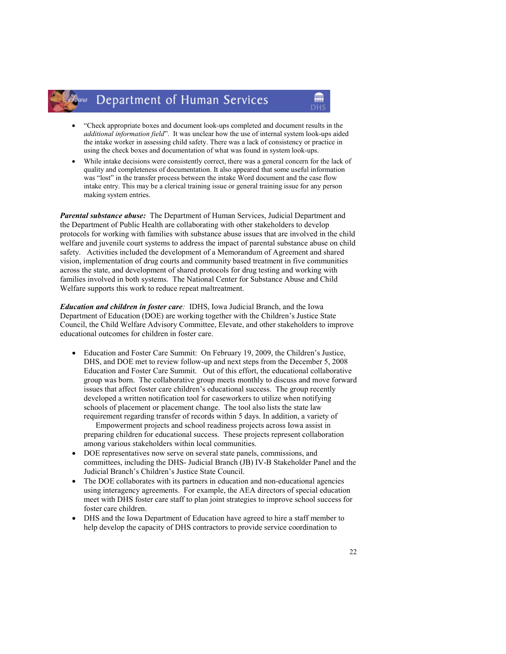### lowa Department of Human Services

• "Check appropriate boxes and document look-ups completed and document results in the additional information field". It was unclear how the use of internal system look-ups aided the intake worker in assessing child safety. There was a lack of consistency or practice in using the check boxes and documentation of what was found in system look-ups.

m

While intake decisions were consistently correct, there was a general concern for the lack of quality and completeness of documentation. It also appeared that some useful information was "lost" in the transfer process between the intake Word document and the case flow intake entry. This may be a clerical training issue or general training issue for any person making system entries.

**Parental substance abuse:** The Department of Human Services, Judicial Department and the Department of Public Health are collaborating with other stakeholders to develop protocols for working with families with substance abuse issues that are involved in the child welfare and juvenile court systems to address the impact of parental substance abuse on child safety. Activities included the development of a Memorandum of Agreement and shared vision, implementation of drug courts and community based treatment in five communities across the state, and development of shared protocols for drug testing and working with families involved in both systems. The National Center for Substance Abuse and Child Welfare supports this work to reduce repeat maltreatment.

Education and children in foster care: IDHS, Iowa Judicial Branch, and the Iowa Department of Education (DOE) are working together with the Children's Justice State Council, the Child Welfare Advisory Committee, Elevate, and other stakeholders to improve educational outcomes for children in foster care.

• Education and Foster Care Summit: On February 19, 2009, the Children's Justice, DHS, and DOE met to review follow-up and next steps from the December 5, 2008 Education and Foster Care Summit. Out of this effort, the educational collaborative group was born. The collaborative group meets monthly to discuss and move forward issues that affect foster care children's educational success. The group recently developed a written notification tool for caseworkers to utilize when notifying schools of placement or placement change. The tool also lists the state law requirement regarding transfer of records within 5 days. In addition, a variety of

 Empowerment projects and school readiness projects across Iowa assist in preparing children for educational success. These projects represent collaboration among various stakeholders within local communities.

- DOE representatives now serve on several state panels, commissions, and committees, including the DHS- Judicial Branch (JB) IV-B Stakeholder Panel and the Judicial Branch's Children's Justice State Council.
- The DOE collaborates with its partners in education and non-educational agencies using interagency agreements. For example, the AEA directors of special education meet with DHS foster care staff to plan joint strategies to improve school success for foster care children.
- DHS and the Iowa Department of Education have agreed to hire a staff member to help develop the capacity of DHS contractors to provide service coordination to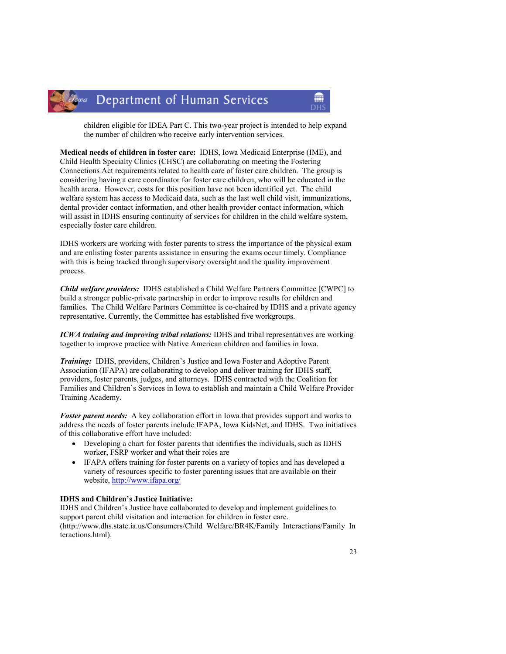

children eligible for IDEA Part C. This two-year project is intended to help expand the number of children who receive early intervention services.

m

Medical needs of children in foster care: IDHS, Iowa Medicaid Enterprise (IME), and Child Health Specialty Clinics (CHSC) are collaborating on meeting the Fostering Connections Act requirements related to health care of foster care children. The group is considering having a care coordinator for foster care children, who will be educated in the health arena. However, costs for this position have not been identified yet. The child welfare system has access to Medicaid data, such as the last well child visit, immunizations, dental provider contact information, and other health provider contact information, which will assist in IDHS ensuring continuity of services for children in the child welfare system, especially foster care children.

IDHS workers are working with foster parents to stress the importance of the physical exam and are enlisting foster parents assistance in ensuring the exams occur timely. Compliance with this is being tracked through supervisory oversight and the quality improvement process.

Child welfare providers: IDHS established a Child Welfare Partners Committee [CWPC] to build a stronger public-private partnership in order to improve results for children and families. The Child Welfare Partners Committee is co-chaired by IDHS and a private agency representative. Currently, the Committee has established five workgroups.

ICWA training and improving tribal relations: IDHS and tribal representatives are working together to improve practice with Native American children and families in Iowa.

Training: IDHS, providers, Children's Justice and Iowa Foster and Adoptive Parent Association (IFAPA) are collaborating to develop and deliver training for IDHS staff, providers, foster parents, judges, and attorneys. IDHS contracted with the Coalition for Families and Children's Services in Iowa to establish and maintain a Child Welfare Provider Training Academy.

**Foster parent needs:** A key collaboration effort in Iowa that provides support and works to address the needs of foster parents include IFAPA, Iowa KidsNet, and IDHS. Two initiatives of this collaborative effort have included:

- Developing a chart for foster parents that identifies the individuals, such as IDHS worker, FSRP worker and what their roles are
- IFAPA offers training for foster parents on a variety of topics and has developed a variety of resources specific to foster parenting issues that are available on their website, http://www.ifapa.org/

#### IDHS and Children's Justice Initiative:

IDHS and Children's Justice have collaborated to develop and implement guidelines to support parent child visitation and interaction for children in foster care. (http://www.dhs.state.ia.us/Consumers/Child\_Welfare/BR4K/Family\_Interactions/Family\_In teractions.html).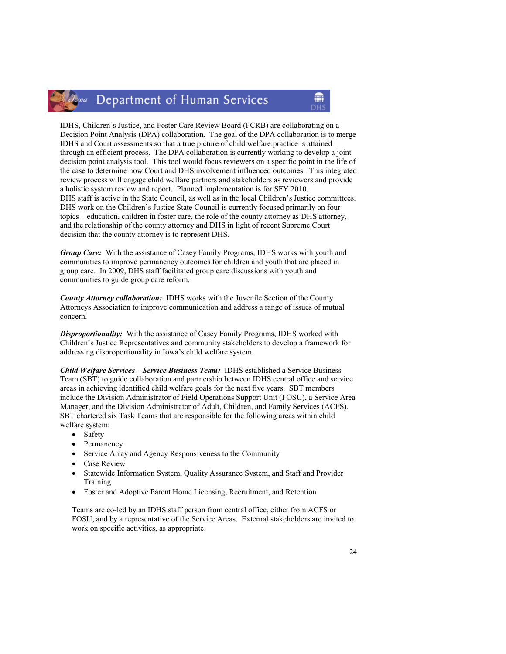### Zowa Department of Human Services

IDHS, Children's Justice, and Foster Care Review Board (FCRB) are collaborating on a Decision Point Analysis (DPA) collaboration. The goal of the DPA collaboration is to merge IDHS and Court assessments so that a true picture of child welfare practice is attained through an efficient process. The DPA collaboration is currently working to develop a joint decision point analysis tool. This tool would focus reviewers on a specific point in the life of the case to determine how Court and DHS involvement influenced outcomes. This integrated review process will engage child welfare partners and stakeholders as reviewers and provide a holistic system review and report. Planned implementation is for SFY 2010. DHS staff is active in the State Council, as well as in the local Children's Justice committees. DHS work on the Children's Justice State Council is currently focused primarily on four topics – education, children in foster care, the role of the county attorney as DHS attorney, and the relationship of the county attorney and DHS in light of recent Supreme Court decision that the county attorney is to represent DHS.

Group Care: With the assistance of Casey Family Programs, IDHS works with youth and communities to improve permanency outcomes for children and youth that are placed in group care. In 2009, DHS staff facilitated group care discussions with youth and communities to guide group care reform.

**County Attorney collaboration:** IDHS works with the Juvenile Section of the County Attorneys Association to improve communication and address a range of issues of mutual concern.

**Disproportionality:** With the assistance of Casey Family Programs, IDHS worked with Children's Justice Representatives and community stakeholders to develop a framework for addressing disproportionality in Iowa's child welfare system.

Child Welfare Services – Service Business Team: IDHS established a Service Business Team (SBT) to guide collaboration and partnership between IDHS central office and service areas in achieving identified child welfare goals for the next five years. SBT members include the Division Administrator of Field Operations Support Unit (FOSU), a Service Area Manager, and the Division Administrator of Adult, Children, and Family Services (ACFS). SBT chartered six Task Teams that are responsible for the following areas within child welfare system:

- Safety
- **Permanency**
- Service Array and Agency Responsiveness to the Community
- Case Review
- Statewide Information System, Quality Assurance System, and Staff and Provider Training
- Foster and Adoptive Parent Home Licensing, Recruitment, and Retention

 Teams are co-led by an IDHS staff person from central office, either from ACFS or FOSU, and by a representative of the Service Areas. External stakeholders are invited to work on specific activities, as appropriate.

m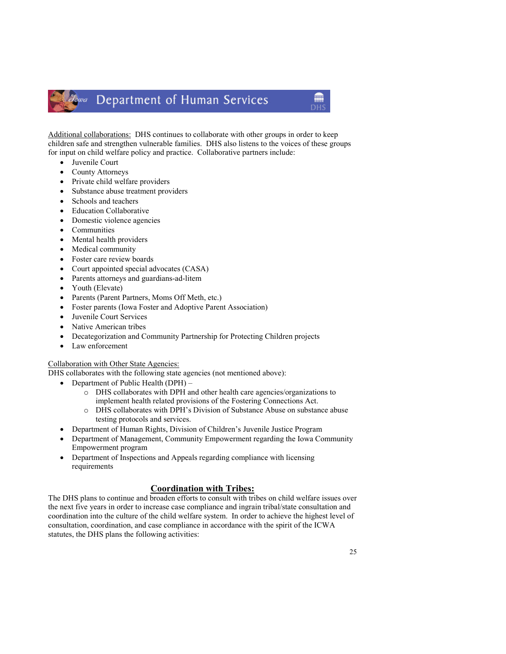### lowa Department of Human Services

Additional collaborations: DHS continues to collaborate with other groups in order to keep children safe and strengthen vulnerable families. DHS also listens to the voices of these groups for input on child welfare policy and practice. Collaborative partners include:

- Juvenile Court
- County Attorneys
- Private child welfare providers
- Substance abuse treatment providers
- Schools and teachers
- Education Collaborative
- Domestic violence agencies
- Communities
- Mental health providers
- Medical community
- Foster care review boards
- Court appointed special advocates (CASA)
- Parents attorneys and guardians-ad-litem
- Youth (Elevate)
- Parents (Parent Partners, Moms Off Meth, etc.)
- Foster parents (Iowa Foster and Adoptive Parent Association)
- Juvenile Court Services
- Native American tribes
- Decategorization and Community Partnership for Protecting Children projects
- Law enforcement

#### Collaboration with Other State Agencies:

DHS collaborates with the following state agencies (not mentioned above):

- Department of Public Health (DPH)
	- o DHS collaborates with DPH and other health care agencies/organizations to implement health related provisions of the Fostering Connections Act.
	- o DHS collaborates with DPH's Division of Substance Abuse on substance abuse testing protocols and services.
- Department of Human Rights, Division of Children's Juvenile Justice Program
- Department of Management, Community Empowerment regarding the Iowa Community Empowerment program
- Department of Inspections and Appeals regarding compliance with licensing requirements

#### Coordination with Tribes:

The DHS plans to continue and broaden efforts to consult with tribes on child welfare issues over the next five years in order to increase case compliance and ingrain tribal/state consultation and coordination into the culture of the child welfare system. In order to achieve the highest level of consultation, coordination, and case compliance in accordance with the spirit of the ICWA statutes, the DHS plans the following activities:

龠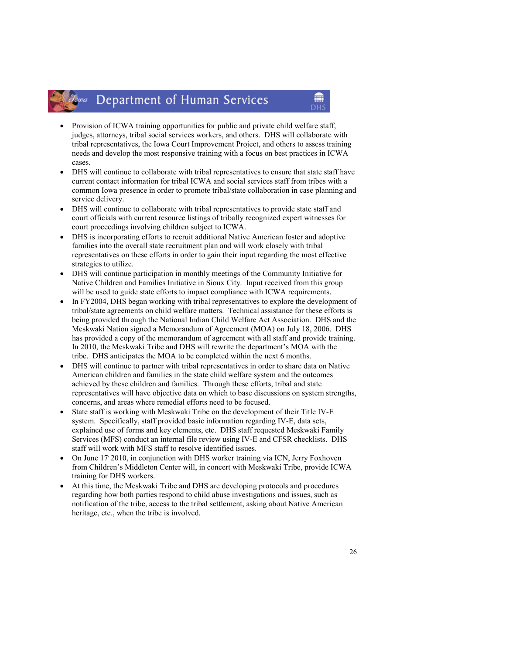#### Department of Human Services Jowa

• Provision of ICWA training opportunities for public and private child welfare staff, judges, attorneys, tribal social services workers, and others. DHS will collaborate with tribal representatives, the Iowa Court Improvement Project, and others to assess training needs and develop the most responsive training with a focus on best practices in ICWA cases.

m

- DHS will continue to collaborate with tribal representatives to ensure that state staff have current contact information for tribal ICWA and social services staff from tribes with a common Iowa presence in order to promote tribal/state collaboration in case planning and service delivery.
- DHS will continue to collaborate with tribal representatives to provide state staff and court officials with current resource listings of tribally recognized expert witnesses for court proceedings involving children subject to ICWA.
- DHS is incorporating efforts to recruit additional Native American foster and adoptive families into the overall state recruitment plan and will work closely with tribal representatives on these efforts in order to gain their input regarding the most effective strategies to utilize.
- DHS will continue participation in monthly meetings of the Community Initiative for Native Children and Families Initiative in Sioux City. Input received from this group will be used to guide state efforts to impact compliance with ICWA requirements.
- In FY2004. DHS began working with tribal representatives to explore the development of tribal/state agreements on child welfare matters. Technical assistance for these efforts is being provided through the National Indian Child Welfare Act Association. DHS and the Meskwaki Nation signed a Memorandum of Agreement (MOA) on July 18, 2006. DHS has provided a copy of the memorandum of agreement with all staff and provide training. In 2010, the Meskwaki Tribe and DHS will rewrite the department's MOA with the tribe. DHS anticipates the MOA to be completed within the next 6 months.
- DHS will continue to partner with tribal representatives in order to share data on Native American children and families in the state child welfare system and the outcomes achieved by these children and families. Through these efforts, tribal and state representatives will have objective data on which to base discussions on system strengths, concerns, and areas where remedial efforts need to be focused.
- State staff is working with Meskwaki Tribe on the development of their Title IV-E system. Specifically, staff provided basic information regarding IV-E, data sets, explained use of forms and key elements, etc. DHS staff requested Meskwaki Family Services (MFS) conduct an internal file review using IV-E and CFSR checklists. DHS staff will work with MFS staff to resolve identified issues.
- On June 17, 2010, in conjunction with DHS worker training via ICN, Jerry Foxhoven from Children's Middleton Center will, in concert with Meskwaki Tribe, provide ICWA training for DHS workers.
- At this time, the Meskwaki Tribe and DHS are developing protocols and procedures regarding how both parties respond to child abuse investigations and issues, such as notification of the tribe, access to the tribal settlement, asking about Native American heritage, etc., when the tribe is involved.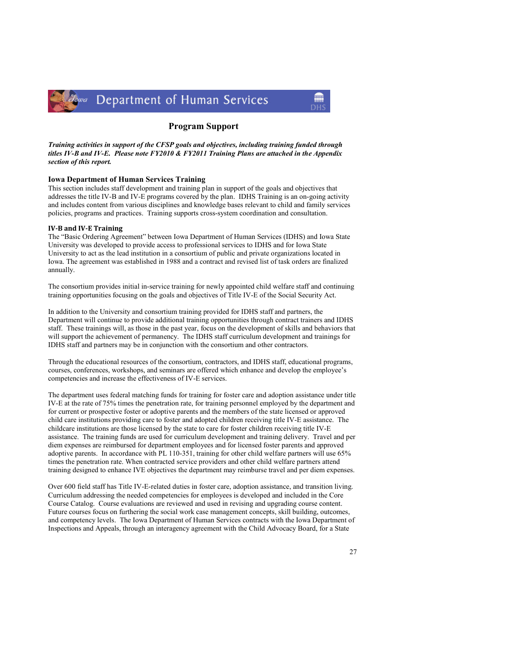

#### Program Support

Training activities in support of the CFSP goals and objectives, including training funded through titles IV-B and IV-E. Please note FY2010 & FY2011 Training Plans are attached in the Appendix section of this report.

#### Iowa Department of Human Services Training

This section includes staff development and training plan in support of the goals and objectives that addresses the title IV-B and IV-E programs covered by the plan. IDHS Training is an on-going activity and includes content from various disciplines and knowledge bases relevant to child and family services policies, programs and practices. Training supports cross-system coordination and consultation.

#### IV-B and IV-E Training

The "Basic Ordering Agreement" between Iowa Department of Human Services (IDHS) and Iowa State University was developed to provide access to professional services to IDHS and for Iowa State University to act as the lead institution in a consortium of public and private organizations located in Iowa. The agreement was established in 1988 and a contract and revised list of task orders are finalized annually.

The consortium provides initial in-service training for newly appointed child welfare staff and continuing training opportunities focusing on the goals and objectives of Title IV-E of the Social Security Act.

In addition to the University and consortium training provided for IDHS staff and partners, the Department will continue to provide additional training opportunities through contract trainers and IDHS staff. These trainings will, as those in the past year, focus on the development of skills and behaviors that will support the achievement of permanency. The IDHS staff curriculum development and trainings for IDHS staff and partners may be in conjunction with the consortium and other contractors.

Through the educational resources of the consortium, contractors, and IDHS staff, educational programs, courses, conferences, workshops, and seminars are offered which enhance and develop the employee's competencies and increase the effectiveness of IV-E services.

The department uses federal matching funds for training for foster care and adoption assistance under title IV-E at the rate of 75% times the penetration rate, for training personnel employed by the department and for current or prospective foster or adoptive parents and the members of the state licensed or approved child care institutions providing care to foster and adopted children receiving title IV-E assistance. The childcare institutions are those licensed by the state to care for foster children receiving title IV-E assistance. The training funds are used for curriculum development and training delivery. Travel and per diem expenses are reimbursed for department employees and for licensed foster parents and approved adoptive parents. In accordance with PL 110-351, training for other child welfare partners will use 65% times the penetration rate. When contracted service providers and other child welfare partners attend training designed to enhance IVE objectives the department may reimburse travel and per diem expenses.

Over 600 field staff has Title IV-E-related duties in foster care, adoption assistance, and transition living. Curriculum addressing the needed competencies for employees is developed and included in the Core Course Catalog. Course evaluations are reviewed and used in revising and upgrading course content. Future courses focus on furthering the social work case management concepts, skill building, outcomes, and competency levels. The Iowa Department of Human Services contracts with the Iowa Department of Inspections and Appeals, through an interagency agreement with the Child Advocacy Board, for a State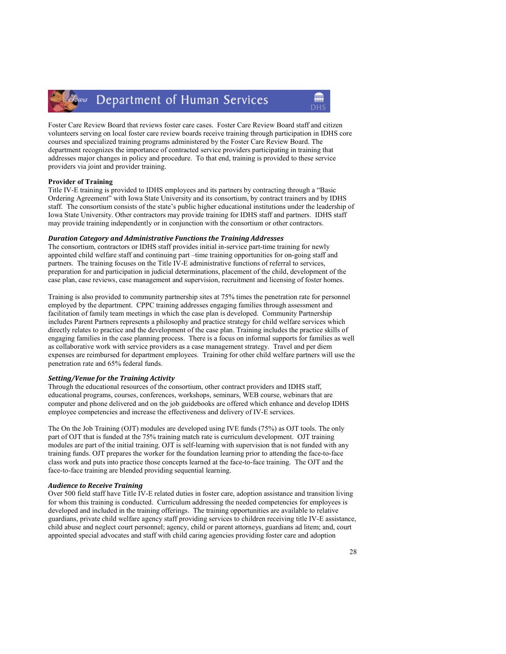#### Department of Human Services lowa

Foster Care Review Board that reviews foster care cases. Foster Care Review Board staff and citizen volunteers serving on local foster care review boards receive training through participation in IDHS core courses and specialized training programs administered by the Foster Care Review Board. The department recognizes the importance of contracted service providers participating in training that addresses major changes in policy and procedure. To that end, training is provided to these service providers via joint and provider training.

#### Provider of Training

Title IV-E training is provided to IDHS employees and its partners by contracting through a "Basic Ordering Agreement" with Iowa State University and its consortium, by contract trainers and by IDHS staff. The consortium consists of the state's public higher educational institutions under the leadership of Iowa State University. Other contractors may provide training for IDHS staff and partners. IDHS staff may provide training independently or in conjunction with the consortium or other contractors.

#### Duration Category and Administrative Functions the Training Addresses

The consortium, contractors or IDHS staff provides initial in-service part-time training for newly appointed child welfare staff and continuing part –time training opportunities for on-going staff and partners. The training focuses on the Title IV-E administrative functions of referral to services, preparation for and participation in judicial determinations, placement of the child, development of the case plan, case reviews, case management and supervision, recruitment and licensing of foster homes.

Training is also provided to community partnership sites at 75% times the penetration rate for personnel employed by the department. CPPC training addresses engaging families through assessment and facilitation of family team meetings in which the case plan is developed. Community Partnership includes Parent Partners represents a philosophy and practice strategy for child welfare services which directly relates to practice and the development of the case plan. Training includes the practice skills of engaging families in the case planning process. There is a focus on informal supports for families as well as collaborative work with service providers as a case management strategy. Travel and per diem expenses are reimbursed for department employees. Training for other child welfare partners will use the penetration rate and 65% federal funds.

#### Setting/Venue for the Training Activity

Through the educational resources of the consortium, other contract providers and IDHS staff, educational programs, courses, conferences, workshops, seminars, WEB course, webinars that are computer and phone delivered and on the job guidebooks are offered which enhance and develop IDHS employee competencies and increase the effectiveness and delivery of IV-E services.

The On the Job Training (OJT) modules are developed using IVE funds (75%) as OJT tools. The only part of OJT that is funded at the 75% training match rate is curriculum development. OJT training modules are part of the initial training. OJT is self-learning with supervision that is not funded with any training funds. OJT prepares the worker for the foundation learning prior to attending the face-to-face class work and puts into practice those concepts learned at the face-to-face training. The OJT and the face-to-face training are blended providing sequential learning.

#### Audience to Receive Training

Over 500 field staff have Title IV-E related duties in foster care, adoption assistance and transition living for whom this training is conducted. Curriculum addressing the needed competencies for employees is developed and included in the training offerings. The training opportunities are available to relative guardians, private child welfare agency staff providing services to children receiving title IV-E assistance, child abuse and neglect court personnel; agency, child or parent attorneys, guardians ad litem; and, court appointed special advocates and staff with child caring agencies providing foster care and adoption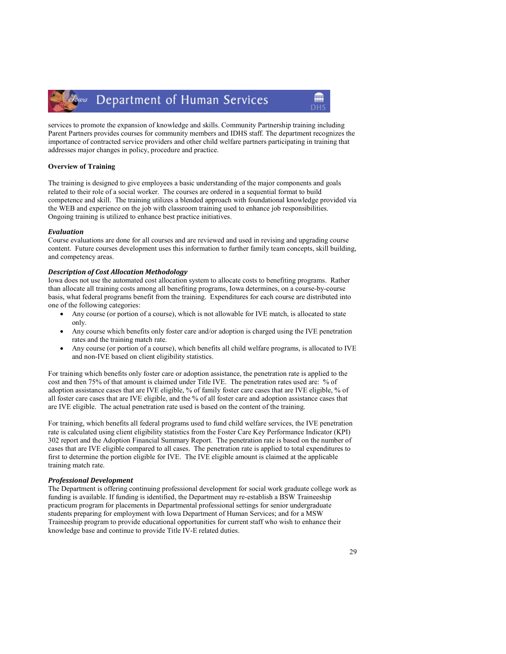Department of Human Services Jowa

services to promote the expansion of knowledge and skills. Community Partnership training including Parent Partners provides courses for community members and IDHS staff. The department recognizes the importance of contracted service providers and other child welfare partners participating in training that addresses major changes in policy, procedure and practice.

#### Overview of Training

The training is designed to give employees a basic understanding of the major components and goals related to their role of a social worker. The courses are ordered in a sequential format to build competence and skill. The training utilizes a blended approach with foundational knowledge provided via the WEB and experience on the job with classroom training used to enhance job responsibilities. Ongoing training is utilized to enhance best practice initiatives.

#### Evaluation

Course evaluations are done for all courses and are reviewed and used in revising and upgrading course content. Future courses development uses this information to further family team concepts, skill building, and competency areas.

#### Description of Cost Allocation Methodology

Iowa does not use the automated cost allocation system to allocate costs to benefiting programs. Rather than allocate all training costs among all benefiting programs, Iowa determines, on a course-by-course basis, what federal programs benefit from the training. Expenditures for each course are distributed into one of the following categories:

- Any course (or portion of a course), which is not allowable for IVE match, is allocated to state only.
- Any course which benefits only foster care and/or adoption is charged using the IVE penetration rates and the training match rate.
- Any course (or portion of a course), which benefits all child welfare programs, is allocated to IVE and non-IVE based on client eligibility statistics.

For training which benefits only foster care or adoption assistance, the penetration rate is applied to the cost and then 75% of that amount is claimed under Title IVE. The penetration rates used are: % of adoption assistance cases that are IVE eligible, % of family foster care cases that are IVE eligible, % of all foster care cases that are IVE eligible, and the % of all foster care and adoption assistance cases that are IVE eligible. The actual penetration rate used is based on the content of the training.

For training, which benefits all federal programs used to fund child welfare services, the IVE penetration rate is calculated using client eligibility statistics from the Foster Care Key Performance Indicator (KPI) 302 report and the Adoption Financial Summary Report. The penetration rate is based on the number of cases that are IVE eligible compared to all cases. The penetration rate is applied to total expenditures to first to determine the portion eligible for IVE. The IVE eligible amount is claimed at the applicable training match rate.

#### Professional Development

The Department is offering continuing professional development for social work graduate college work as funding is available. If funding is identified, the Department may re-establish a BSW Traineeship practicum program for placements in Departmental professional settings for senior undergraduate students preparing for employment with Iowa Department of Human Services; and for a MSW Traineeship program to provide educational opportunities for current staff who wish to enhance their knowledge base and continue to provide Title IV-E related duties.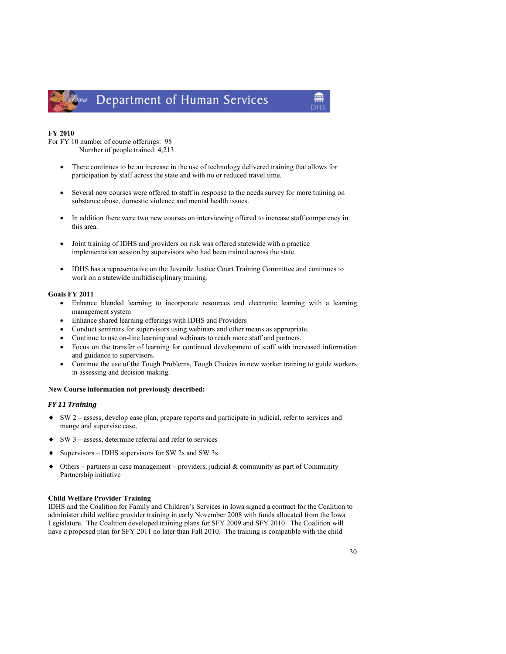

### Department of Human Services

#### FY 2010

For FY 10 number of course offerings: 98 Number of people trained: 4,213

- There continues to be an increase in the use of technology delivered training that allows for participation by staff across the state and with no or reduced travel time.
- Several new courses were offered to staff in response to the needs survey for more training on substance abuse, domestic violence and mental health issues.
- In addition there were two new courses on interviewing offered to increase staff competency in this area.
- Joint training of IDHS and providers on risk was offered statewide with a practice implementation session by supervisors who had been trained across the state.
- IDHS has a representative on the Juvenile Justice Court Training Committee and continues to work on a statewide multidisciplinary training.

#### Goals FY 2011

- Enhance blended learning to incorporate resources and electronic learning with a learning management system
- Enhance shared learning offerings with IDHS and Providers
- Conduct seminars for supervisors using webinars and other means as appropriate.
- Continue to use on-line learning and webinars to reach more staff and partners.
- Focus on the transfer of learning for continued development of staff with increased information and guidance to supervisors.
- Continue the use of the Tough Problems, Tough Choices in new worker training to guide workers in assessing and decision making.

#### New Course information not previously described:

#### FY 11 Training

- ♦ SW 2 assess, develop case plan, prepare reports and participate in judicial, refer to services and mange and supervise case,
- ♦ SW 3 assess, determine referral and refer to services
- ♦ Supervisors IDHS supervisors for SW 2s and SW 3s
- $\blacklozenge$  Others partners in case management providers, judicial & community as part of Community Partnership initiative

#### Child Welfare Provider Training

IDHS and the Coalition for Family and Children's Services in Iowa signed a contract for the Coalition to administer child welfare provider training in early November 2008 with funds allocated from the Iowa Legislature. The Coalition developed training plans for SFY 2009 and SFY 2010. The Coalition will have a proposed plan for SFY 2011 no later than Fall 2010. The training is compatible with the child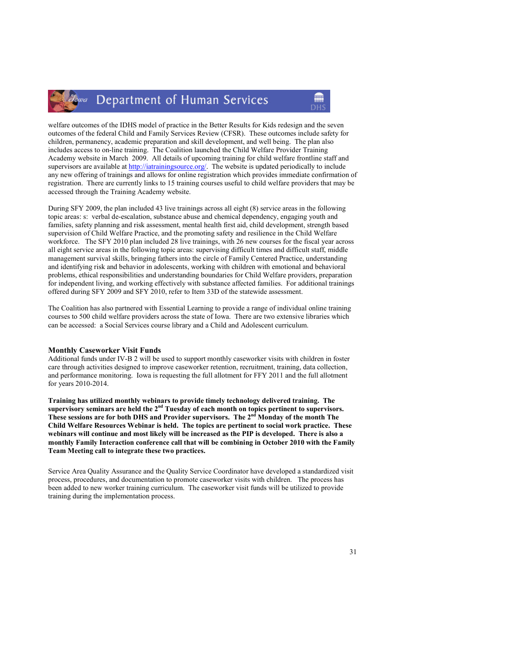#### Department of Human Services Iowa

welfare outcomes of the IDHS model of practice in the Better Results for Kids redesign and the seven outcomes of the federal Child and Family Services Review (CFSR). These outcomes include safety for children, permanency, academic preparation and skill development, and well being. The plan also includes access to on-line training. The Coalition launched the Child Welfare Provider Training Academy website in March 2009. All details of upcoming training for child welfare frontline staff and supervisors are available at http://iatrainingsource.org/. The website is updated periodically to include any new offering of trainings and allows for online registration which provides immediate confirmation of registration. There are currently links to 15 training courses useful to child welfare providers that may be accessed through the Training Academy website.

During SFY 2009, the plan included 43 live trainings across all eight (8) service areas in the following topic areas: s: verbal de-escalation, substance abuse and chemical dependency, engaging youth and families, safety planning and risk assessment, mental health first aid, child development, strength based supervision of Child Welfare Practice, and the promoting safety and resilience in the Child Welfare workforce. The SFY 2010 plan included 28 live trainings, with 26 new courses for the fiscal year across all eight service areas in the following topic areas: supervising difficult times and difficult staff, middle management survival skills, bringing fathers into the circle of Family Centered Practice, understanding and identifying risk and behavior in adolescents, working with children with emotional and behavioral problems, ethical responsibilities and understanding boundaries for Child Welfare providers, preparation for independent living, and working effectively with substance affected families. For additional trainings offered during SFY 2009 and SFY 2010, refer to Item 33D of the statewide assessment.

The Coalition has also partnered with Essential Learning to provide a range of individual online training courses to 500 child welfare providers across the state of Iowa. There are two extensive libraries which can be accessed: a Social Services course library and a Child and Adolescent curriculum.

#### Monthly Caseworker Visit Funds

Additional funds under IV-B 2 will be used to support monthly caseworker visits with children in foster care through activities designed to improve caseworker retention, recruitment, training, data collection, and performance monitoring. Iowa is requesting the full allotment for FFY 2011 and the full allotment for years 2010-2014.

Training has utilized monthly webinars to provide timely technology delivered training. The supervisory seminars are held the  $2<sup>nd</sup>$  Tuesday of each month on topics pertinent to supervisors. These sessions are for both DHS and Provider supervisors. The 2<sup>nd</sup> Monday of the month The Child Welfare Resources Webinar is held. The topics are pertinent to social work practice. These webinars will continue and most likely will be increased as the PIP is developed. There is also a monthly Family Interaction conference call that will be combining in October 2010 with the Family Team Meeting call to integrate these two practices.

Service Area Quality Assurance and the Quality Service Coordinator have developed a standardized visit process, procedures, and documentation to promote caseworker visits with children. The process has been added to new worker training curriculum. The caseworker visit funds will be utilized to provide training during the implementation process.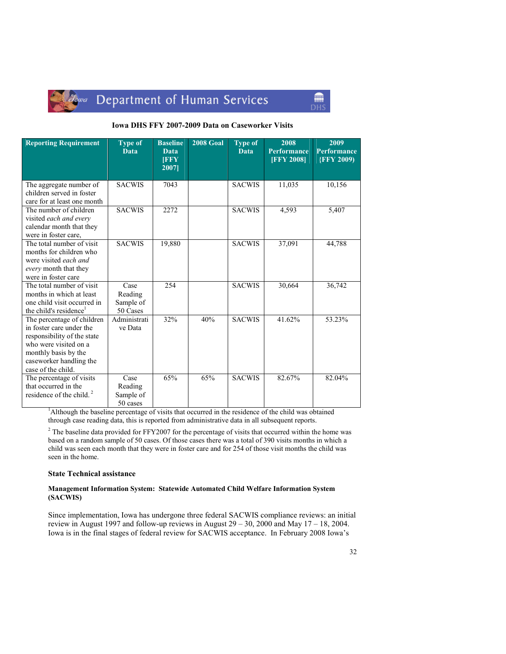

## lowa Department of Human Services

#### Iowa DHS FFY 2007-2009 Data on Caseworker Visits

m

| <b>Reporting Requirement</b>                                                                                                                                                            | <b>Type of</b><br><b>Data</b>            | <b>Baseline</b><br>Data<br><b>IFFY</b><br>2007 | <b>2008 Goal</b> | <b>Type of</b><br>Data | 2008<br><b>Performance</b><br><b>[FFY 2008]</b> | 2009<br><b>Performance</b><br><b>{FFY 2009)</b> |
|-----------------------------------------------------------------------------------------------------------------------------------------------------------------------------------------|------------------------------------------|------------------------------------------------|------------------|------------------------|-------------------------------------------------|-------------------------------------------------|
| The aggregate number of<br>children served in foster<br>care for at least one month                                                                                                     | <b>SACWIS</b>                            | 7043                                           |                  | <b>SACWIS</b>          | 11,035                                          | 10,156                                          |
| The number of children<br>visited each and every<br>calendar month that they<br>were in foster care,                                                                                    | <b>SACWIS</b>                            | 2272                                           |                  | <b>SACWIS</b>          | 4,593                                           | 5,407                                           |
| The total number of visit<br>months for children who<br>were visited each and<br>every month that they<br>were in foster care                                                           | <b>SACWIS</b>                            | 19,880                                         |                  | <b>SACWIS</b>          | 37,091                                          | 44,788                                          |
| The total number of visit<br>months in which at least<br>one child visit occurred in<br>the child's residence <sup>1</sup>                                                              | Case<br>Reading<br>Sample of<br>50 Cases | 254                                            |                  | <b>SACWIS</b>          | 30,664                                          | 36,742                                          |
| The percentage of children<br>in foster care under the<br>responsibility of the state<br>who were visited on a<br>monthly basis by the<br>caseworker handling the<br>case of the child. | Administrati<br>ve Data                  | 32%                                            | 40%              | <b>SACWIS</b>          | 41.62%                                          | 53.23%                                          |
| The percentage of visits<br>that occurred in the<br>residence of the child. <sup>2</sup>                                                                                                | Case<br>Reading<br>Sample of<br>50 cases | 65%                                            | 65%              | <b>SACWIS</b>          | 82.67%                                          | 82.04%                                          |

<sup>1</sup>Although the baseline percentage of visits that occurred in the residence of the child was obtained through case reading data, this is reported from administrative data in all subsequent reports.

 $2^2$  The baseline data provided for FFY2007 for the percentage of visits that occurred within the home was based on a random sample of 50 cases. Of those cases there was a total of 390 visits months in which a child was seen each month that they were in foster care and for 254 of those visit months the child was seen in the home.

#### State Technical assistance

#### Management Information System: Statewide Automated Child Welfare Information System (SACWIS)

Since implementation, Iowa has undergone three federal SACWIS compliance reviews: an initial review in August 1997 and follow-up reviews in August 29 – 30, 2000 and May 17 – 18, 2004. Iowa is in the final stages of federal review for SACWIS acceptance. In February 2008 Iowa's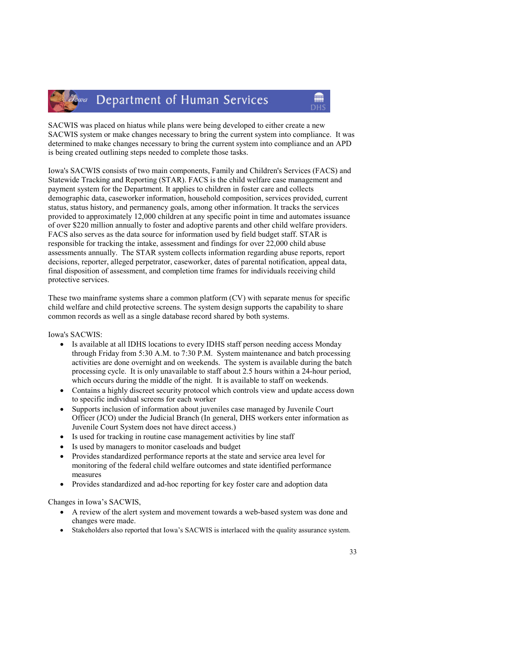### *Lowa* Department of Human Services

SACWIS was placed on hiatus while plans were being developed to either create a new SACWIS system or make changes necessary to bring the current system into compliance. It was determined to make changes necessary to bring the current system into compliance and an APD is being created outlining steps needed to complete those tasks.

m

Iowa's SACWIS consists of two main components, Family and Children's Services (FACS) and Statewide Tracking and Reporting (STAR). FACS is the child welfare case management and payment system for the Department. It applies to children in foster care and collects demographic data, caseworker information, household composition, services provided, current status, status history, and permanency goals, among other information. It tracks the services provided to approximately 12,000 children at any specific point in time and automates issuance of over \$220 million annually to foster and adoptive parents and other child welfare providers. FACS also serves as the data source for information used by field budget staff. STAR is responsible for tracking the intake, assessment and findings for over 22,000 child abuse assessments annually. The STAR system collects information regarding abuse reports, report decisions, reporter, alleged perpetrator, caseworker, dates of parental notification, appeal data, final disposition of assessment, and completion time frames for individuals receiving child protective services.

These two mainframe systems share a common platform (CV) with separate menus for specific child welfare and child protective screens. The system design supports the capability to share common records as well as a single database record shared by both systems.

#### Iowa's SACWIS:

- Is available at all IDHS locations to every IDHS staff person needing access Monday through Friday from 5:30 A.M. to 7:30 P.M. System maintenance and batch processing activities are done overnight and on weekends. The system is available during the batch processing cycle. It is only unavailable to staff about 2.5 hours within a 24-hour period, which occurs during the middle of the night. It is available to staff on weekends.
- Contains a highly discreet security protocol which controls view and update access down to specific individual screens for each worker
- Supports inclusion of information about juveniles case managed by Juvenile Court Officer (JCO) under the Judicial Branch (In general, DHS workers enter information as Juvenile Court System does not have direct access.)
- Is used for tracking in routine case management activities by line staff
- Is used by managers to monitor caseloads and budget
- Provides standardized performance reports at the state and service area level for monitoring of the federal child welfare outcomes and state identified performance measures
- Provides standardized and ad-hoc reporting for key foster care and adoption data

#### Changes in Iowa's SACWIS,

- A review of the alert system and movement towards a web-based system was done and changes were made.
- Stakeholders also reported that Iowa's SACWIS is interlaced with the quality assurance system.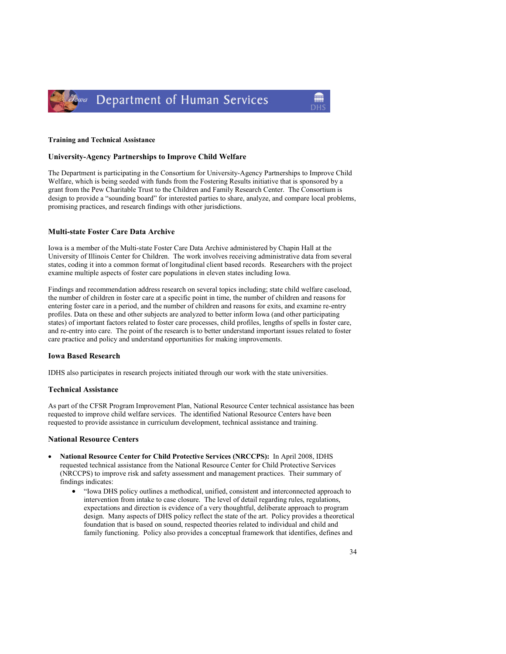

#### Training and Technical Assistance

#### University-Agency Partnerships to Improve Child Welfare

The Department is participating in the Consortium for University-Agency Partnerships to Improve Child Welfare, which is being seeded with funds from the Fostering Results initiative that is sponsored by a grant from the Pew Charitable Trust to the Children and Family Research Center. The Consortium is design to provide a "sounding board" for interested parties to share, analyze, and compare local problems, promising practices, and research findings with other jurisdictions.

#### Multi-state Foster Care Data Archive

Iowa is a member of the Multi-state Foster Care Data Archive administered by Chapin Hall at the University of Illinois Center for Children. The work involves receiving administrative data from several states, coding it into a common format of longitudinal client based records. Researchers with the project examine multiple aspects of foster care populations in eleven states including Iowa.

Findings and recommendation address research on several topics including; state child welfare caseload, the number of children in foster care at a specific point in time, the number of children and reasons for entering foster care in a period, and the number of children and reasons for exits, and examine re-entry profiles. Data on these and other subjects are analyzed to better inform Iowa (and other participating states) of important factors related to foster care processes, child profiles, lengths of spells in foster care, and re-entry into care. The point of the research is to better understand important issues related to foster care practice and policy and understand opportunities for making improvements.

#### Iowa Based Research

IDHS also participates in research projects initiated through our work with the state universities.

#### Technical Assistance

As part of the CFSR Program Improvement Plan, National Resource Center technical assistance has been requested to improve child welfare services. The identified National Resource Centers have been requested to provide assistance in curriculum development, technical assistance and training.

#### National Resource Centers

- National Resource Center for Child Protective Services (NRCCPS): In April 2008, IDHS requested technical assistance from the National Resource Center for Child Protective Services (NRCCPS) to improve risk and safety assessment and management practices. Their summary of findings indicates:
	- "Iowa DHS policy outlines a methodical, unified, consistent and interconnected approach to intervention from intake to case closure. The level of detail regarding rules, regulations, expectations and direction is evidence of a very thoughtful, deliberate approach to program design. Many aspects of DHS policy reflect the state of the art. Policy provides a theoretical foundation that is based on sound, respected theories related to individual and child and family functioning. Policy also provides a conceptual framework that identifies, defines and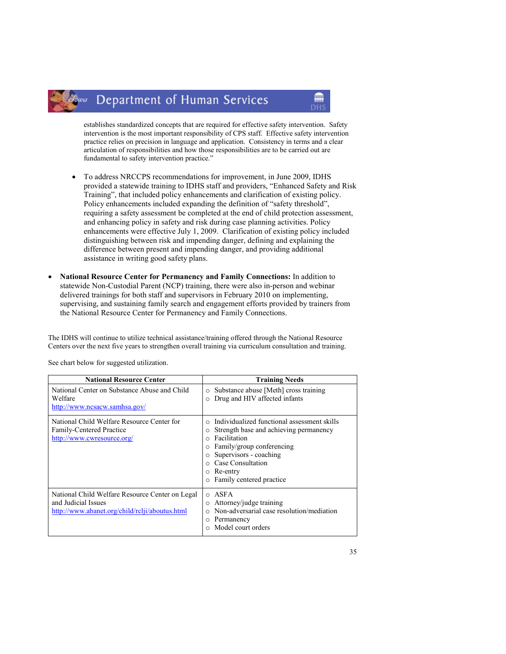#### Department of Human Services owa

establishes standardized concepts that are required for effective safety intervention. Safety intervention is the most important responsibility of CPS staff. Effective safety intervention practice relies on precision in language and application. Consistency in terms and a clear articulation of responsibilities and how those responsibilities are to be carried out are fundamental to safety intervention practice."

m

- To address NRCCPS recommendations for improvement, in June 2009, IDHS provided a statewide training to IDHS staff and providers, "Enhanced Safety and Risk Training", that included policy enhancements and clarification of existing policy. Policy enhancements included expanding the definition of "safety threshold", requiring a safety assessment be completed at the end of child protection assessment, and enhancing policy in safety and risk during case planning activities. Policy enhancements were effective July 1, 2009. Clarification of existing policy included distinguishing between risk and impending danger, defining and explaining the difference between present and impending danger, and providing additional assistance in writing good safety plans.
- National Resource Center for Permanency and Family Connections: In addition to statewide Non-Custodial Parent (NCP) training, there were also in-person and webinar delivered trainings for both staff and supervisors in February 2010 on implementing, supervising, and sustaining family search and engagement efforts provided by trainers from the National Resource Center for Permanency and Family Connections.

The IDHS will continue to utilize technical assistance/training offered through the National Resource Centers over the next five years to strengthen overall training via curriculum consultation and training.

| <b>National Resource Center</b>                                                                                          | <b>Training Needs</b>                                                                                                                                                                                                     |
|--------------------------------------------------------------------------------------------------------------------------|---------------------------------------------------------------------------------------------------------------------------------------------------------------------------------------------------------------------------|
| National Center on Substance Abuse and Child<br>Welfare<br>http://www.ncsacw.samhsa.gov/                                 | Substance abuse [Meth] cross training<br>$\circ$<br>Drug and HIV affected infants                                                                                                                                         |
| National Child Welfare Resource Center for<br>Family-Centered Practice<br>http://www.cwresource.org/                     | Individualized functional assessment skills<br>Strength base and achieving permanency<br>Facilitation<br>Family/group conferencing<br>Supervisors - coaching<br>Case Consultation<br>Re-entry<br>Family centered practice |
| National Child Welfare Resource Center on Legal<br>and Judicial Issues<br>http://www.abanet.org/child/rclji/aboutus.html | ASFA<br>$\Omega$<br>Attorney/judge training<br>Non-adversarial case resolution/mediation<br>Permanency<br>Model court orders                                                                                              |

See chart below for suggested utilization.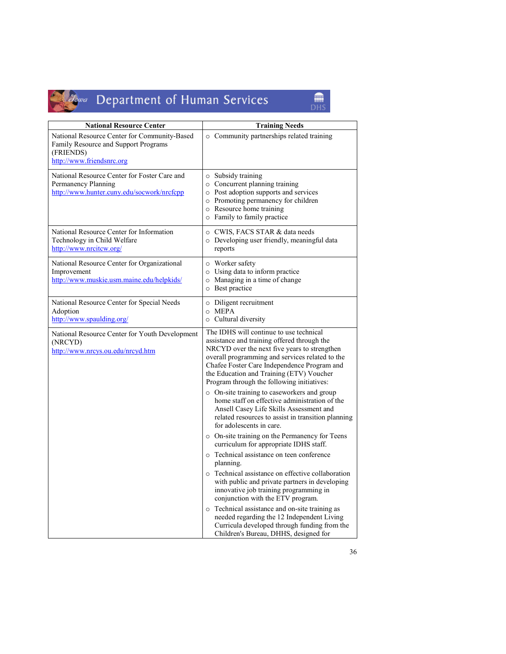

# Jowa Department of Human Services

 $\begin{array}{c}\n\hline\n\text{min} \\
\text{DHS}\n\end{array}$ 

| <b>National Resource Center</b>                                                                                                | <b>Training Needs</b>                                                                                                                                                                                                                                                                                                              |
|--------------------------------------------------------------------------------------------------------------------------------|------------------------------------------------------------------------------------------------------------------------------------------------------------------------------------------------------------------------------------------------------------------------------------------------------------------------------------|
| National Resource Center for Community-Based<br>Family Resource and Support Programs<br>(FRIENDS)<br>http://www.friendsnrc.org | o Community partnerships related training                                                                                                                                                                                                                                                                                          |
| National Resource Center for Foster Care and<br>Permanency Planning<br>http://www.hunter.cuny.edu/socwork/nrcfcpp              | $\circ$ Subsidy training<br>o Concurrent planning training<br>o Post adoption supports and services<br>• Promoting permanency for children<br>o Resource home training<br>o Family to family practice                                                                                                                              |
| National Resource Center for Information<br>Technology in Child Welfare<br>http://www.nrcitcw.org/                             | ○ CWIS, FACS STAR & data needs<br>$\circ$ Developing user friendly, meaningful data<br>reports                                                                                                                                                                                                                                     |
| National Resource Center for Organizational<br>Improvement<br>http://www.muskie.usm.maine.edu/helpkids/                        | o Worker safety<br>o Using data to inform practice<br>o Managing in a time of change<br>o Best practice                                                                                                                                                                                                                            |
| National Resource Center for Special Needs<br>Adoption<br>http://www.spaulding.org/                                            | o Diligent recruitment<br>$O$ MEPA<br>o Cultural diversity                                                                                                                                                                                                                                                                         |
| National Resource Center for Youth Development<br>(NRCYD)<br>http://www.nrcys.ou.edu/nrcyd.htm                                 | The IDHS will continue to use technical<br>assistance and training offered through the<br>NRCYD over the next five years to strengthen<br>overall programming and services related to the<br>Chafee Foster Care Independence Program and<br>the Education and Training (ETV) Voucher<br>Program through the following initiatives: |
|                                                                                                                                | $\circ$ On-site training to caseworkers and group<br>home staff on effective administration of the<br>Ansell Casey Life Skills Assessment and<br>related resources to assist in transition planning<br>for adolescents in care.                                                                                                    |
|                                                                                                                                | o On-site training on the Permanency for Teens<br>curriculum for appropriate IDHS staff.                                                                                                                                                                                                                                           |
|                                                                                                                                | o Technical assistance on teen conference<br>planning.                                                                                                                                                                                                                                                                             |
|                                                                                                                                | o Technical assistance on effective collaboration<br>with public and private partners in developing<br>innovative job training programming in<br>conjunction with the ETV program.                                                                                                                                                 |
|                                                                                                                                | o Technical assistance and on-site training as<br>needed regarding the 12 Independent Living<br>Curricula developed through funding from the<br>Children's Bureau, DHHS, designed for                                                                                                                                              |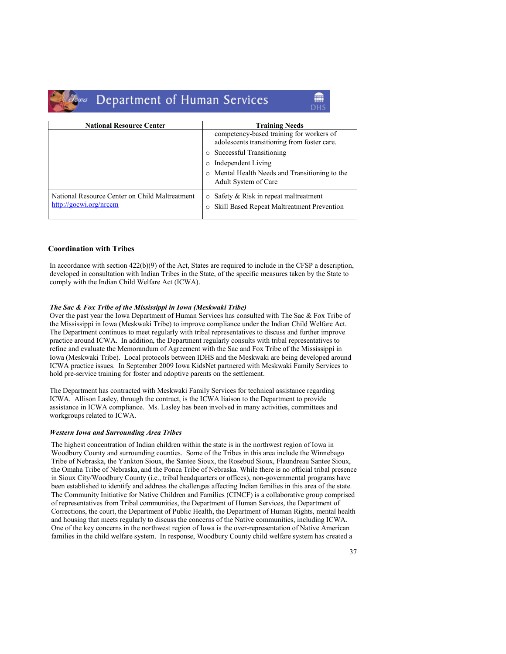

# Guea Department of Human Services

| <b>National Resource Center</b>                                          | <b>Training Needs</b>                                                                                    |  |  |
|--------------------------------------------------------------------------|----------------------------------------------------------------------------------------------------------|--|--|
|                                                                          | competency-based training for workers of<br>adolescents transitioning from foster care.                  |  |  |
|                                                                          | Successful Transitioning<br>$\circ$                                                                      |  |  |
|                                                                          | Independent Living<br>O                                                                                  |  |  |
|                                                                          | Mental Health Needs and Transitioning to the<br>$\circ$<br>Adult System of Care                          |  |  |
| National Resource Center on Child Maltreatment<br>http://gocwi.org/nrccm | Safety & Risk in repeat maltreatment<br>$\circ$<br>Skill Based Repeat Maltreatment Prevention<br>$\circ$ |  |  |

# Coordination with Tribes

In accordance with section 422(b)(9) of the Act, States are required to include in the CFSP a description, developed in consultation with Indian Tribes in the State, of the specific measures taken by the State to comply with the Indian Child Welfare Act (ICWA).

# The Sac & Fox Tribe of the Mississippi in Iowa (Meskwaki Tribe)

Over the past year the Iowa Department of Human Services has consulted with The Sac & Fox Tribe of the Mississippi in Iowa (Meskwaki Tribe) to improve compliance under the Indian Child Welfare Act. The Department continues to meet regularly with tribal representatives to discuss and further improve practice around ICWA. In addition, the Department regularly consults with tribal representatives to refine and evaluate the Memorandum of Agreement with the Sac and Fox Tribe of the Mississippi in Iowa (Meskwaki Tribe). Local protocols between IDHS and the Meskwaki are being developed around ICWA practice issues. In September 2009 Iowa KidsNet partnered with Meskwaki Family Services to hold pre-service training for foster and adoptive parents on the settlement.

The Department has contracted with Meskwaki Family Services for technical assistance regarding ICWA. Allison Lasley, through the contract, is the ICWA liaison to the Department to provide assistance in ICWA compliance. Ms. Lasley has been involved in many activities, committees and workgroups related to ICWA.

# Western Iowa and Surrounding Area Tribes

The highest concentration of Indian children within the state is in the northwest region of Iowa in Woodbury County and surrounding counties. Some of the Tribes in this area include the Winnebago Tribe of Nebraska, the Yankton Sioux, the Santee Sioux, the Rosebud Sioux, Flaundreau Santee Sioux, the Omaha Tribe of Nebraska, and the Ponca Tribe of Nebraska. While there is no official tribal presence in Sioux City/Woodbury County (i.e., tribal headquarters or offices), non-governmental programs have been established to identify and address the challenges affecting Indian families in this area of the state. The Community Initiative for Native Children and Families (CINCF) is a collaborative group comprised of representatives from Tribal communities, the Department of Human Services, the Department of Corrections, the court, the Department of Public Health, the Department of Human Rights, mental health and housing that meets regularly to discuss the concerns of the Native communities, including ICWA. One of the key concerns in the northwest region of Iowa is the over-representation of Native American families in the child welfare system. In response, Woodbury County child welfare system has created a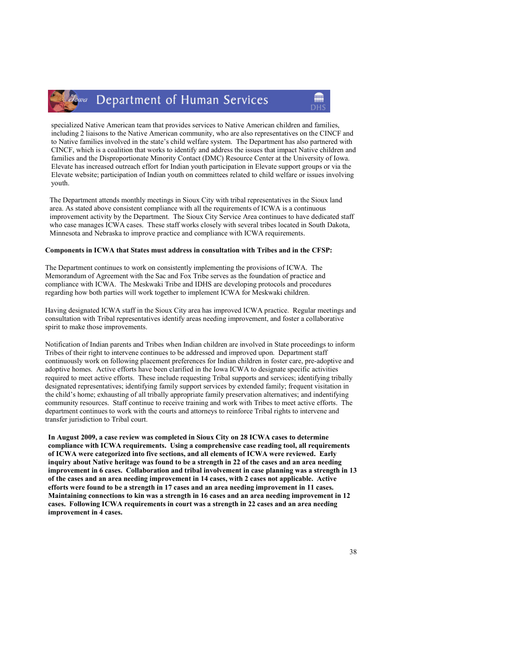specialized Native American team that provides services to Native American children and families, including 2 liaisons to the Native American community, who are also representatives on the CINCF and to Native families involved in the state's child welfare system. The Department has also partnered with CINCF, which is a coalition that works to identify and address the issues that impact Native children and families and the Disproportionate Minority Contact (DMC) Resource Center at the University of Iowa. Elevate has increased outreach effort for Indian youth participation in Elevate support groups or via the Elevate website; participation of Indian youth on committees related to child welfare or issues involving youth.

The Department attends monthly meetings in Sioux City with tribal representatives in the Sioux land area. As stated above consistent compliance with all the requirements of ICWA is a continuous improvement activity by the Department. The Sioux City Service Area continues to have dedicated staff who case manages ICWA cases. These staff works closely with several tribes located in South Dakota, Minnesota and Nebraska to improve practice and compliance with ICWA requirements.

#### Components in ICWA that States must address in consultation with Tribes and in the CFSP:

The Department continues to work on consistently implementing the provisions of ICWA. The Memorandum of Agreement with the Sac and Fox Tribe serves as the foundation of practice and compliance with ICWA. The Meskwaki Tribe and IDHS are developing protocols and procedures regarding how both parties will work together to implement ICWA for Meskwaki children.

Having designated ICWA staff in the Sioux City area has improved ICWA practice. Regular meetings and consultation with Tribal representatives identify areas needing improvement, and foster a collaborative spirit to make those improvements.

Notification of Indian parents and Tribes when Indian children are involved in State proceedings to inform Tribes of their right to intervene continues to be addressed and improved upon. Department staff continuously work on following placement preferences for Indian children in foster care, pre-adoptive and adoptive homes. Active efforts have been clarified in the Iowa ICWA to designate specific activities required to meet active efforts. These include requesting Tribal supports and services; identifying tribally designated representatives; identifying family support services by extended family; frequent visitation in the child's home; exhausting of all tribally appropriate family preservation alternatives; and indentifying community resources. Staff continue to receive training and work with Tribes to meet active efforts. The department continues to work with the courts and attorneys to reinforce Tribal rights to intervene and transfer jurisdiction to Tribal court.

In August 2009, a case review was completed in Sioux City on 28 ICWA cases to determine compliance with ICWA requirements. Using a comprehensive case reading tool, all requirements of ICWA were categorized into five sections, and all elements of ICWA were reviewed. Early inquiry about Native heritage was found to be a strength in 22 of the cases and an area needing improvement in 6 cases. Collaboration and tribal involvement in case planning was a strength in 13 of the cases and an area needing improvement in 14 cases, with 2 cases not applicable. Active efforts were found to be a strength in 17 cases and an area needing improvement in 11 cases. Maintaining connections to kin was a strength in 16 cases and an area needing improvement in 12 cases. Following ICWA requirements in court was a strength in 22 cases and an area needing improvement in 4 cases.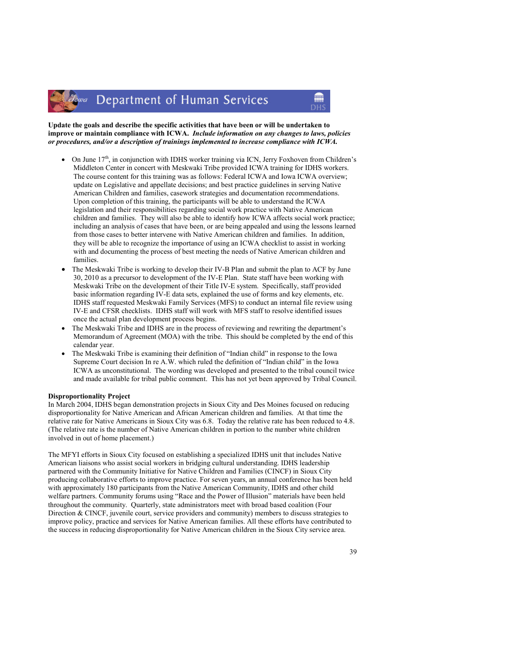Update the goals and describe the specific activities that have been or will be undertaken to improve or maintain compliance with ICWA. Include information on any changes to laws, policies or procedures, and/or a description of trainings implemented to increase compliance with ICWA.

- On June  $17<sup>th</sup>$ , in conjunction with IDHS worker training via ICN, Jerry Foxhoven from Children's Middleton Center in concert with Meskwaki Tribe provided ICWA training for IDHS workers. The course content for this training was as follows: Federal ICWA and Iowa ICWA overview; update on Legislative and appellate decisions; and best practice guidelines in serving Native American Children and families, casework strategies and documentation recommendations. Upon completion of this training, the participants will be able to understand the ICWA legislation and their responsibilities regarding social work practice with Native American children and families. They will also be able to identify how ICWA affects social work practice; including an analysis of cases that have been, or are being appealed and using the lessons learned from those cases to better intervene with Native American children and families. In addition, they will be able to recognize the importance of using an ICWA checklist to assist in working with and documenting the process of best meeting the needs of Native American children and families.
- The Meskwaki Tribe is working to develop their IV-B Plan and submit the plan to ACF by June 30, 2010 as a precursor to development of the IV-E Plan. State staff have been working with Meskwaki Tribe on the development of their Title IV-E system. Specifically, staff provided basic information regarding IV-E data sets, explained the use of forms and key elements, etc. IDHS staff requested Meskwaki Family Services (MFS) to conduct an internal file review using IV-E and CFSR checklists. IDHS staff will work with MFS staff to resolve identified issues once the actual plan development process begins.
- The Meskwaki Tribe and IDHS are in the process of reviewing and rewriting the department's Memorandum of Agreement (MOA) with the tribe. This should be completed by the end of this calendar year.
- The Meskwaki Tribe is examining their definition of "Indian child" in response to the Iowa Supreme Court decision In re A.W. which ruled the definition of "Indian child" in the Iowa ICWA as unconstitutional. The wording was developed and presented to the tribal council twice and made available for tribal public comment. This has not yet been approved by Tribal Council.

#### Disproportionality Project

In March 2004, IDHS began demonstration projects in Sioux City and Des Moines focused on reducing disproportionality for Native American and African American children and families. At that time the relative rate for Native Americans in Sioux City was 6.8. Today the relative rate has been reduced to 4.8. (The relative rate is the number of Native American children in portion to the number white children involved in out of home placement.)

The MFYI efforts in Sioux City focused on establishing a specialized IDHS unit that includes Native American liaisons who assist social workers in bridging cultural understanding. IDHS leadership partnered with the Community Initiative for Native Children and Families (CINCF) in Sioux City producing collaborative efforts to improve practice. For seven years, an annual conference has been held with approximately 180 participants from the Native American Community, IDHS and other child welfare partners. Community forums using "Race and the Power of Illusion" materials have been held throughout the community. Quarterly, state administrators meet with broad based coalition (Four Direction & CINCF, juvenile court, service providers and community) members to discuss strategies to improve policy, practice and services for Native American families. All these efforts have contributed to the success in reducing disproportionality for Native American children in the Sioux City service area.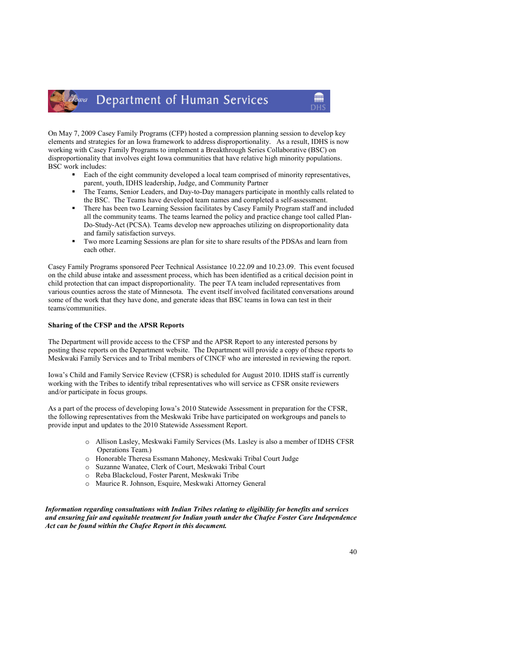On May 7, 2009 Casey Family Programs (CFP) hosted a compression planning session to develop key elements and strategies for an Iowa framework to address disproportionality. As a result, IDHS is now working with Casey Family Programs to implement a Breakthrough Series Collaborative (BSC) on disproportionality that involves eight Iowa communities that have relative high minority populations. BSC work includes:

- **Each of the eight community developed a local team comprised of minority representatives,** parent, youth, IDHS leadership, Judge, and Community Partner
- - The Teams, Senior Leaders, and Day-to-Day managers participate in monthly calls related to the BSC. The Teams have developed team names and completed a self-assessment.
- - There has been two Learning Session facilitates by Casey Family Program staff and included all the community teams. The teams learned the policy and practice change tool called Plan-Do-Study-Act (PCSA). Teams develop new approaches utilizing on disproportionality data and family satisfaction surveys.
- - Two more Learning Sessions are plan for site to share results of the PDSAs and learn from each other.

Casey Family Programs sponsored Peer Technical Assistance 10.22.09 and 10.23.09. This event focused on the child abuse intake and assessment process, which has been identified as a critical decision point in child protection that can impact disproportionality. The peer TA team included representatives from various counties across the state of Minnesota. The event itself involved facilitated conversations around some of the work that they have done, and generate ideas that BSC teams in Iowa can test in their teams/communities.

# Sharing of the CFSP and the APSR Reports

The Department will provide access to the CFSP and the APSR Report to any interested persons by posting these reports on the Department website. The Department will provide a copy of these reports to Meskwaki Family Services and to Tribal members of CINCF who are interested in reviewing the report.

Iowa's Child and Family Service Review (CFSR) is scheduled for August 2010. IDHS staff is currently working with the Tribes to identify tribal representatives who will service as CFSR onsite reviewers and/or participate in focus groups.

As a part of the process of developing Iowa's 2010 Statewide Assessment in preparation for the CFSR, the following representatives from the Meskwaki Tribe have participated on workgroups and panels to provide input and updates to the 2010 Statewide Assessment Report.

- o Allison Lasley, Meskwaki Family Services (Ms. Lasley is also a member of IDHS CFSR Operations Team.)
- o Honorable Theresa Essmann Mahoney, Meskwaki Tribal Court Judge
- o Suzanne Wanatee, Clerk of Court, Meskwaki Tribal Court
- o Reba Blackcloud, Foster Parent, Meskwaki Tribe
- o Maurice R. Johnson, Esquire, Meskwaki Attorney General

Information regarding consultations with Indian Tribes relating to eligibility for benefits and services and ensuring fair and equitable treatment for Indian youth under the Chafee Foster Care Independence Act can be found within the Chafee Report in this document.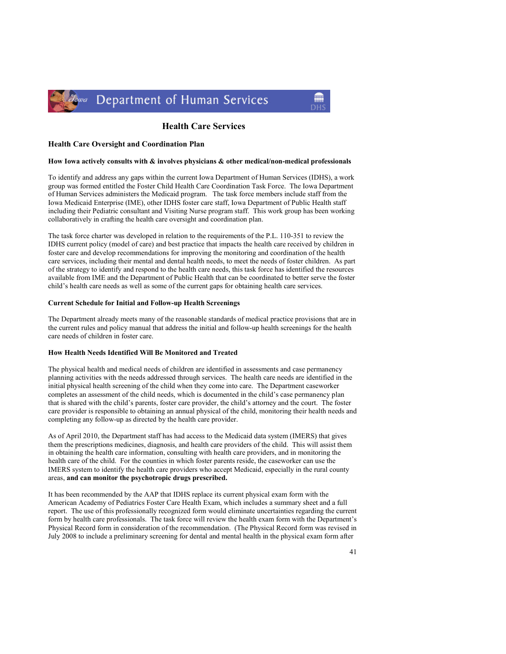

# Health Care Services

# Health Care Oversight and Coordination Plan

# How Iowa actively consults with & involves physicians & other medical/non-medical professionals

To identify and address any gaps within the current Iowa Department of Human Services (IDHS), a work group was formed entitled the Foster Child Health Care Coordination Task Force. The Iowa Department of Human Services administers the Medicaid program. The task force members include staff from the Iowa Medicaid Enterprise (IME), other IDHS foster care staff, Iowa Department of Public Health staff including their Pediatric consultant and Visiting Nurse program staff. This work group has been working collaboratively in crafting the health care oversight and coordination plan.

The task force charter was developed in relation to the requirements of the P.L. 110-351 to review the IDHS current policy (model of care) and best practice that impacts the health care received by children in foster care and develop recommendations for improving the monitoring and coordination of the health care services, including their mental and dental health needs, to meet the needs of foster children. As part of the strategy to identify and respond to the health care needs, this task force has identified the resources available from IME and the Department of Public Health that can be coordinated to better serve the foster child's health care needs as well as some of the current gaps for obtaining health care services.

### Current Schedule for Initial and Follow-up Health Screenings

The Department already meets many of the reasonable standards of medical practice provisions that are in the current rules and policy manual that address the initial and follow-up health screenings for the health care needs of children in foster care.

# How Health Needs Identified Will Be Monitored and Treated

The physical health and medical needs of children are identified in assessments and case permanency planning activities with the needs addressed through services. The health care needs are identified in the initial physical health screening of the child when they come into care. The Department caseworker completes an assessment of the child needs, which is documented in the child's case permanency plan that is shared with the child's parents, foster care provider, the child's attorney and the court. The foster care provider is responsible to obtaining an annual physical of the child, monitoring their health needs and completing any follow-up as directed by the health care provider.

As of April 2010, the Department staff has had access to the Medicaid data system (IMERS) that gives them the prescriptions medicines, diagnosis, and health care providers of the child. This will assist them in obtaining the health care information, consulting with health care providers, and in monitoring the health care of the child. For the counties in which foster parents reside, the caseworker can use the IMERS system to identify the health care providers who accept Medicaid, especially in the rural county areas, and can monitor the psychotropic drugs prescribed.

It has been recommended by the AAP that IDHS replace its current physical exam form with the American Academy of Pediatrics Foster Care Health Exam, which includes a summary sheet and a full report. The use of this professionally recognized form would eliminate uncertainties regarding the current form by health care professionals. The task force will review the health exam form with the Department's Physical Record form in consideration of the recommendation. (The Physical Record form was revised in July 2008 to include a preliminary screening for dental and mental health in the physical exam form after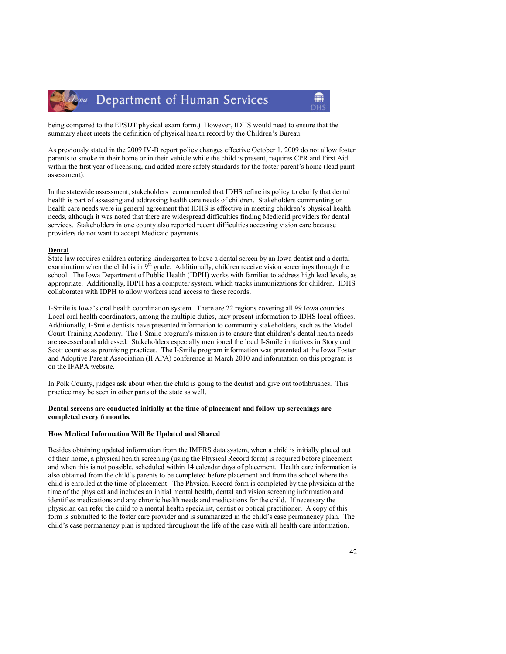



As previously stated in the 2009 IV-B report policy changes effective October 1, 2009 do not allow foster parents to smoke in their home or in their vehicle while the child is present, requires CPR and First Aid within the first year of licensing, and added more safety standards for the foster parent's home (lead paint assessment).

In the statewide assessment, stakeholders recommended that IDHS refine its policy to clarify that dental health is part of assessing and addressing health care needs of children. Stakeholders commenting on health care needs were in general agreement that IDHS is effective in meeting children's physical health needs, although it was noted that there are widespread difficulties finding Medicaid providers for dental services. Stakeholders in one county also reported recent difficulties accessing vision care because providers do not want to accept Medicaid payments.

#### **Dental**

State law requires children entering kindergarten to have a dental screen by an Iowa dentist and a dental examination when the child is in  $9<sup>th</sup>$  grade. Additionally, children receive vision screenings through the school. The Iowa Department of Public Health (IDPH) works with families to address high lead levels, as appropriate. Additionally, IDPH has a computer system, which tracks immunizations for children. IDHS collaborates with IDPH to allow workers read access to these records.

I-Smile is Iowa's oral health coordination system. There are 22 regions covering all 99 Iowa counties. Local oral health coordinators, among the multiple duties, may present information to IDHS local offices. Additionally, I-Smile dentists have presented information to community stakeholders, such as the Model Court Training Academy. The I-Smile program's mission is to ensure that children's dental health needs are assessed and addressed. Stakeholders especially mentioned the local I-Smile initiatives in Story and Scott counties as promising practices. The I-Smile program information was presented at the Iowa Foster and Adoptive Parent Association (IFAPA) conference in March 2010 and information on this program is on the IFAPA website.

In Polk County, judges ask about when the child is going to the dentist and give out toothbrushes. This practice may be seen in other parts of the state as well.

# Dental screens are conducted initially at the time of placement and follow-up screenings are completed every 6 months.

## How Medical Information Will Be Updated and Shared

Besides obtaining updated information from the IMERS data system, when a child is initially placed out of their home, a physical health screening (using the Physical Record form) is required before placement and when this is not possible, scheduled within 14 calendar days of placement. Health care information is also obtained from the child's parents to be completed before placement and from the school where the child is enrolled at the time of placement. The Physical Record form is completed by the physician at the time of the physical and includes an initial mental health, dental and vision screening information and identifies medications and any chronic health needs and medications for the child. If necessary the physician can refer the child to a mental health specialist, dentist or optical practitioner. A copy of this form is submitted to the foster care provider and is summarized in the child's case permanency plan. The child's case permanency plan is updated throughout the life of the case with all health care information.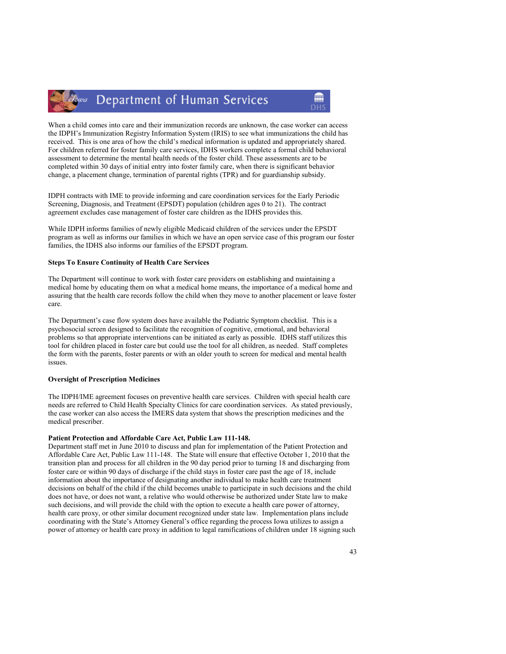When a child comes into care and their immunization records are unknown, the case worker can access the IDPH's Immunization Registry Information System (IRIS) to see what immunizations the child has received. This is one area of how the child's medical information is updated and appropriately shared. For children referred for foster family care services, IDHS workers complete a formal child behavioral assessment to determine the mental health needs of the foster child. These assessments are to be completed within 30 days of initial entry into foster family care, when there is significant behavior change, a placement change, termination of parental rights (TPR) and for guardianship subsidy.

IDPH contracts with IME to provide informing and care coordination services for the Early Periodic Screening, Diagnosis, and Treatment (EPSDT) population (children ages 0 to 21). The contract agreement excludes case management of foster care children as the IDHS provides this.

While IDPH informs families of newly eligible Medicaid children of the services under the EPSDT program as well as informs our families in which we have an open service case of this program our foster families, the IDHS also informs our families of the EPSDT program.

# Steps To Ensure Continuity of Health Care Services

The Department will continue to work with foster care providers on establishing and maintaining a medical home by educating them on what a medical home means, the importance of a medical home and assuring that the health care records follow the child when they move to another placement or leave foster care.

The Department's case flow system does have available the Pediatric Symptom checklist. This is a psychosocial screen designed to facilitate the recognition of cognitive, emotional, and behavioral problems so that appropriate interventions can be initiated as early as possible. IDHS staff utilizes this tool for children placed in foster care but could use the tool for all children, as needed. Staff completes the form with the parents, foster parents or with an older youth to screen for medical and mental health issues.

### Oversight of Prescription Medicines

The IDPH/IME agreement focuses on preventive health care services. Children with special health care needs are referred to Child Health Specialty Clinics for care coordination services. As stated previously, the case worker can also access the IMERS data system that shows the prescription medicines and the medical prescriber.

#### Patient Protection and Affordable Care Act, Public Law 111-148.

Department staff met in June 2010 to discuss and plan for implementation of the Patient Protection and Affordable Care Act, Public Law 111-148. The State will ensure that effective October 1, 2010 that the transition plan and process for all children in the 90 day period prior to turning 18 and discharging from foster care or within 90 days of discharge if the child stays in foster care past the age of 18, include information about the importance of designating another individual to make health care treatment decisions on behalf of the child if the child becomes unable to participate in such decisions and the child does not have, or does not want, a relative who would otherwise be authorized under State law to make such decisions, and will provide the child with the option to execute a health care power of attorney, health care proxy, or other similar document recognized under state law. Implementation plans include coordinating with the State's Attorney General's office regarding the process Iowa utilizes to assign a power of attorney or health care proxy in addition to legal ramifications of children under 18 signing such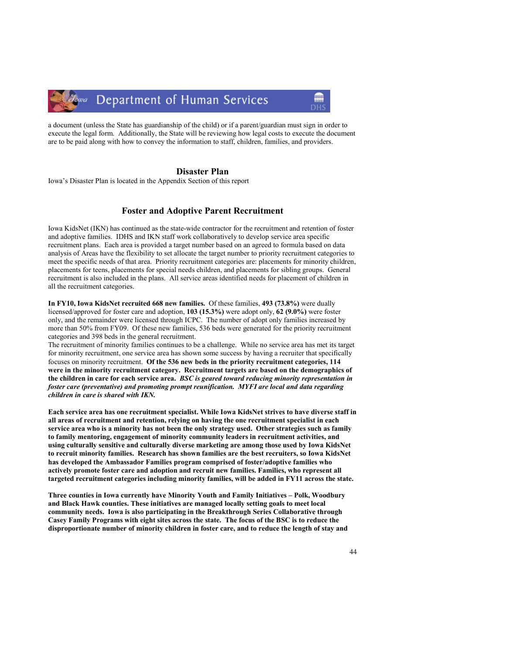a document (unless the State has guardianship of the child) or if a parent/guardian must sign in order to execute the legal form. Additionally, the State will be reviewing how legal costs to execute the document are to be paid along with how to convey the information to staff, children, families, and providers.

# Disaster Plan

Iowa's Disaster Plan is located in the Appendix Section of this report

# Foster and Adoptive Parent Recruitment

Iowa KidsNet (IKN) has continued as the state-wide contractor for the recruitment and retention of foster and adoptive families. IDHS and IKN staff work collaboratively to develop service area specific recruitment plans. Each area is provided a target number based on an agreed to formula based on data analysis of Areas have the flexibility to set allocate the target number to priority recruitment categories to meet the specific needs of that area. Priority recruitment categories are: placements for minority children, placements for teens, placements for special needs children, and placements for sibling groups. General recruitment is also included in the plans. All service areas identified needs for placement of children in all the recruitment categories.

In FY10, Iowa KidsNet recruited 668 new families. Of these families, 493 (73.8%) were dually licensed/approved for foster care and adoption, 103 (15.3%) were adopt only, 62 (9.0%) were foster only, and the remainder were licensed through ICPC. The number of adopt only families increased by more than 50% from FY09. Of these new families, 536 beds were generated for the priority recruitment categories and 398 beds in the general recruitment.

The recruitment of minority families continues to be a challenge. While no service area has met its target for minority recruitment, one service area has shown some success by having a recruiter that specifically focuses on minority recruitment. Of the 536 new beds in the priority recruitment categories, 114 were in the minority recruitment category. Recruitment targets are based on the demographics of the children in care for each service area. BSC is geared toward reducing minority representation in foster care (preventative) and promoting prompt reunification. MYFI are local and data regarding children in care is shared with IKN.

Each service area has one recruitment specialist. While Iowa KidsNet strives to have diverse staff in all areas of recruitment and retention, relying on having the one recruitment specialist in each service area who is a minority has not been the only strategy used. Other strategies such as family to family mentoring, engagement of minority community leaders in recruitment activities, and using culturally sensitive and culturally diverse marketing are among those used by Iowa KidsNet to recruit minority families. Research has shown families are the best recruiters, so Iowa KidsNet has developed the Ambassador Families program comprised of foster/adoptive families who actively promote foster care and adoption and recruit new families. Families, who represent all targeted recruitment categories including minority families, will be added in FY11 across the state.

Three counties in Iowa currently have Minority Youth and Family Initiatives – Polk, Woodbury and Black Hawk counties. These initiatives are managed locally setting goals to meet local community needs. Iowa is also participating in the Breakthrough Series Collaborative through Casey Family Programs with eight sites across the state. The focus of the BSC is to reduce the disproportionate number of minority children in foster care, and to reduce the length of stay and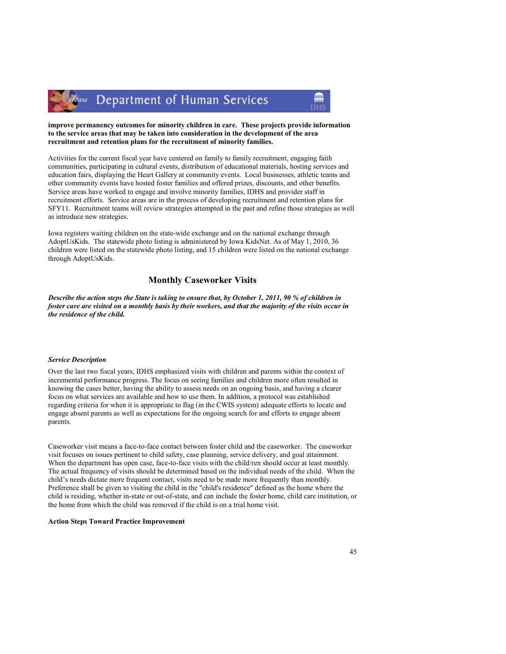

# lowa Department of Human Services



# improve permanency outcomes for minority children in care. These projects provide information to the service areas that may be taken into consideration in the development of the area recruitment and retention plans for the recruitment of minority families.

Activities for the current fiscal year have centered on family to family recruitment, engaging faith communities, participating in cultural events, distribution of educational materials, hosting services and education fairs, displaying the Heart Gallery at community events. Local businesses, athletic teams and other community events have hosted foster families and offered prizes, discounts, and other benefits. Service areas have worked to engage and involve minority families, IDHS and provider staff in recruitment efforts. Service areas are in the process of developing recruitment and retention plans for SFY11. Recruitment teams will review strategies attempted in the past and refine those strategies as well as introduce new strategies.

Iowa registers waiting children on the state-wide exchange and on the national exchange through AdoptUsKids. The statewide photo listing is administered by Iowa KidsNet. As of May 1, 2010, 36 children were listed on the statewide photo listing, and 15 children were listed on the national exchange through AdoptUsKids.

# Monthly Caseworker Visits

Describe the action steps the State is taking to ensure that, by October 1, 2011, 90 % of children in foster care are visited on a monthly basis by their workers, and that the majority of the visits occur in the residence of the child.

# Service Description

Over the last two fiscal years, IDHS emphasized visits with children and parents within the context of incremental performance progress. The focus on seeing families and children more often resulted in knowing the cases better, having the ability to assess needs on an ongoing basis, and having a clearer focus on what services are available and how to use them. In addition, a protocol was established regarding criteria for when it is appropriate to flag (in the CWIS system) adequate efforts to locate and engage absent parents as well as expectations for the ongoing search for and efforts to engage absent parents.

Caseworker visit means a face-to-face contact between foster child and the caseworker. The caseworker visit focuses on issues pertinent to child safety, case planning, service delivery, and goal attainment. When the department has open case, face-to-face visits with the child/ren should occur at least monthly. The actual frequency of visits should be determined based on the individual needs of the child. When the child's needs dictate more frequent contact, visits need to be made more frequently than monthly. Preference shall be given to visiting the child in the "child's residence" defined as the home where the child is residing, whether in-state or out-of-state, and can include the foster home, child care institution, or the home from which the child was removed if the child is on a trial home visit.

# Action Steps Toward Practice Improvement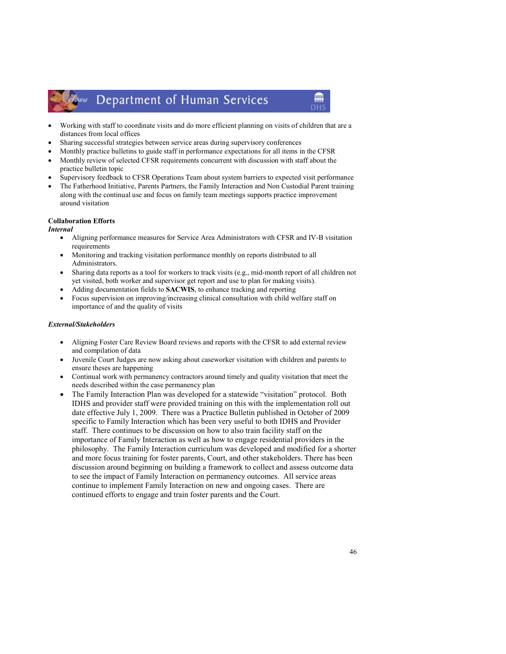# *Lowa* Department of Human Services

• Working with staff to coordinate visits and do more efficient planning on visits of children that are a distances from local offices

m

- Sharing successful strategies between service areas during supervisory conferences
- Monthly practice bulletins to guide staff in performance expectations for all items in the CFSR
- Monthly review of selected CFSR requirements concurrent with discussion with staff about the practice bulletin topic
- Supervisory feedback to CFSR Operations Team about system barriers to expected visit performance
- The Fatherhood Initiative, Parents Partners, the Family Interaction and Non Custodial Parent training along with the continual use and focus on family team meetings supports practice improvement around visitation

# Collaboration Efforts

Internal

- Aligning performance measures for Service Area Administrators with CFSR and IV-B visitation requirements
- Monitoring and tracking visitation performance monthly on reports distributed to all Administrators.
- Sharing data reports as a tool for workers to track visits (e.g., mid-month report of all children not yet visited, both worker and supervisor get report and use to plan for making visits).
- Adding documentation fields to SACWIS, to enhance tracking and reporting
- Focus supervision on improving/increasing clinical consultation with child welfare staff on importance of and the quality of visits

# External/Stakeholders

- Aligning Foster Care Review Board reviews and reports with the CFSR to add external review and compilation of data
- Juvenile Court Judges are now asking about caseworker visitation with children and parents to ensure theses are happening
- Continual work with permanency contractors around timely and quality visitation that meet the needs described within the case permanency plan
- The Family Interaction Plan was developed for a statewide "visitation" protocol. Both IDHS and provider staff were provided training on this with the implementation roll out date effective July 1, 2009. There was a Practice Bulletin published in October of 2009 specific to Family Interaction which has been very useful to both IDHS and Provider staff. There continues to be discussion on how to also train facility staff on the importance of Family Interaction as well as how to engage residential providers in the philosophy. The Family Interaction curriculum was developed and modified for a shorter and more focus training for foster parents, Court, and other stakeholders. There has been discussion around beginning on building a framework to collect and assess outcome data to see the impact of Family Interaction on permanency outcomes. All service areas continue to implement Family Interaction on new and ongoing cases. There are continued efforts to engage and train foster parents and the Court.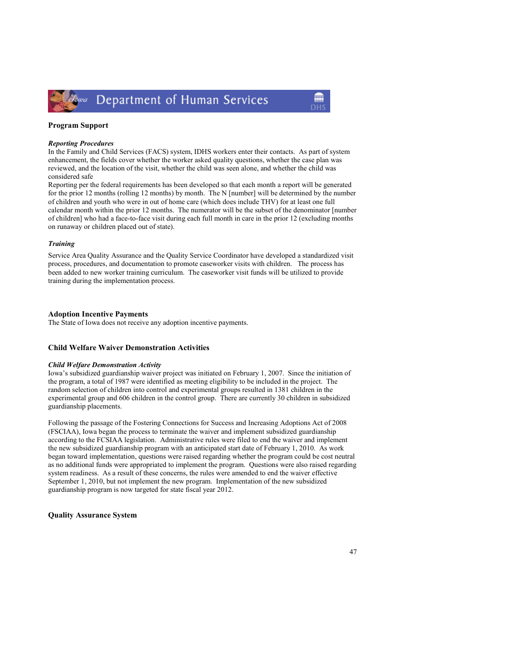

# Program Support

#### Reporting Procedures

In the Family and Child Services (FACS) system, IDHS workers enter their contacts. As part of system enhancement, the fields cover whether the worker asked quality questions, whether the case plan was reviewed, and the location of the visit, whether the child was seen alone, and whether the child was considered safe

Reporting per the federal requirements has been developed so that each month a report will be generated for the prior 12 months (rolling 12 months) by month. The N [number] will be determined by the number of children and youth who were in out of home care (which does include THV) for at least one full calendar month within the prior 12 months. The numerator will be the subset of the denominator [number of children] who had a face-to-face visit during each full month in care in the prior 12 (excluding months on runaway or children placed out of state).

# **Training**

Service Area Quality Assurance and the Quality Service Coordinator have developed a standardized visit process, procedures, and documentation to promote caseworker visits with children. The process has been added to new worker training curriculum. The caseworker visit funds will be utilized to provide training during the implementation process.

# Adoption Incentive Payments

The State of Iowa does not receive any adoption incentive payments.

# Child Welfare Waiver Demonstration Activities

# Child Welfare Demonstration Activity

Iowa's subsidized guardianship waiver project was initiated on February 1, 2007. Since the initiation of the program, a total of 1987 were identified as meeting eligibility to be included in the project. The random selection of children into control and experimental groups resulted in 1381 children in the experimental group and 606 children in the control group. There are currently 30 children in subsidized guardianship placements.

Following the passage of the Fostering Connections for Success and Increasing Adoptions Act of 2008 (FSCIAA), Iowa began the process to terminate the waiver and implement subsidized guardianship according to the FCSIAA legislation. Administrative rules were filed to end the waiver and implement the new subsidized guardianship program with an anticipated start date of February 1, 2010. As work began toward implementation, questions were raised regarding whether the program could be cost neutral as no additional funds were appropriated to implement the program. Questions were also raised regarding system readiness. As a result of these concerns, the rules were amended to end the waiver effective September 1, 2010, but not implement the new program. Implementation of the new subsidized guardianship program is now targeted for state fiscal year 2012.

Quality Assurance System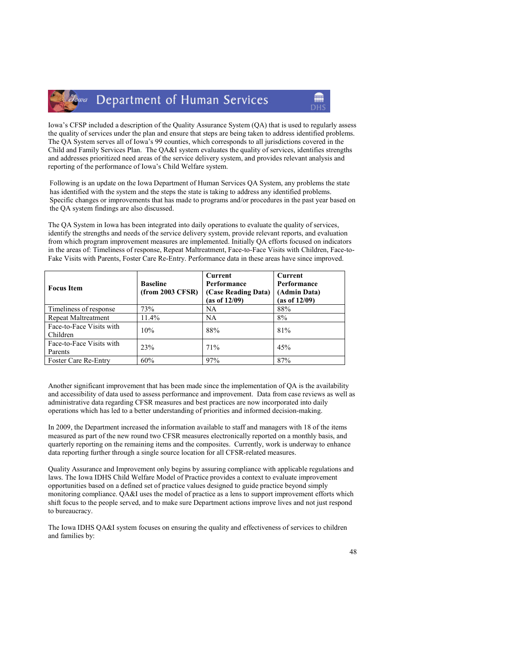Iowa's CFSP included a description of the Quality Assurance System (QA) that is used to regularly assess the quality of services under the plan and ensure that steps are being taken to address identified problems. The QA System serves all of Iowa's 99 counties, which corresponds to all jurisdictions covered in the Child and Family Services Plan. The QA&I system evaluates the quality of services, identifies strengths and addresses prioritized need areas of the service delivery system, and provides relevant analysis and reporting of the performance of Iowa's Child Welfare system.

Following is an update on the Iowa Department of Human Services QA System, any problems the state has identified with the system and the steps the state is taking to address any identified problems. Specific changes or improvements that has made to programs and/or procedures in the past year based on the QA system findings are also discussed.

The QA System in Iowa has been integrated into daily operations to evaluate the quality of services, identify the strengths and needs of the service delivery system, provide relevant reports, and evaluation from which program improvement measures are implemented. Initially QA efforts focused on indicators in the areas of: Timeliness of response, Repeat Maltreatment, Face-to-Face Visits with Children, Face-to-Fake Visits with Parents, Foster Care Re-Entry. Performance data in these areas have since improved.

| <b>Focus Item</b>                    | <b>Baseline</b><br>(from 2003 CFSR) | Current<br>Performance<br>(Case Reading Data)<br>(as of 12/09) | Current<br>Performance<br>(Admin Data)<br>(as of 12/09) |
|--------------------------------------|-------------------------------------|----------------------------------------------------------------|---------------------------------------------------------|
| Timeliness of response               | 73%                                 | <b>NA</b>                                                      | 88%                                                     |
| Repeat Maltreatment                  | 11.4%                               | <b>NA</b>                                                      | 8%                                                      |
| Face-to-Face Visits with<br>Children | 10%                                 | 88%                                                            | 81%                                                     |
| Face-to-Face Visits with<br>Parents  | 23%                                 | 71%                                                            | 45%                                                     |
| <b>Foster Care Re-Entry</b>          | 60%                                 | 97%                                                            | 87%                                                     |

Another significant improvement that has been made since the implementation of QA is the availability and accessibility of data used to assess performance and improvement. Data from case reviews as well as administrative data regarding CFSR measures and best practices are now incorporated into daily operations which has led to a better understanding of priorities and informed decision-making.

In 2009, the Department increased the information available to staff and managers with 18 of the items measured as part of the new round two CFSR measures electronically reported on a monthly basis, and quarterly reporting on the remaining items and the composites. Currently, work is underway to enhance data reporting further through a single source location for all CFSR-related measures.

Quality Assurance and Improvement only begins by assuring compliance with applicable regulations and laws. The Iowa IDHS Child Welfare Model of Practice provides a context to evaluate improvement opportunities based on a defined set of practice values designed to guide practice beyond simply monitoring compliance. QA&I uses the model of practice as a lens to support improvement efforts which shift focus to the people served, and to make sure Department actions improve lives and not just respond to bureaucracy.

The Iowa IDHS QA&I system focuses on ensuring the quality and effectiveness of services to children and families by: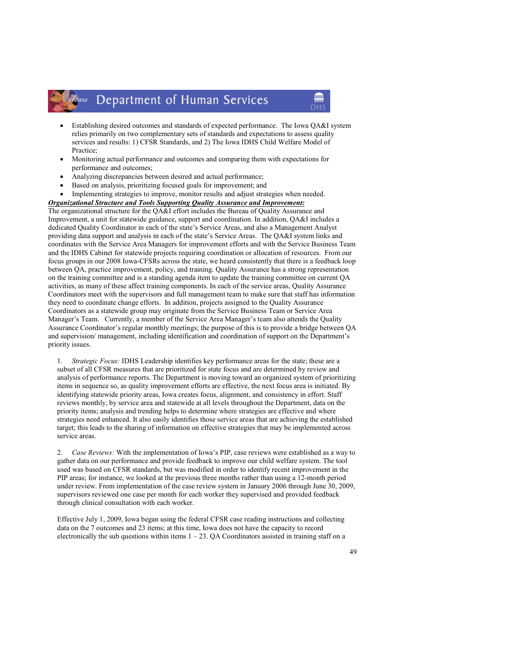- Establishing desired outcomes and standards of expected performance. The Iowa QA&I system relies primarily on two complementary sets of standards and expectations to assess quality services and results: 1) CFSR Standards, and 2) The Iowa IDHS Child Welfare Model of Practice;
- Monitoring actual performance and outcomes and comparing them with expectations for performance and outcomes;
- Analyzing discrepancies between desired and actual performance;
- Based on analysis, prioritizing focused goals for improvement; and
- Implementing strategies to improve, monitor results and adjust strategies when needed.

# Organizational Structure and Tools Supporting Quality Assurance and Improvement:

The organizational structure for the QA&I effort includes the Bureau of Quality Assurance and Improvement, a unit for statewide guidance, support and coordination. In addition, QA&I includes a dedicated Quality Coordinator in each of the state's Service Areas, and also a Management Analyst providing data support and analysis in each of the state's Service Areas. The QA&I system links and coordinates with the Service Area Managers for improvement efforts and with the Service Business Team and the IDHS Cabinet for statewide projects requiring coordination or allocation of resources. From our focus groups in our 2008 Iowa-CFSRs across the state, we heard consistently that there is a feedback loop between QA, practice improvement, policy, and training. Quality Assurance has a strong representation on the training committee and is a standing agenda item to update the training committee on current QA activities, as many of these affect training components. In each of the service areas, Quality Assurance Coordinators meet with the supervisors and full management team to make sure that staff has information they need to coordinate change efforts. In addition, projects assigned to the Quality Assurance Coordinators as a statewide group may originate from the Service Business Team or Service Area Manager's Team. Currently, a member of the Service Area Manager's team also attends the Quality Assurance Coordinator's regular monthly meetings; the purpose of this is to provide a bridge between QA and supervision/ management, including identification and coordination of support on the Department's priority issues.

1. Strategic Focus: IDHS Leadership identifies key performance areas for the state; these are a subset of all CFSR measures that are prioritized for state focus and are determined by review and analysis of performance reports. The Department is moving toward an organized system of prioritizing items in sequence so, as quality improvement efforts are effective, the next focus area is initiated. By identifying statewide priority areas, Iowa creates focus, alignment, and consistency in effort. Staff reviews monthly, by service area and statewide at all levels throughout the Department, data on the priority items; analysis and trending helps to determine where strategies are effective and where strategies need enhanced. It also easily identifies those service areas that are achieving the established target; this leads to the sharing of information on effective strategies that may be implemented across service areas.

Case Reviews: With the implementation of Iowa's PIP, case reviews were established as a way to gather data on our performance and provide feedback to improve our child welfare system. The tool used was based on CFSR standards, but was modified in order to identify recent improvement in the PIP areas; for instance, we looked at the previous three months rather than using a 12-month period under review. From implementation of the case review system in January 2006 through June 30, 2009, supervisors reviewed one case per month for each worker they supervised and provided feedback through clinical consultation with each worker.

Effective July 1, 2009, Iowa began using the federal CFSR case reading instructions and collecting data on the 7 outcomes and 23 items; at this time, Iowa does not have the capacity to record electronically the sub questions within items  $1 - 23$ . QA Coordinators assisted in training staff on a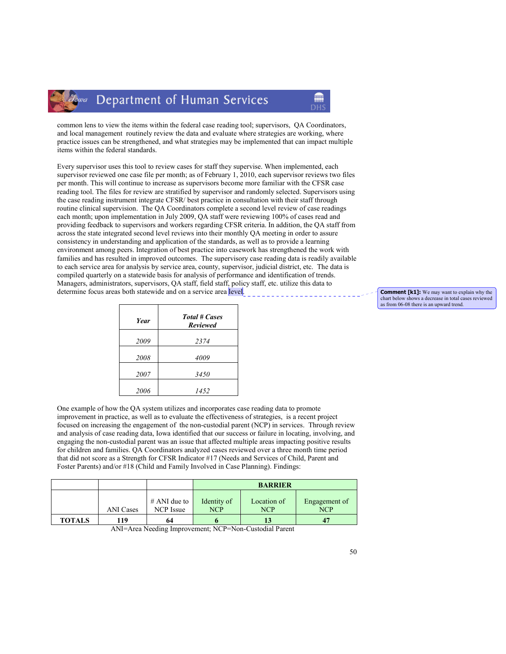

common lens to view the items within the federal case reading tool; supervisors, QA Coordinators, and local management routinely review the data and evaluate where strategies are working, where practice issues can be strengthened, and what strategies may be implemented that can impact multiple items within the federal standards.

Every supervisor uses this tool to review cases for staff they supervise. When implemented, each supervisor reviewed one case file per month; as of February 1, 2010, each supervisor reviews two files per month. This will continue to increase as supervisors become more familiar with the CFSR case reading tool. The files for review are stratified by supervisor and randomly selected. Supervisors using the case reading instrument integrate CFSR/ best practice in consultation with their staff through routine clinical supervision. The QA Coordinators complete a second level review of case readings each month; upon implementation in July 2009, QA staff were reviewing 100% of cases read and providing feedback to supervisors and workers regarding CFSR criteria. In addition, the QA staff from across the state integrated second level reviews into their monthly QA meeting in order to assure consistency in understanding and application of the standards, as well as to provide a learning environment among peers. Integration of best practice into casework has strengthened the work with families and has resulted in improved outcomes. The supervisory case reading data is readily available to each service area for analysis by service area, county, supervisor, judicial district, etc. The data is compiled quarterly on a statewide basis for analysis of performance and identification of trends. Managers, administrators, supervisors, QA staff, field staff, policy staff, etc. utilize this data to determine focus areas both statewide and on a service area level.

| <b>Year</b> | <b>Total # Cases</b><br><b>Reviewed</b> |
|-------------|-----------------------------------------|
| 2009        | 2374                                    |
| 2008        | 4009                                    |
| 2007        | 3450                                    |
| 2006        | 1452                                    |

One example of how the QA system utilizes and incorporates case reading data to promote improvement in practice, as well as to evaluate the effectiveness of strategies, is a recent project focused on increasing the engagement of the non-custodial parent (NCP) in services. Through review and analysis of case reading data, Iowa identified that our success or failure in locating, involving, and engaging the non-custodial parent was an issue that affected multiple areas impacting positive results for children and families. QA Coordinators analyzed cases reviewed over a three month time period that did not score as a Strength for CFSR Indicator #17 (Needs and Services of Child, Parent and Foster Parents) and/or #18 (Child and Family Involved in Case Planning). Findings:

|               |                  |                             | <b>BARRIER</b>            |                           |                             |
|---------------|------------------|-----------------------------|---------------------------|---------------------------|-----------------------------|
|               | <b>ANI</b> Cases | $#$ ANI due to<br>NCP Issue | Identity of<br><b>NCP</b> | Location of<br><b>NCP</b> | Engagement of<br><b>NCP</b> |
| <b>TOTALS</b> | 119              | 64                          |                           | 15                        |                             |

ANI=Area Needing Improvement; NCP=Non-Custodial Parent

**Comment [k1]:** We may want to explain why the chart below shows a decrease in total cases reviewed as from 06-08 there is an upward trend.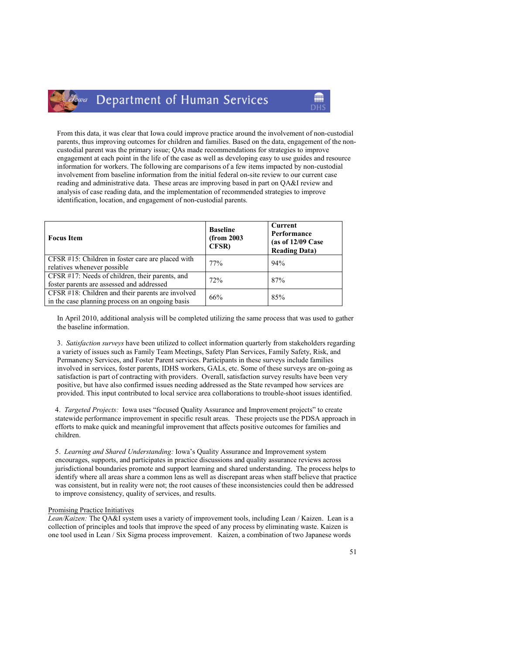From this data, it was clear that Iowa could improve practice around the involvement of non-custodial parents, thus improving outcomes for children and families. Based on the data, engagement of the noncustodial parent was the primary issue; QAs made recommendations for strategies to improve engagement at each point in the life of the case as well as developing easy to use guides and resource information for workers. The following are comparisons of a few items impacted by non-custodial involvement from baseline information from the initial federal on-site review to our current case reading and administrative data. These areas are improving based in part on QA&I review and analysis of case reading data, and the implementation of recommended strategies to improve identification, location, and engagement of non-custodial parents.

| <b>Focus</b> Item                                                                                     | <b>Baseline</b><br>(from 2003<br><b>CFSR</b> ) | Current<br>Performance<br>(as of $12/09$ Case<br><b>Reading Data)</b> |
|-------------------------------------------------------------------------------------------------------|------------------------------------------------|-----------------------------------------------------------------------|
| CFSR #15: Children in foster care are placed with<br>relatives whenever possible                      | 77%                                            | 94%                                                                   |
| CFSR #17: Needs of children, their parents, and<br>foster parents are assessed and addressed          | 72%                                            | 87%                                                                   |
| CFSR #18: Children and their parents are involved<br>in the case planning process on an ongoing basis | 66%                                            | 85%                                                                   |

In April 2010, additional analysis will be completed utilizing the same process that was used to gather the baseline information.

3. Satisfaction surveys have been utilized to collect information quarterly from stakeholders regarding a variety of issues such as Family Team Meetings, Safety Plan Services, Family Safety, Risk, and Permanency Services, and Foster Parent services. Participants in these surveys include families involved in services, foster parents, IDHS workers, GALs, etc. Some of these surveys are on-going as satisfaction is part of contracting with providers. Overall, satisfaction survey results have been very positive, but have also confirmed issues needing addressed as the State revamped how services are provided. This input contributed to local service area collaborations to trouble-shoot issues identified.

4. Targeted Projects: Iowa uses "focused Quality Assurance and Improvement projects" to create statewide performance improvement in specific result areas. These projects use the PDSA approach in efforts to make quick and meaningful improvement that affects positive outcomes for families and children.

5. Learning and Shared Understanding: Iowa's Quality Assurance and Improvement system encourages, supports, and participates in practice discussions and quality assurance reviews across jurisdictional boundaries promote and support learning and shared understanding. The process helps to identify where all areas share a common lens as well as discrepant areas when staff believe that practice was consistent, but in reality were not; the root causes of these inconsistencies could then be addressed to improve consistency, quality of services, and results.

#### Promising Practice Initiatives

owa

Lean/Kaizen: The QA&I system uses a variety of improvement tools, including Lean / Kaizen. Lean is a collection of principles and tools that improve the speed of any process by eliminating waste. Kaizen is one tool used in Lean / Six Sigma process improvement. Kaizen, a combination of two Japanese words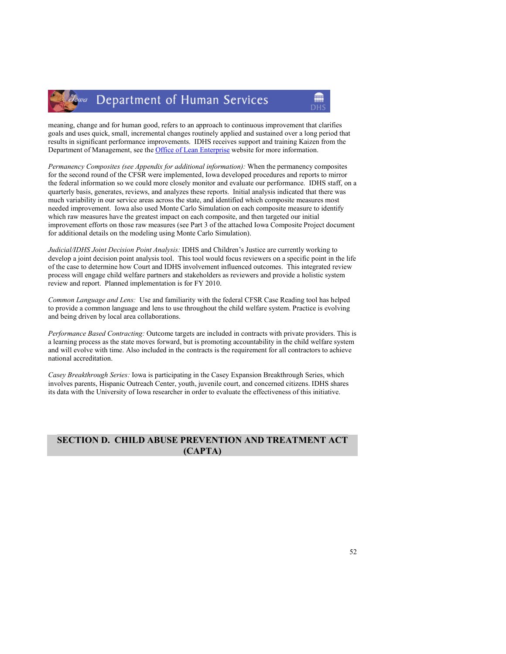

meaning, change and for human good, refers to an approach to continuous improvement that clarifies goals and uses quick, small, incremental changes routinely applied and sustained over a long period that results in significant performance improvements. IDHS receives support and training Kaizen from the Department of Management, see the Office of Lean Enterprise website for more information.

Permanency Composites (see Appendix for additional information): When the permanency composites for the second round of the CFSR were implemented, Iowa developed procedures and reports to mirror the federal information so we could more closely monitor and evaluate our performance. IDHS staff, on a quarterly basis, generates, reviews, and analyzes these reports. Initial analysis indicated that there was much variability in our service areas across the state, and identified which composite measures most needed improvement. Iowa also used Monte Carlo Simulation on each composite measure to identify which raw measures have the greatest impact on each composite, and then targeted our initial improvement efforts on those raw measures (see Part 3 of the attached Iowa Composite Project document for additional details on the modeling using Monte Carlo Simulation).

Judicial/IDHS Joint Decision Point Analysis: IDHS and Children's Justice are currently working to develop a joint decision point analysis tool. This tool would focus reviewers on a specific point in the life of the case to determine how Court and IDHS involvement influenced outcomes. This integrated review process will engage child welfare partners and stakeholders as reviewers and provide a holistic system review and report. Planned implementation is for FY 2010.

Common Language and Lens: Use and familiarity with the federal CFSR Case Reading tool has helped to provide a common language and lens to use throughout the child welfare system. Practice is evolving and being driven by local area collaborations.

Performance Based Contracting: Outcome targets are included in contracts with private providers. This is a learning process as the state moves forward, but is promoting accountability in the child welfare system and will evolve with time. Also included in the contracts is the requirement for all contractors to achieve national accreditation.

Casey Breakthrough Series: Iowa is participating in the Casey Expansion Breakthrough Series, which involves parents, Hispanic Outreach Center, youth, juvenile court, and concerned citizens. IDHS shares its data with the University of Iowa researcher in order to evaluate the effectiveness of this initiative.

# SECTION D. CHILD ABUSE PREVENTION AND TREATMENT ACT (CAPTA)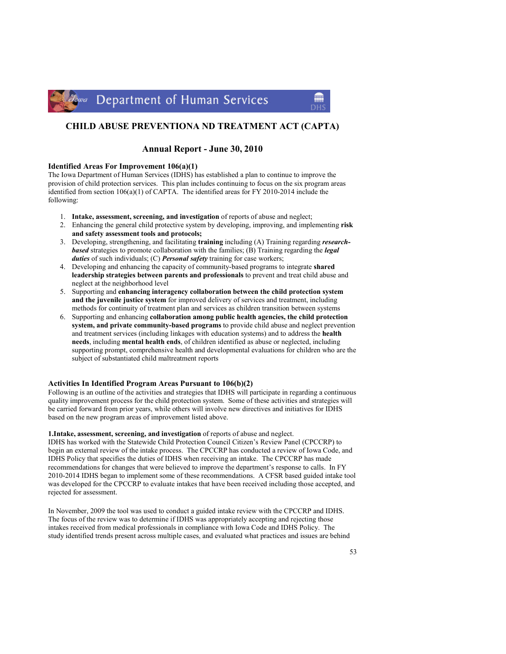

# CHILD ABUSE PREVENTIONA ND TREATMENT ACT (CAPTA)

# Annual Report - June 30, 2010

# Identified Areas For Improvement 106(a)(1)

The Iowa Department of Human Services (IDHS) has established a plan to continue to improve the provision of child protection services. This plan includes continuing to focus on the six program areas identified from section 106(a)(1) of CAPTA. The identified areas for FY 2010-2014 include the following:

- 1. Intake, assessment, screening, and investigation of reports of abuse and neglect;
- 2. Enhancing the general child protective system by developing, improving, and implementing risk and safety assessment tools and protocols;
- 3. Developing, strengthening, and facilitating training including (A) Training regarding researchbased strategies to promote collaboration with the families; (B) Training regarding the legal duties of such individuals; (C) Personal safety training for case workers;
- 4. Developing and enhancing the capacity of community-based programs to integrate shared leadership strategies between parents and professionals to prevent and treat child abuse and neglect at the neighborhood level
- 5. Supporting and enhancing interagency collaboration between the child protection system and the juvenile justice system for improved delivery of services and treatment, including methods for continuity of treatment plan and services as children transition between systems
- 6. Supporting and enhancing collaboration among public health agencies, the child protection system, and private community-based programs to provide child abuse and neglect prevention and treatment services (including linkages with education systems) and to address the health needs, including mental health ends, of children identified as abuse or neglected, including supporting prompt, comprehensive health and developmental evaluations for children who are the subject of substantiated child maltreatment reports

# Activities In Identified Program Areas Pursuant to 106(b)(2)

Following is an outline of the activities and strategies that IDHS will participate in regarding a continuous quality improvement process for the child protection system. Some of these activities and strategies will be carried forward from prior years, while others will involve new directives and initiatives for IDHS based on the new program areas of improvement listed above.

# 1.Intake, assessment, screening, and investigation of reports of abuse and neglect.

IDHS has worked with the Statewide Child Protection Council Citizen's Review Panel (CPCCRP) to begin an external review of the intake process. The CPCCRP has conducted a review of Iowa Code, and IDHS Policy that specifies the duties of IDHS when receiving an intake. The CPCCRP has made recommendations for changes that were believed to improve the department's response to calls. In FY 2010-2014 IDHS began to implement some of these recommendations. A CFSR based guided intake tool was developed for the CPCCRP to evaluate intakes that have been received including those accepted, and rejected for assessment.

In November, 2009 the tool was used to conduct a guided intake review with the CPCCRP and IDHS. The focus of the review was to determine if IDHS was appropriately accepting and rejecting those intakes received from medical professionals in compliance with Iowa Code and IDHS Policy. The study identified trends present across multiple cases, and evaluated what practices and issues are behind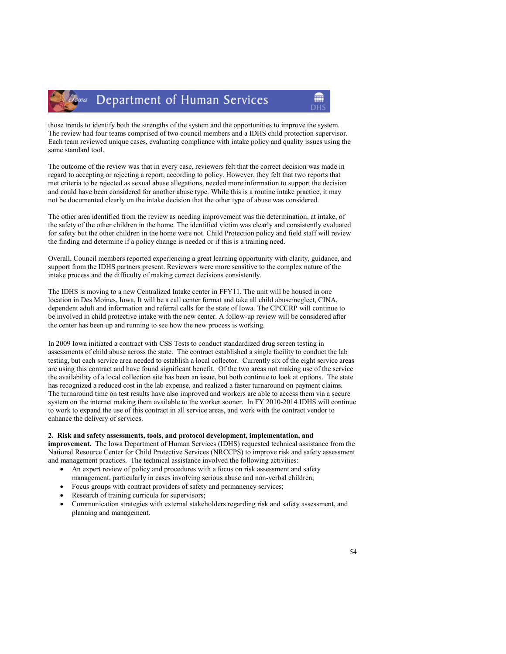

those trends to identify both the strengths of the system and the opportunities to improve the system. The review had four teams comprised of two council members and a IDHS child protection supervisor. Each team reviewed unique cases, evaluating compliance with intake policy and quality issues using the same standard tool.

The outcome of the review was that in every case, reviewers felt that the correct decision was made in regard to accepting or rejecting a report, according to policy. However, they felt that two reports that met criteria to be rejected as sexual abuse allegations, needed more information to support the decision and could have been considered for another abuse type. While this is a routine intake practice, it may not be documented clearly on the intake decision that the other type of abuse was considered.

The other area identified from the review as needing improvement was the determination, at intake, of the safety of the other children in the home. The identified victim was clearly and consistently evaluated for safety but the other children in the home were not. Child Protection policy and field staff will review the finding and determine if a policy change is needed or if this is a training need.

Overall, Council members reported experiencing a great learning opportunity with clarity, guidance, and support from the IDHS partners present. Reviewers were more sensitive to the complex nature of the intake process and the difficulty of making correct decisions consistently.

The IDHS is moving to a new Centralized Intake center in FFY11. The unit will be housed in one location in Des Moines, Iowa. It will be a call center format and take all child abuse/neglect, CINA, dependent adult and information and referral calls for the state of Iowa. The CPCCRP will continue to be involved in child protective intake with the new center. A follow-up review will be considered after the center has been up and running to see how the new process is working.

In 2009 Iowa initiated a contract with CSS Tests to conduct standardized drug screen testing in assessments of child abuse across the state. The contract established a single facility to conduct the lab testing, but each service area needed to establish a local collector. Currently six of the eight service areas are using this contract and have found significant benefit. Of the two areas not making use of the service the availability of a local collection site has been an issue, but both continue to look at options. The state has recognized a reduced cost in the lab expense, and realized a faster turnaround on payment claims. The turnaround time on test results have also improved and workers are able to access them via a secure system on the internet making them available to the worker sooner. In FY 2010-2014 IDHS will continue to work to expand the use of this contract in all service areas, and work with the contract vendor to enhance the delivery of services.

# 2. Risk and safety assessments, tools, and protocol development, implementation, and

improvement. The Iowa Department of Human Services (IDHS) requested technical assistance from the National Resource Center for Child Protective Services (NRCCPS) to improve risk and safety assessment and management practices. The technical assistance involved the following activities:

- An expert review of policy and procedures with a focus on risk assessment and safety management, particularly in cases involving serious abuse and non-verbal children;
- Focus groups with contract providers of safety and permanency services;
- Research of training curricula for supervisors;
- Communication strategies with external stakeholders regarding risk and safety assessment, and planning and management.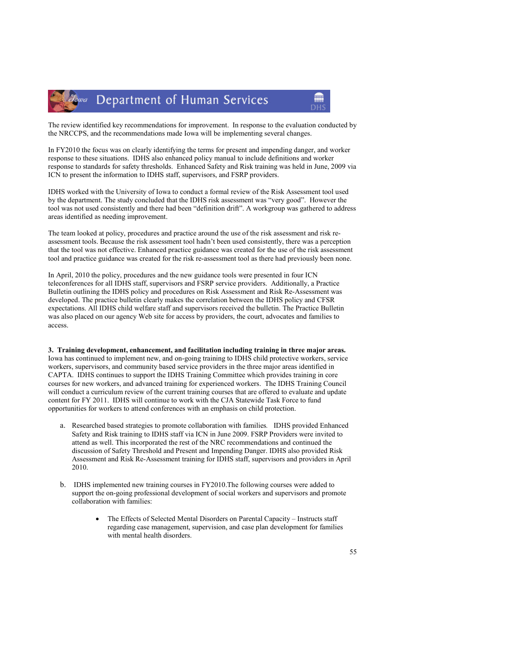



The review identified key recommendations for improvement. In response to the evaluation conducted by the NRCCPS, and the recommendations made Iowa will be implementing several changes.

In FY2010 the focus was on clearly identifying the terms for present and impending danger, and worker response to these situations. IDHS also enhanced policy manual to include definitions and worker response to standards for safety thresholds. Enhanced Safety and Risk training was held in June, 2009 via ICN to present the information to IDHS staff, supervisors, and FSRP providers.

IDHS worked with the University of Iowa to conduct a formal review of the Risk Assessment tool used by the department. The study concluded that the IDHS risk assessment was "very good". However the tool was not used consistently and there had been "definition drift". A workgroup was gathered to address areas identified as needing improvement.

The team looked at policy, procedures and practice around the use of the risk assessment and risk reassessment tools. Because the risk assessment tool hadn't been used consistently, there was a perception that the tool was not effective. Enhanced practice guidance was created for the use of the risk assessment tool and practice guidance was created for the risk re-assessment tool as there had previously been none.

In April, 2010 the policy, procedures and the new guidance tools were presented in four ICN teleconferences for all IDHS staff, supervisors and FSRP service providers. Additionally, a Practice Bulletin outlining the IDHS policy and procedures on Risk Assessment and Risk Re-Assessment was developed. The practice bulletin clearly makes the correlation between the IDHS policy and CFSR expectations. All IDHS child welfare staff and supervisors received the bulletin. The Practice Bulletin was also placed on our agency Web site for access by providers, the court, advocates and families to access.

3. Training development, enhancement, and facilitation including training in three major areas. Iowa has continued to implement new, and on-going training to IDHS child protective workers, service workers, supervisors, and community based service providers in the three major areas identified in CAPTA. IDHS continues to support the IDHS Training Committee which provides training in core courses for new workers, and advanced training for experienced workers. The IDHS Training Council will conduct a curriculum review of the current training courses that are offered to evaluate and update content for FY 2011. IDHS will continue to work with the CJA Statewide Task Force to fund opportunities for workers to attend conferences with an emphasis on child protection.

- a. Researched based strategies to promote collaboration with families. IDHS provided Enhanced Safety and Risk training to IDHS staff via ICN in June 2009. FSRP Providers were invited to attend as well. This incorporated the rest of the NRC recommendations and continued the discussion of Safety Threshold and Present and Impending Danger. IDHS also provided Risk Assessment and Risk Re-Assessment training for IDHS staff, supervisors and providers in April 2010.
- b. IDHS implemented new training courses in FY2010.The following courses were added to support the on-going professional development of social workers and supervisors and promote collaboration with families:
	- The Effects of Selected Mental Disorders on Parental Capacity Instructs staff regarding case management, supervision, and case plan development for families with mental health disorders.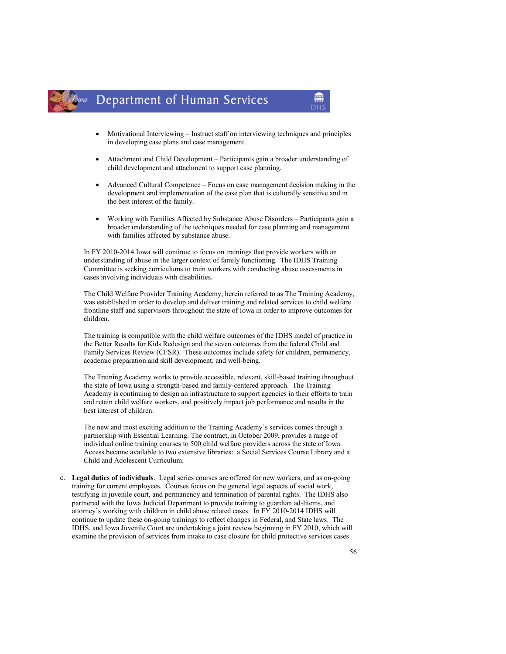

- Motivational Interviewing Instruct staff on interviewing techniques and principles in developing case plans and case management.
- Attachment and Child Development Participants gain a broader understanding of child development and attachment to support case planning.
- Advanced Cultural Competence Focus on case management decision making in the development and implementation of the case plan that is culturally sensitive and in the best interest of the family.
- Working with Families Affected by Substance Abuse Disorders Participants gain a broader understanding of the techniques needed for case planning and management with families affected by substance abuse.

In FY 2010-2014 Iowa will continue to focus on trainings that provide workers with an understanding of abuse in the larger context of family functioning. The IDHS Training Committee is seeking curriculums to train workers with conducting abuse assessments in cases involving individuals with disabilities.

The Child Welfare Provider Training Academy, herein referred to as The Training Academy, was established in order to develop and deliver training and related services to child welfare frontline staff and supervisors throughout the state of Iowa in order to improve outcomes for children.

The training is compatible with the child welfare outcomes of the IDHS model of practice in the Better Results for Kids Redesign and the seven outcomes from the federal Child and Family Services Review (CFSR). These outcomes include safety for children, permanency, academic preparation and skill development, and well-being.

The Training Academy works to provide accessible, relevant, skill-based training throughout the state of Iowa using a strength-based and family-centered approach. The Training Academy is continuing to design an infrastructure to support agencies in their efforts to train and retain child welfare workers, and positively impact job performance and results in the best interest of children.

The new and most exciting addition to the Training Academy's services comes through a partnership with Essential Learning. The contract, in October 2009, provides a range of individual online training courses to 500 child welfare providers across the state of Iowa. Access became available to two extensive libraries: a Social Services Course Library and a Child and Adolescent Curriculum.

c. Legal duties of individuals. Legal series courses are offered for new workers, and as on-going training for current employees. Courses focus on the general legal aspects of social work, testifying in juvenile court, and permanency and termination of parental rights. The IDHS also partnered with the Iowa Judicial Department to provide training to guardian ad-litems, and attorney's working with children in child abuse related cases. In FY 2010-2014 IDHS will continue to update these on-going trainings to reflect changes in Federal, and State laws. The IDHS, and Iowa Juvenile Court are undertaking a joint review beginning in FY 2010, which will examine the provision of services from intake to case closure for child protective services cases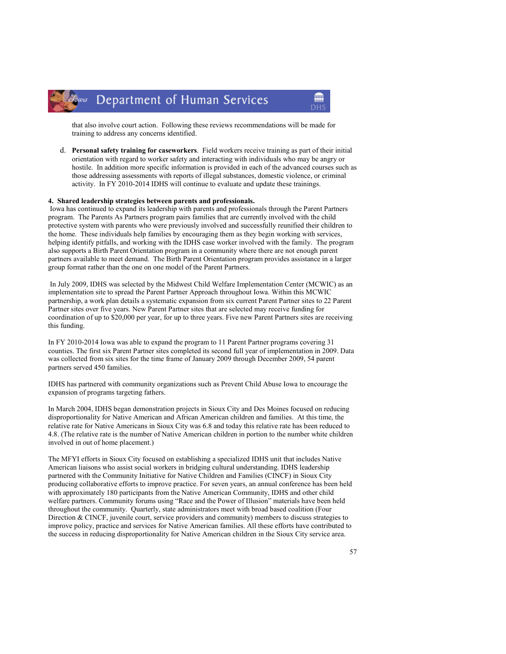

that also involve court action. Following these reviews recommendations will be made for training to address any concerns identified.

m

d. Personal safety training for caseworkers. Field workers receive training as part of their initial orientation with regard to worker safety and interacting with individuals who may be angry or hostile. In addition more specific information is provided in each of the advanced courses such as those addressing assessments with reports of illegal substances, domestic violence, or criminal activity. In FY 2010-2014 IDHS will continue to evaluate and update these trainings.

# 4. Shared leadership strategies between parents and professionals.

 Iowa has continued to expand its leadership with parents and professionals through the Parent Partners program. The Parents As Partners program pairs families that are currently involved with the child protective system with parents who were previously involved and successfully reunified their children to the home. These individuals help families by encouraging them as they begin working with services, helping identify pitfalls, and working with the IDHS case worker involved with the family. The program also supports a Birth Parent Orientation program in a community where there are not enough parent partners available to meet demand. The Birth Parent Orientation program provides assistance in a larger group format rather than the one on one model of the Parent Partners.

 In July 2009, IDHS was selected by the Midwest Child Welfare Implementation Center (MCWIC) as an implementation site to spread the Parent Partner Approach throughout Iowa. Within this MCWIC partnership, a work plan details a systematic expansion from six current Parent Partner sites to 22 Parent Partner sites over five years. New Parent Partner sites that are selected may receive funding for coordination of up to \$20,000 per year, for up to three years. Five new Parent Partners sites are receiving this funding.

In FY 2010-2014 Iowa was able to expand the program to 11 Parent Partner programs covering 31 counties. The first six Parent Partner sites completed its second full year of implementation in 2009. Data was collected from six sites for the time frame of January 2009 through December 2009, 54 parent partners served 450 families.

IDHS has partnered with community organizations such as Prevent Child Abuse Iowa to encourage the expansion of programs targeting fathers.

In March 2004, IDHS began demonstration projects in Sioux City and Des Moines focused on reducing disproportionality for Native American and African American children and families. At this time, the relative rate for Native Americans in Sioux City was 6.8 and today this relative rate has been reduced to 4.8. (The relative rate is the number of Native American children in portion to the number white children involved in out of home placement.)

The MFYI efforts in Sioux City focused on establishing a specialized IDHS unit that includes Native American liaisons who assist social workers in bridging cultural understanding. IDHS leadership partnered with the Community Initiative for Native Children and Families (CINCF) in Sioux City producing collaborative efforts to improve practice. For seven years, an annual conference has been held with approximately 180 participants from the Native American Community, IDHS and other child welfare partners. Community forums using "Race and the Power of Illusion" materials have been held throughout the community. Quarterly, state administrators meet with broad based coalition (Four Direction & CINCF, juvenile court, service providers and community) members to discuss strategies to improve policy, practice and services for Native American families. All these efforts have contributed to the success in reducing disproportionality for Native American children in the Sioux City service area.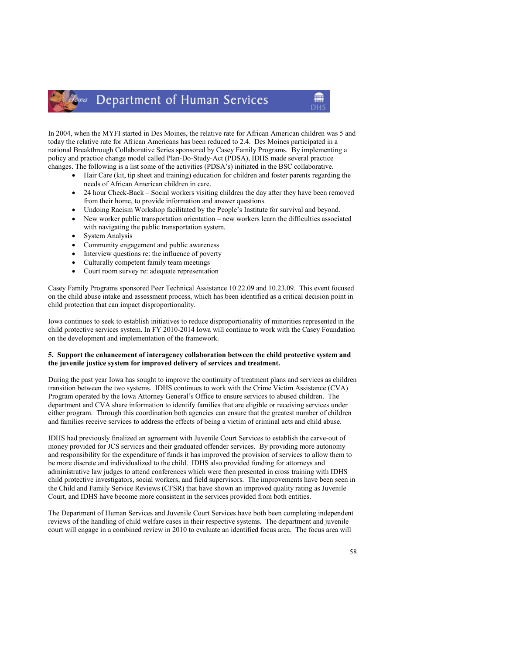In 2004, when the MYFI started in Des Moines, the relative rate for African American children was 5 and today the relative rate for African Americans has been reduced to 2.4. Des Moines participated in a national Breakthrough Collaborative Series sponsored by Casey Family Programs. By implementing a policy and practice change model called Plan-Do-Study-Act (PDSA), IDHS made several practice changes. The following is a list some of the activities (PDSA's) initiated in the BSC collaborative.

• Hair Care (kit, tip sheet and training) education for children and foster parents regarding the needs of African American children in care.

m

- 24 hour Check-Back Social workers visiting children the day after they have been removed from their home, to provide information and answer questions.
- Undoing Racism Workshop facilitated by the People's Institute for survival and beyond.
- New worker public transportation orientation new workers learn the difficulties associated with navigating the public transportation system.
- System Analysis
- Community engagement and public awareness
- Interview questions re: the influence of poverty
- Culturally competent family team meetings
- Court room survey re: adequate representation

Casey Family Programs sponsored Peer Technical Assistance 10.22.09 and 10.23.09. This event focused on the child abuse intake and assessment process, which has been identified as a critical decision point in child protection that can impact disproportionality.

Iowa continues to seek to establish initiatives to reduce disproportionality of minorities represented in the child protective services system. In FY 2010-2014 Iowa will continue to work with the Casey Foundation on the development and implementation of the framework.

# 5. Support the enhancement of interagency collaboration between the child protective system and the juvenile justice system for improved delivery of services and treatment.

During the past year Iowa has sought to improve the continuity of treatment plans and services as children transition between the two systems. IDHS continues to work with the Crime Victim Assistance (CVA) Program operated by the Iowa Attorney General's Office to ensure services to abused children. The department and CVA share information to identify families that are eligible or receiving services under either program. Through this coordination both agencies can ensure that the greatest number of children and families receive services to address the effects of being a victim of criminal acts and child abuse.

IDHS had previously finalized an agreement with Juvenile Court Services to establish the carve-out of money provided for JCS services and their graduated offender services. By providing more autonomy and responsibility for the expenditure of funds it has improved the provision of services to allow them to be more discrete and individualized to the child. IDHS also provided funding for attorneys and administrative law judges to attend conferences which were then presented in cross training with IDHS child protective investigators, social workers, and field supervisors. The improvements have been seen in the Child and Family Service Reviews (CFSR) that have shown an improved quality rating as Juvenile Court, and IDHS have become more consistent in the services provided from both entities.

The Department of Human Services and Juvenile Court Services have both been completing independent reviews of the handling of child welfare cases in their respective systems. The department and juvenile court will engage in a combined review in 2010 to evaluate an identified focus area. The focus area will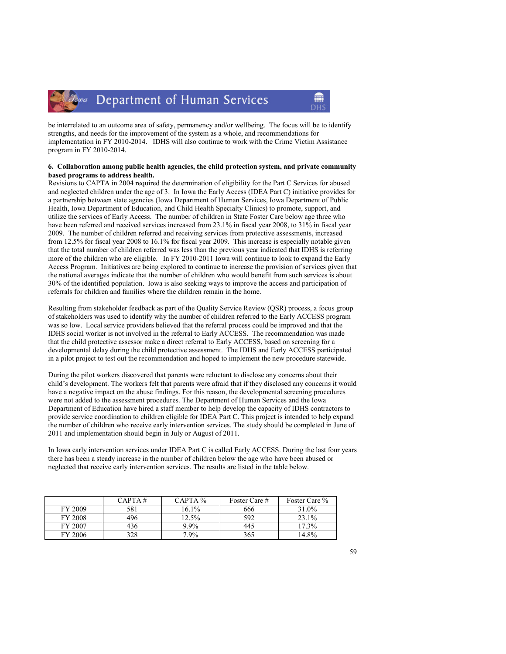



be interrelated to an outcome area of safety, permanency and/or wellbeing. The focus will be to identify strengths, and needs for the improvement of the system as a whole, and recommendations for implementation in FY 2010-2014. IDHS will also continue to work with the Crime Victim Assistance program in FY 2010-2014.

# 6. Collaboration among public health agencies, the child protection system, and private community based programs to address health.

Revisions to CAPTA in 2004 required the determination of eligibility for the Part C Services for abused and neglected children under the age of 3. In Iowa the Early Access (IDEA Part C) initiative provides for a partnership between state agencies (Iowa Department of Human Services, Iowa Department of Public Health, Iowa Department of Education, and Child Health Specialty Clinics) to promote, support, and utilize the services of Early Access. The number of children in State Foster Care below age three who have been referred and received services increased from 23.1% in fiscal year 2008, to 31% in fiscal year 2009. The number of children referred and receiving services from protective assessments, increased from 12.5% for fiscal year 2008 to 16.1% for fiscal year 2009. This increase is especially notable given that the total number of children referred was less than the previous year indicated that IDHS is referring more of the children who are eligible. In FY 2010-2011 Iowa will continue to look to expand the Early Access Program. Initiatives are being explored to continue to increase the provision of services given that the national averages indicate that the number of children who would benefit from such services is about 30% of the identified population. Iowa is also seeking ways to improve the access and participation of referrals for children and families where the children remain in the home.

Resulting from stakeholder feedback as part of the Quality Service Review (QSR) process, a focus group of stakeholders was used to identify why the number of children referred to the Early ACCESS program was so low. Local service providers believed that the referral process could be improved and that the IDHS social worker is not involved in the referral to Early ACCESS. The recommendation was made that the child protective assessor make a direct referral to Early ACCESS, based on screening for a developmental delay during the child protective assessment. The IDHS and Early ACCESS participated in a pilot project to test out the recommendation and hoped to implement the new procedure statewide.

During the pilot workers discovered that parents were reluctant to disclose any concerns about their child's development. The workers felt that parents were afraid that if they disclosed any concerns it would have a negative impact on the abuse findings. For this reason, the developmental screening procedures were not added to the assessment procedures. The Department of Human Services and the Iowa Department of Education have hired a staff member to help develop the capacity of IDHS contractors to provide service coordination to children eligible for IDEA Part C. This project is intended to help expand the number of children who receive early intervention services. The study should be completed in June of 2011 and implementation should begin in July or August of 2011.

In Iowa early intervention services under IDEA Part C is called Early ACCESS. During the last four years there has been a steady increase in the number of children below the age who have been abused or neglected that receive early intervention services. The results are listed in the table below.

|                | CAPTA# | $CAPTA\%$ | Foster Care # | Foster Care % |
|----------------|--------|-----------|---------------|---------------|
| FY 2009        | 581    | $16.1\%$  | 666           | 31.0%         |
| <b>FY 2008</b> | 496    | 12.5%     | 592           | 23.1%         |
| FY 2007        | 436    | $9.9\%$   | 445           | 17.3%         |
| FY 2006        | 328    | $7.9\%$   | 365           | 14 8%         |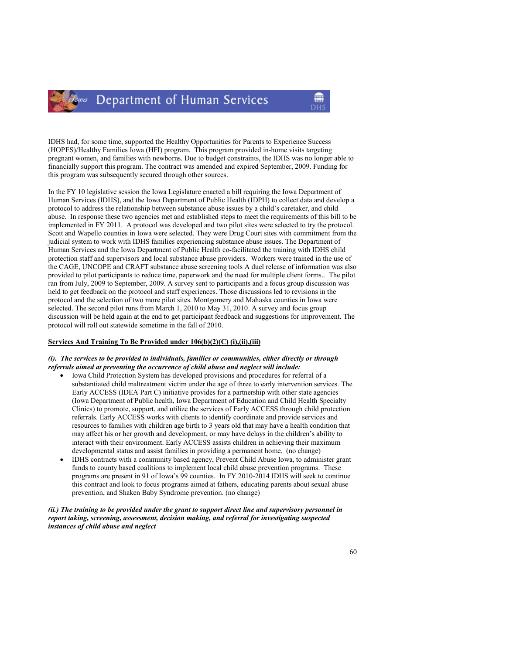

IDHS had, for some time, supported the Healthy Opportunities for Parents to Experience Success (HOPES)/Healthy Families Iowa (HFI) program. This program provided in-home visits targeting pregnant women, and families with newborns. Due to budget constraints, the IDHS was no longer able to financially support this program. The contract was amended and expired September, 2009. Funding for this program was subsequently secured through other sources.

In the FY 10 legislative session the Iowa Legislature enacted a bill requiring the Iowa Department of Human Services (IDHS), and the Iowa Department of Public Health (IDPH) to collect data and develop a protocol to address the relationship between substance abuse issues by a child's caretaker, and child abuse. In response these two agencies met and established steps to meet the requirements of this bill to be implemented in FY 2011. A protocol was developed and two pilot sites were selected to try the protocol. Scott and Wapello counties in Iowa were selected. They were Drug Court sites with commitment from the judicial system to work with IDHS families experiencing substance abuse issues. The Department of Human Services and the Iowa Department of Public Health co-facilitated the training with IDHS child protection staff and supervisors and local substance abuse providers. Workers were trained in the use of the CAGE, UNCOPE and CRAFT substance abuse screening tools A duel release of information was also provided to pilot participants to reduce time, paperwork and the need for multiple client forms.. The pilot ran from July, 2009 to September, 2009. A survey sent to participants and a focus group discussion was held to get feedback on the protocol and staff experiences. Those discussions led to revisions in the protocol and the selection of two more pilot sites. Montgomery and Mahaska counties in Iowa were selected. The second pilot runs from March 1, 2010 to May 31, 2010. A survey and focus group discussion will be held again at the end to get participant feedback and suggestions for improvement. The protocol will roll out statewide sometime in the fall of 2010.

# Services And Training To Be Provided under 106(b)(2)(C) (i),(ii),(iii)

# (i). The services to be provided to individuals, families or communities, either directly or through referrals aimed at preventing the occurrence of child abuse and neglect will include:

- Iowa Child Protection System has developed provisions and procedures for referral of a substantiated child maltreatment victim under the age of three to early intervention services. The Early ACCESS (IDEA Part C) initiative provides for a partnership with other state agencies (Iowa Department of Public health, Iowa Department of Education and Child Health Specialty Clinics) to promote, support, and utilize the services of Early ACCESS through child protection referrals. Early ACCESS works with clients to identify coordinate and provide services and resources to families with children age birth to 3 years old that may have a health condition that may affect his or her growth and development, or may have delays in the children's ability to interact with their environment. Early ACCESS assists children in achieving their maximum developmental status and assist families in providing a permanent home. (no change)
- IDHS contracts with a community based agency, Prevent Child Abuse Iowa, to administer grant funds to county based coalitions to implement local child abuse prevention programs. These programs are present in 91 of Iowa's 99 counties. In FY 2010-2014 IDHS will seek to continue this contract and look to focus programs aimed at fathers, educating parents about sexual abuse prevention, and Shaken Baby Syndrome prevention. (no change)

(ii.) The training to be provided under the grant to support direct line and supervisory personnel in report taking, screening, assessment, decision making, and referral for investigating suspected instances of child abuse and neglect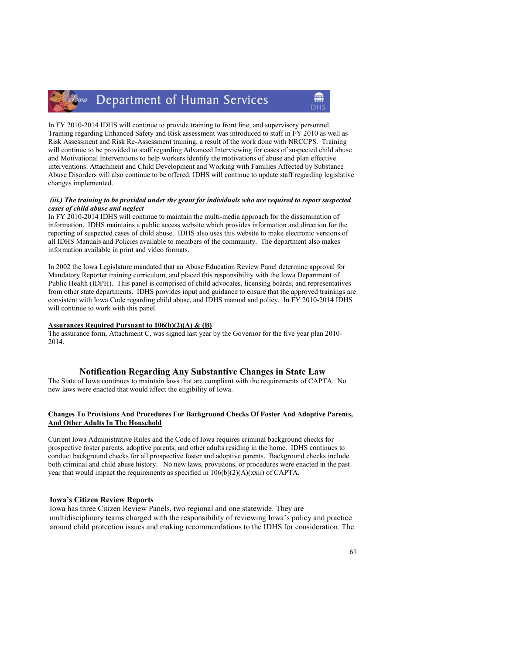# Zowa Department of Human Services

In FY 2010-2014 IDHS will continue to provide training to front line, and supervisory personnel. Training regarding Enhanced Safety and Risk assessment was introduced to staff in FY 2010 as well as Risk Assessment and Risk Re-Assessment training, a result of the work done with NRCCPS. Training will continue to be provided to staff regarding Advanced Interviewing for cases of suspected child abuse and Motivational Interventions to help workers identify the motivations of abuse and plan effective interventions. Attachment and Child Development and Working with Families Affected by Substance Abuse Disorders will also continue to be offered. IDHS will continue to update staff regarding legislative changes implemented.

# (iii.) The training to be provided under the grant for individuals who are required to report suspected cases of child abuse and neglect

In FY 2010-2014 IDHS will continue to maintain the multi-media approach for the dissemination of information. IDHS maintains a public access website which provides information and direction for the reporting of suspected cases of child abuse. IDHS also uses this website to make electronic versions of all IDHS Manuals and Policies available to members of the community. The department also makes information available in print and video formats.

In 2002 the Iowa Legislature mandated that an Abuse Education Review Panel determine approval for Mandatory Reporter training curriculum, and placed this responsibility with the Iowa Department of Public Health (IDPH). This panel is comprised of child advocates, licensing boards, and representatives from other state departments. IDHS provides input and guidance to ensure that the approved trainings are consistent with Iowa Code regarding child abuse, and IDHS manual and policy. In FY 2010-2014 IDHS will continue to work with this panel.

#### Assurances Required Pursuant to 106(b)(2)(A) & (B)

The assurance form, Attachment C, was signed last year by the Governor for the five year plan 2010- 2014.

# Notification Regarding Any Substantive Changes in State Law

The State of Iowa continues to maintain laws that are compliant with the requirements of CAPTA. No new laws were enacted that would affect the eligibility of Iowa.

# Changes To Provisions And Procedures For Background Checks Of Foster And Adoptive Parents, And Other Adults In The Household

Current Iowa Administrative Rules and the Code of Iowa requires criminal background checks for prospective foster parents, adoptive parents, and other adults residing in the home. IDHS continues to conduct background checks for all prospective foster and adoptive parents. Background checks include both criminal and child abuse history. No new laws, provisions, or procedures were enacted in the past year that would impact the requirements as specified in 106(b)(2)(A)(xxii) of CAPTA.

# Iowa's Citizen Review Reports

Iowa has three Citizen Review Panels, two regional and one statewide. They are multidisciplinary teams charged with the responsibility of reviewing Iowa's policy and practice around child protection issues and making recommendations to the IDHS for consideration. The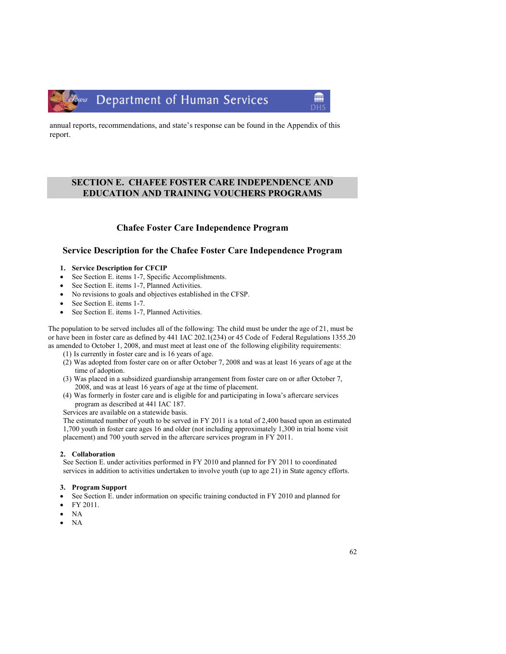

annual reports, recommendations, and state's response can be found in the Appendix of this report.

# SECTION E. CHAFEE FOSTER CARE INDEPENDENCE AND EDUCATION AND TRAINING VOUCHERS PROGRAMS

# Chafee Foster Care Independence Program

# Service Description for the Chafee Foster Care Independence Program

- 1. Service Description for CFCIP
- See Section E. items 1-7, Specific Accomplishments.
- See Section E. items 1-7, Planned Activities.
- No revisions to goals and objectives established in the CFSP.
- See Section E. items 1-7.
- See Section E. items 1-7, Planned Activities.

The population to be served includes all of the following: The child must be under the age of 21, must be or have been in foster care as defined by 441 IAC 202.1(234) or 45 Code of Federal Regulations 1355.20 as amended to October 1, 2008, and must meet at least one of the following eligibility requirements:

- (1) Is currently in foster care and is 16 years of age.
- (2) Was adopted from foster care on or after October 7, 2008 and was at least 16 years of age at the time of adoption.
- (3) Was placed in a subsidized guardianship arrangement from foster care on or after October 7, 2008, and was at least 16 years of age at the time of placement.
- (4) Was formerly in foster care and is eligible for and participating in Iowa's aftercare services program as described at 441 IAC 187.

Services are available on a statewide basis.

The estimated number of youth to be served in FY 2011 is a total of 2,400 based upon an estimated 1,700 youth in foster care ages 16 and older (not including approximately 1,300 in trial home visit placement) and 700 youth served in the aftercare services program in FY 2011.

# 2. Collaboration

See Section E. under activities performed in FY 2010 and planned for FY 2011 to coordinated services in addition to activities undertaken to involve youth (up to age 21) in State agency efforts.

# 3. Program Support

- See Section E. under information on specific training conducted in FY 2010 and planned for
- FY 2011.
- NA
- NA

m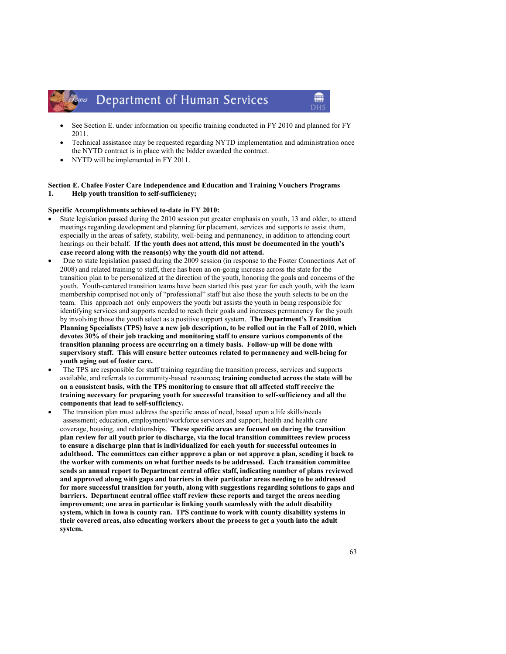• See Section E. under information on specific training conducted in FY 2010 and planned for FY 2011.

m

- Technical assistance may be requested regarding NYTD implementation and administration once the NYTD contract is in place with the bidder awarded the contract.
- NYTD will be implemented in FY 2011.

### Section E. Chafee Foster Care Independence and Education and Training Vouchers Programs 1. Help youth transition to self-sufficiency;

#### Specific Accomplishments achieved to-date in FY 2010:

- State legislation passed during the 2010 session put greater emphasis on youth, 13 and older, to attend meetings regarding development and planning for placement, services and supports to assist them, especially in the areas of safety, stability, well-being and permanency, in addition to attending court hearings on their behalf. If the youth does not attend, this must be documented in the youth's case record along with the reason(s) why the youth did not attend.
- Due to state legislation passed during the 2009 session (in response to the Foster Connections Act of 2008) and related training to staff, there has been an on-going increase across the state for the transition plan to be personalized at the direction of the youth, honoring the goals and concerns of the youth. Youth-centered transition teams have been started this past year for each youth, with the team membership comprised not only of "professional" staff but also those the youth selects to be on the team. This approach not only empowers the youth but assists the youth in being responsible for identifying services and supports needed to reach their goals and increases permanency for the youth by involving those the youth select as a positive support system. The Department's Transition Planning Specialists (TPS) have a new job description, to be rolled out in the Fall of 2010, which devotes 30% of their job tracking and monitoring staff to ensure various components of the transition planning process are occurring on a timely basis. Follow-up will be done with supervisory staff. This will ensure better outcomes related to permanency and well-being for youth aging out of foster care.
- The TPS are responsible for staff training regarding the transition process, services and supports available, and referrals to community-based resources; training conducted across the state will be on a consistent basis, with the TPS monitoring to ensure that all affected staff receive the training necessary for preparing youth for successful transition to self-sufficiency and all the components that lead to self-sufficiency.
- The transition plan must address the specific areas of need, based upon a life skills/needs assessment; education, employment/workforce services and support, health and health care coverage, housing, and relationships. These specific areas are focused on during the transition plan review for all youth prior to discharge, via the local transition committees review process to ensure a discharge plan that is individualized for each youth for successful outcomes in adulthood. The committees can either approve a plan or not approve a plan, sending it back to the worker with comments on what further needs to be addressed. Each transition committee sends an annual report to Department central office staff, indicating number of plans reviewed and approved along with gaps and barriers in their particular areas needing to be addressed for more successful transition for youth, along with suggestions regarding solutions to gaps and barriers. Department central office staff review these reports and target the areas needing improvement; one area in particular is linking youth seamlessly with the adult disability system, which in Iowa is county ran. TPS continue to work with county disability systems in their covered areas, also educating workers about the process to get a youth into the adult system.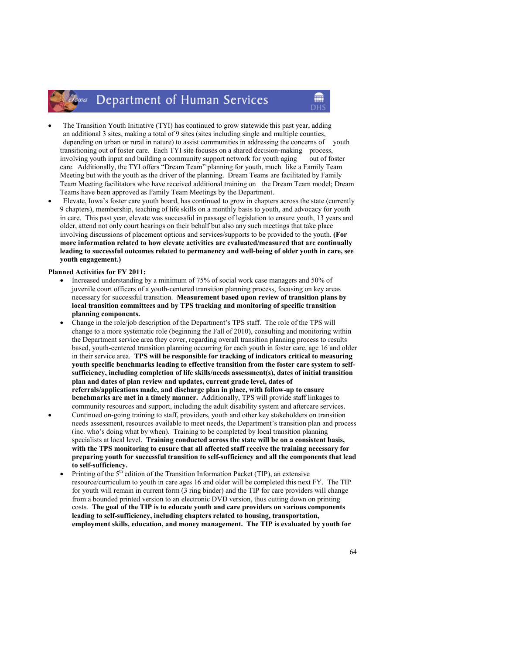- The Transition Youth Initiative (TYI) has continued to grow statewide this past year, adding an additional 3 sites, making a total of 9 sites (sites including single and multiple counties, depending on urban or rural in nature) to assist communities in addressing the concerns of youth transitioning out of foster care. Each TYI site focuses on a shared decision-making process, involving youth input and building a community support network for youth aging out of foster care. Additionally, the TYI offers "Dream Team" planning for youth, much like a Family Team Meeting but with the youth as the driver of the planning. Dream Teams are facilitated by Family Team Meeting facilitators who have received additional training on the Dream Team model; Dream Teams have been approved as Family Team Meetings by the Department.
- Elevate, Iowa's foster care youth board, has continued to grow in chapters across the state (currently 9 chapters), membership, teaching of life skills on a monthly basis to youth, and advocacy for youth in care. This past year, elevate was successful in passage of legislation to ensure youth, 13 years and older, attend not only court hearings on their behalf but also any such meetings that take place involving discussions of placement options and services/supports to be provided to the youth. (For more information related to how elevate activities are evaluated/measured that are continually leading to successful outcomes related to permanency and well-being of older youth in care, see youth engagement.)

### Planned Activities for FY 2011:

- Increased understanding by a minimum of 75% of social work case managers and 50% of juvenile court officers of a youth-centered transition planning process, focusing on key areas necessary for successful transition. Measurement based upon review of transition plans by local transition committees and by TPS tracking and monitoring of specific transition planning components.
- Change in the role/job description of the Department's TPS staff. The role of the TPS will change to a more systematic role (beginning the Fall of 2010), consulting and monitoring within the Department service area they cover, regarding overall transition planning process to results based, youth-centered transition planning occurring for each youth in foster care, age 16 and older in their service area. TPS will be responsible for tracking of indicators critical to measuring youth specific benchmarks leading to effective transition from the foster care system to selfsufficiency, including completion of life skills/needs assessment(s), dates of initial transition plan and dates of plan review and updates, current grade level, dates of referrals/applications made, and discharge plan in place, with follow-up to ensure benchmarks are met in a timely manner. Additionally, TPS will provide staff linkages to community resources and support, including the adult disability system and aftercare services.
- Continued on-going training to staff, providers, youth and other key stakeholders on transition needs assessment, resources available to meet needs, the Department's transition plan and process (inc. who's doing what by when). Training to be completed by local transition planning specialists at local level. Training conducted across the state will be on a consistent basis, with the TPS monitoring to ensure that all affected staff receive the training necessary for preparing youth for successful transition to self-sufficiency and all the components that lead to self-sufficiency.
	- Printing of the  $5<sup>th</sup>$  edition of the Transition Information Packet (TIP), an extensive resource/curriculum to youth in care ages 16 and older will be completed this next FY. The TIP for youth will remain in current form (3 ring binder) and the TIP for care providers will change from a bounded printed version to an electronic DVD version, thus cutting down on printing costs. The goal of the TIP is to educate youth and care providers on various components leading to self-sufficiency, including chapters related to housing, transportation, employment skills, education, and money management. The TIP is evaluated by youth for

m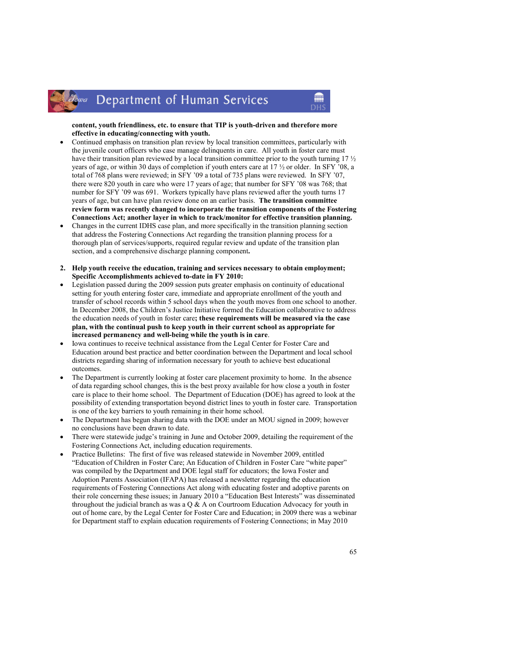# content, youth friendliness, etc. to ensure that TIP is youth-driven and therefore more effective in educating/connecting with youth.

m

- Continued emphasis on transition plan review by local transition committees, particularly with the juvenile court officers who case manage delinquents in care. All youth in foster care must have their transition plan reviewed by a local transition committee prior to the youth turning 17  $\frac{1}{2}$ years of age, or within 30 days of completion if youth enters care at 17 ½ or older. In SFY '08, a total of 768 plans were reviewed; in SFY '09 a total of 735 plans were reviewed. In SFY '07, there were 820 youth in care who were 17 years of age; that number for SFY '08 was 768; that number for SFY '09 was 691. Workers typically have plans reviewed after the youth turns 17 years of age, but can have plan review done on an earlier basis. The transition committee review form was recently changed to incorporate the transition components of the Fostering Connections Act; another layer in which to track/monitor for effective transition planning.
- Changes in the current IDHS case plan, and more specifically in the transition planning section that address the Fostering Connections Act regarding the transition planning process for a thorough plan of services/supports, required regular review and update of the transition plan section, and a comprehensive discharge planning component.
- 2. Help youth receive the education, training and services necessary to obtain employment; Specific Accomplishments achieved to-date in FY 2010:
- Legislation passed during the 2009 session puts greater emphasis on continuity of educational setting for youth entering foster care, immediate and appropriate enrollment of the youth and transfer of school records within 5 school days when the youth moves from one school to another. In December 2008, the Children's Justice Initiative formed the Education collaborative to address the education needs of youth in foster care; these requirements will be measured via the case plan, with the continual push to keep youth in their current school as appropriate for increased permanency and well-being while the youth is in care.
- Iowa continues to receive technical assistance from the Legal Center for Foster Care and Education around best practice and better coordination between the Department and local school districts regarding sharing of information necessary for youth to achieve best educational outcomes.
- The Department is currently looking at foster care placement proximity to home. In the absence of data regarding school changes, this is the best proxy available for how close a youth in foster care is place to their home school. The Department of Education (DOE) has agreed to look at the possibility of extending transportation beyond district lines to youth in foster care. Transportation is one of the key barriers to youth remaining in their home school.
- The Department has begun sharing data with the DOE under an MOU signed in 2009; however no conclusions have been drawn to date.
- There were statewide judge's training in June and October 2009, detailing the requirement of the Fostering Connections Act, including education requirements.
- Practice Bulletins: The first of five was released statewide in November 2009, entitled "Education of Children in Foster Care; An Education of Children in Foster Care "white paper" was compiled by the Department and DOE legal staff for educators; the Iowa Foster and Adoption Parents Association (IFAPA) has released a newsletter regarding the education requirements of Fostering Connections Act along with educating foster and adoptive parents on their role concerning these issues; in January 2010 a "Education Best Interests" was disseminated throughout the judicial branch as was a  $Q \& A$  on Courtroom Education Advocacy for youth in out of home care, by the Legal Center for Foster Care and Education; in 2009 there was a webinar for Department staff to explain education requirements of Fostering Connections; in May 2010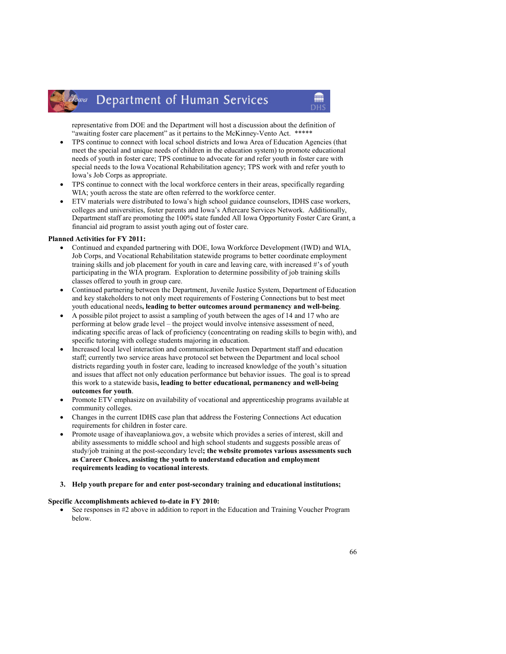representative from DOE and the Department will host a discussion about the definition of "awaiting foster care placement" as it pertains to the McKinney-Vento Act. \*\*\*\*\*

- TPS continue to connect with local school districts and Iowa Area of Education Agencies (that meet the special and unique needs of children in the education system) to promote educational needs of youth in foster care; TPS continue to advocate for and refer youth in foster care with special needs to the Iowa Vocational Rehabilitation agency; TPS work with and refer youth to Iowa's Job Corps as appropriate.
- TPS continue to connect with the local workforce centers in their areas, specifically regarding WIA; youth across the state are often referred to the workforce center.
- ETV materials were distributed to Iowa's high school guidance counselors, IDHS case workers, colleges and universities, foster parents and Iowa's Aftercare Services Network. Additionally, Department staff are promoting the 100% state funded All Iowa Opportunity Foster Care Grant, a financial aid program to assist youth aging out of foster care.

### Planned Activities for FY 2011:

- Continued and expanded partnering with DOE, Iowa Workforce Development (IWD) and WIA, Job Corps, and Vocational Rehabilitation statewide programs to better coordinate employment training skills and job placement for youth in care and leaving care, with increased #'s of youth participating in the WIA program. Exploration to determine possibility of job training skills classes offered to youth in group care.
- Continued partnering between the Department, Juvenile Justice System, Department of Education and key stakeholders to not only meet requirements of Fostering Connections but to best meet youth educational needs, leading to better outcomes around permanency and well-being.
- A possible pilot project to assist a sampling of youth between the ages of 14 and 17 who are performing at below grade level – the project would involve intensive assessment of need, indicating specific areas of lack of proficiency (concentrating on reading skills to begin with), and specific tutoring with college students majoring in education.
- Increased local level interaction and communication between Department staff and education staff; currently two service areas have protocol set between the Department and local school districts regarding youth in foster care, leading to increased knowledge of the youth's situation and issues that affect not only education performance but behavior issues. The goal is to spread this work to a statewide basis, leading to better educational, permanency and well-being outcomes for youth.
- Promote ETV emphasize on availability of vocational and apprenticeship programs available at community colleges.
- Changes in the current IDHS case plan that address the Fostering Connections Act education requirements for children in foster care.
- Promote usage of ihaveaplaniowa.gov, a website which provides a series of interest, skill and ability assessments to middle school and high school students and suggests possible areas of study/job training at the post-secondary level; the website promotes various assessments such as Career Choices, assisting the youth to understand education and employment requirements leading to vocational interests.
- 3. Help youth prepare for and enter post-secondary training and educational institutions;

#### Specific Accomplishments achieved to-date in FY 2010:

• See responses in #2 above in addition to report in the Education and Training Voucher Program below.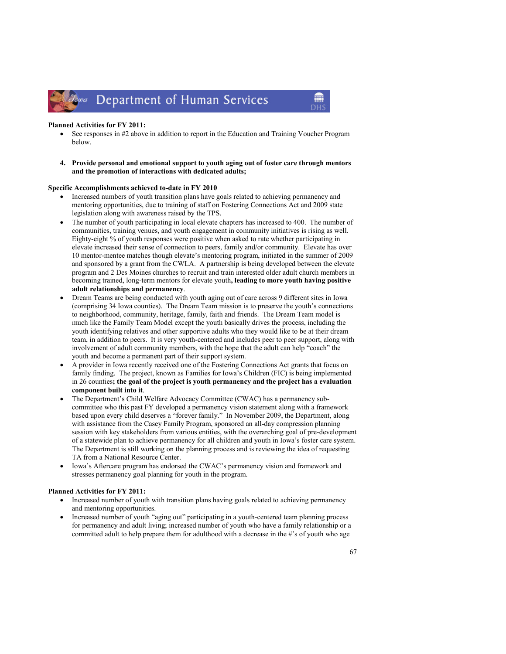#### Planned Activities for FY 2011:

• See responses in #2 above in addition to report in the Education and Training Voucher Program below.

m

4. Provide personal and emotional support to youth aging out of foster care through mentors and the promotion of interactions with dedicated adults;

#### Specific Accomplishments achieved to-date in FY 2010

- Increased numbers of youth transition plans have goals related to achieving permanency and mentoring opportunities, due to training of staff on Fostering Connections Act and 2009 state legislation along with awareness raised by the TPS.
- The number of youth participating in local elevate chapters has increased to 400. The number of communities, training venues, and youth engagement in community initiatives is rising as well. Eighty-eight % of youth responses were positive when asked to rate whether participating in elevate increased their sense of connection to peers, family and/or community. Elevate has over 10 mentor-mentee matches though elevate's mentoring program, initiated in the summer of 2009 and sponsored by a grant from the CWLA. A partnership is being developed between the elevate program and 2 Des Moines churches to recruit and train interested older adult church members in becoming trained, long-term mentors for elevate youth, leading to more youth having positive adult relationships and permanency.
- Dream Teams are being conducted with youth aging out of care across 9 different sites in Iowa (comprising 34 Iowa counties). The Dream Team mission is to preserve the youth's connections to neighborhood, community, heritage, family, faith and friends. The Dream Team model is much like the Family Team Model except the youth basically drives the process, including the youth identifying relatives and other supportive adults who they would like to be at their dream team, in addition to peers. It is very youth-centered and includes peer to peer support, along with involvement of adult community members, with the hope that the adult can help "coach" the youth and become a permanent part of their support system.
- A provider in Iowa recently received one of the Fostering Connections Act grants that focus on family finding. The project, known as Families for Iowa's Children (FIC) is being implemented in 26 counties; the goal of the project is youth permanency and the project has a evaluation component built into it.
- The Department's Child Welfare Advocacy Committee (CWAC) has a permanency subcommittee who this past FY developed a permanency vision statement along with a framework based upon every child deserves a "forever family." In November 2009, the Department, along with assistance from the Casey Family Program, sponsored an all-day compression planning session with key stakeholders from various entities, with the overarching goal of pre-development of a statewide plan to achieve permanency for all children and youth in Iowa's foster care system. The Department is still working on the planning process and is reviewing the idea of requesting TA from a National Resource Center.
- Iowa's Aftercare program has endorsed the CWAC's permanency vision and framework and stresses permanency goal planning for youth in the program.

# Planned Activities for FY 2011:

- Increased number of youth with transition plans having goals related to achieving permanency and mentoring opportunities.
- Increased number of youth "aging out" participating in a youth-centered team planning process for permanency and adult living; increased number of youth who have a family relationship or a committed adult to help prepare them for adulthood with a decrease in the #'s of youth who age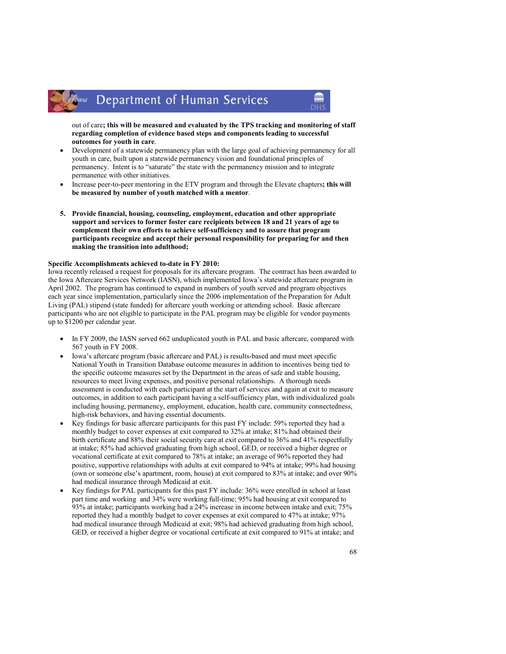out of care; this will be measured and evaluated by the TPS tracking and monitoring of staff regarding completion of evidence based steps and components leading to successful outcomes for youth in care.

- Development of a statewide permanency plan with the large goal of achieving permanency for all youth in care, built upon a statewide permanency vision and foundational principles of permanency. Intent is to "saturate" the state with the permanency mission and to integrate permanence with other initiatives.
- Increase peer-to-peer mentoring in the ETV program and through the Elevate chapters; this will be measured by number of youth matched with a mentor.
- 5. Provide financial, housing, counseling, employment, education and other appropriate support and services to former foster care recipients between 18 and 21 years of age to complement their own efforts to achieve self-sufficiency and to assure that program participants recognize and accept their personal responsibility for preparing for and then making the transition into adulthood;

#### Specific Accomplishments achieved to-date in FY 2010:

Iowa recently released a request for proposals for its aftercare program. The contract has been awarded to the Iowa Aftercare Services Network (IASN), which implemented Iowa's statewide aftercare program in April 2002. The program has continued to expand in numbers of youth served and program objectives each year since implementation, particularly since the 2006 implementation of the Preparation for Adult Living (PAL) stipend (state funded) for aftercare youth working or attending school. Basic aftercare participants who are not eligible to participate in the PAL program may be eligible for vendor payments up to \$1200 per calendar year.

- In FY 2009, the IASN served 662 unduplicated youth in PAL and basic aftercare, compared with 567 youth in FY 2008.
- Iowa's aftercare program (basic aftercare and PAL) is results-based and must meet specific National Youth in Transition Database outcome measures in addition to incentives being tied to the specific outcome measures set by the Department in the areas of safe and stable housing, resources to meet living expenses, and positive personal relationships. A thorough needs assessment is conducted with each participant at the start of services and again at exit to measure outcomes, in addition to each participant having a self-sufficiency plan, with individualized goals including housing, permanency, employment, education, health care, community connectedness, high-risk behaviors, and having essential documents.
- Key findings for basic aftercare participants for this past FY include: 59% reported they had a monthly budget to cover expenses at exit compared to 32% at intake; 81% had obtained their birth certificate and 88% their social security care at exit compared to 36% and 41% respectfully at intake; 85% had achieved graduating from high school, GED, or received a higher degree or vocational certificate at exit compared to 78% at intake; an average of 96% reported they had positive, supportive relationships with adults at exit compared to 94% at intake; 99% had housing (own or someone else's apartment, room, house) at exit compared to 83% at intake; and over 90% had medical insurance through Medicaid at exit.
- Key findings for PAL participants for this past FY include: 36% were enrolled in school at least part time and working and 34% were working full-time; 95% had housing at exit compared to 93% at intake; participants working had a 24% increase in income between intake and exit; 75% reported they had a monthly budget to cover expenses at exit compared to 47% at intake; 97% had medical insurance through Medicaid at exit; 98% had achieved graduating from high school, GED, or received a higher degree or vocational certificate at exit compared to 91% at intake; and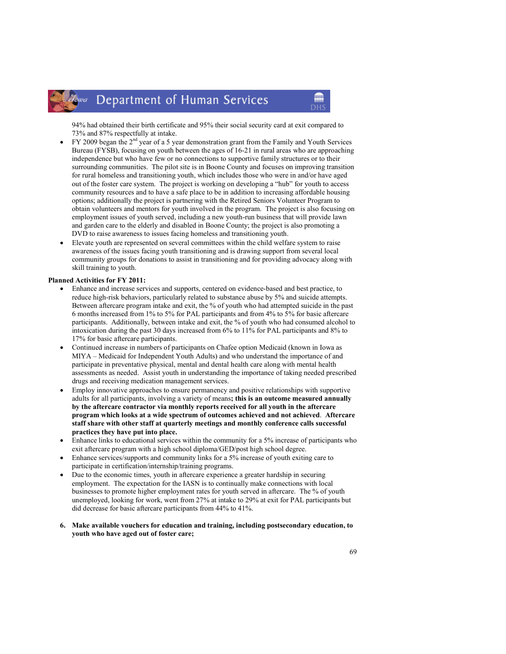94% had obtained their birth certificate and 95% their social security card at exit compared to 73% and 87% respectfully at intake.

m

- $\rm FY$  2009 began the 2<sup>nd</sup> year of a 5 year demonstration grant from the Family and Youth Services Bureau (FYSB), focusing on youth between the ages of 16-21 in rural areas who are approaching independence but who have few or no connections to supportive family structures or to their surrounding communities. The pilot site is in Boone County and focuses on improving transition for rural homeless and transitioning youth, which includes those who were in and/or have aged out of the foster care system. The project is working on developing a "hub" for youth to access community resources and to have a safe place to be in addition to increasing affordable housing options; additionally the project is partnering with the Retired Seniors Volunteer Program to obtain volunteers and mentors for youth involved in the program. The project is also focusing on employment issues of youth served, including a new youth-run business that will provide lawn and garden care to the elderly and disabled in Boone County; the project is also promoting a DVD to raise awareness to issues facing homeless and transitioning youth.
- Elevate youth are represented on several committees within the child welfare system to raise awareness of the issues facing youth transitioning and is drawing support from several local community groups for donations to assist in transitioning and for providing advocacy along with skill training to youth.

#### Planned Activities for FY 2011:

- Enhance and increase services and supports, centered on evidence-based and best practice, to reduce high-risk behaviors, particularly related to substance abuse by 5% and suicide attempts. Between aftercare program intake and exit, the % of youth who had attempted suicide in the past 6 months increased from 1% to 5% for PAL participants and from 4% to 5% for basic aftercare participants. Additionally, between intake and exit, the % of youth who had consumed alcohol to intoxication during the past 30 days increased from 6% to 11% for PAL participants and 8% to 17% for basic aftercare participants.
- Continued increase in numbers of participants on Chafee option Medicaid (known in Iowa as MIYA – Medicaid for Independent Youth Adults) and who understand the importance of and participate in preventative physical, mental and dental health care along with mental health assessments as needed. Assist youth in understanding the importance of taking needed prescribed drugs and receiving medication management services.
- Employ innovative approaches to ensure permanency and positive relationships with supportive adults for all participants, involving a variety of means; this is an outcome measured annually by the aftercare contractor via monthly reports received for all youth in the aftercare program which looks at a wide spectrum of outcomes achieved and not achieved. Aftercare staff share with other staff at quarterly meetings and monthly conference calls successful practices they have put into place.
- Enhance links to educational services within the community for a 5% increase of participants who exit aftercare program with a high school diploma/GED/post high school degree.
- Enhance services/supports and community links for a 5% increase of youth exiting care to participate in certification/internship/training programs.
- Due to the economic times, youth in aftercare experience a greater hardship in securing employment. The expectation for the IASN is to continually make connections with local businesses to promote higher employment rates for youth served in aftercare. The % of youth unemployed, looking for work, went from 27% at intake to 29% at exit for PAL participants but did decrease for basic aftercare participants from 44% to 41%.
- 6. Make available vouchers for education and training, including postsecondary education, to youth who have aged out of foster care;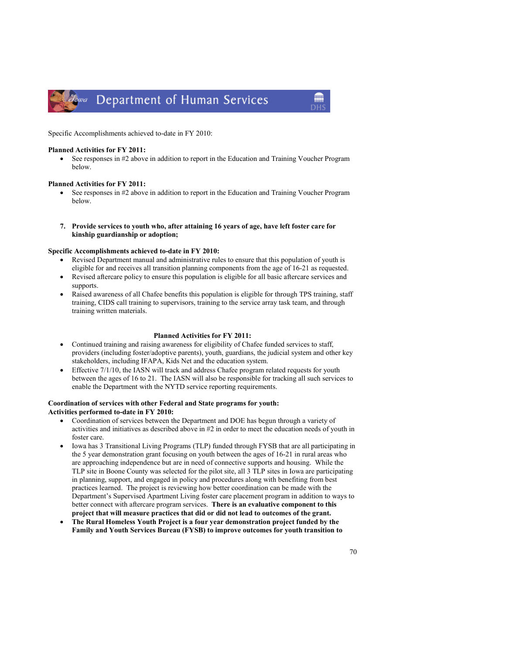

Specific Accomplishments achieved to-date in FY 2010:

### Planned Activities for FY 2011:

• See responses in #2 above in addition to report in the Education and Training Voucher Program below.

# Planned Activities for FY 2011:

- See responses in #2 above in addition to report in the Education and Training Voucher Program below.
- 7. Provide services to youth who, after attaining 16 years of age, have left foster care for kinship guardianship or adoption;

### Specific Accomplishments achieved to-date in FY 2010:

- Revised Department manual and administrative rules to ensure that this population of youth is eligible for and receives all transition planning components from the age of 16-21 as requested.
- Revised aftercare policy to ensure this population is eligible for all basic aftercare services and supports.
- Raised awareness of all Chafee benefits this population is eligible for through TPS training, staff training, CIDS call training to supervisors, training to the service array task team, and through training written materials.

# Planned Activities for FY 2011:

- Continued training and raising awareness for eligibility of Chafee funded services to staff, providers (including foster/adoptive parents), youth, guardians, the judicial system and other key stakeholders, including IFAPA, Kids Net and the education system.
- Effective 7/1/10, the IASN will track and address Chafee program related requests for youth between the ages of 16 to 21. The IASN will also be responsible for tracking all such services to enable the Department with the NYTD service reporting requirements.

# Coordination of services with other Federal and State programs for youth: Activities performed to-date in FY 2010:

- Coordination of services between the Department and DOE has begun through a variety of activities and initiatives as described above in #2 in order to meet the education needs of youth in foster care.
- Iowa has 3 Transitional Living Programs (TLP) funded through FYSB that are all participating in the 5 year demonstration grant focusing on youth between the ages of 16-21 in rural areas who are approaching independence but are in need of connective supports and housing. While the TLP site in Boone County was selected for the pilot site, all 3 TLP sites in Iowa are participating in planning, support, and engaged in policy and procedures along with benefiting from best practices learned. The project is reviewing how better coordination can be made with the Department's Supervised Apartment Living foster care placement program in addition to ways to better connect with aftercare program services. There is an evaluative component to this project that will measure practices that did or did not lead to outcomes of the grant.
- The Rural Homeless Youth Project is a four year demonstration project funded by the Family and Youth Services Bureau (FYSB) to improve outcomes for youth transition to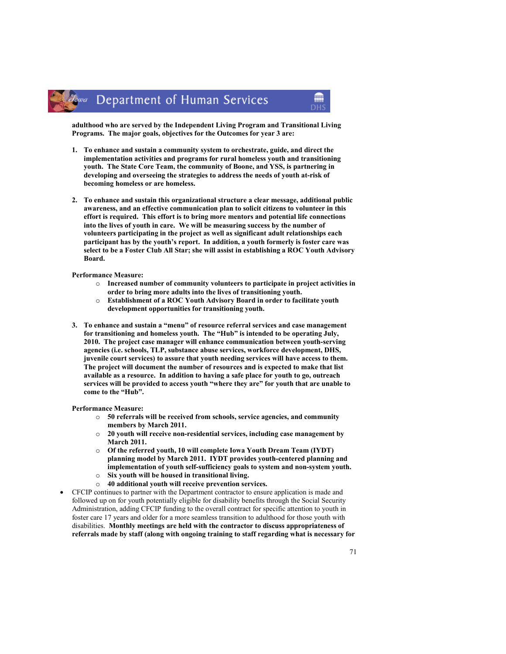adulthood who are served by the Independent Living Program and Transitional Living Programs. The major goals, objectives for the Outcomes for year 3 are:

- 1. To enhance and sustain a community system to orchestrate, guide, and direct the implementation activities and programs for rural homeless youth and transitioning youth. The State Core Team, the community of Boone, and YSS, is partnering in developing and overseeing the strategies to address the needs of youth at-risk of becoming homeless or are homeless.
- 2. To enhance and sustain this organizational structure a clear message, additional public awareness, and an effective communication plan to solicit citizens to volunteer in this effort is required. This effort is to bring more mentors and potential life connections into the lives of youth in care. We will be measuring success by the number of volunteers participating in the project as well as significant adult relationships each participant has by the youth's report. In addition, a youth formerly is foster care was select to be a Foster Club All Star; she will assist in establishing a ROC Youth Advisory Board.

#### Performance Measure:

- $\circ$  Increased number of community volunteers to participate in project activities in order to bring more adults into the lives of transitioning youth.
- o Establishment of a ROC Youth Advisory Board in order to facilitate youth development opportunities for transitioning youth.
- 3. To enhance and sustain a "menu" of resource referral services and case management for transitioning and homeless youth. The "Hub" is intended to be operating July, 2010. The project case manager will enhance communication between youth-serving agencies (i.e. schools, TLP, substance abuse services, workforce development, DHS, juvenile court services) to assure that youth needing services will have access to them. The project will document the number of resources and is expected to make that list available as a resource. In addition to having a safe place for youth to go, outreach services will be provided to access youth "where they are" for youth that are unable to come to the "Hub".

#### Performance Measure:

- o 50 referrals will be received from schools, service agencies, and community members by March 2011.
- $\circ$  20 youth will receive non-residential services, including case management by March 2011.
- o Of the referred youth, 10 will complete Iowa Youth Dream Team (IYDT) planning model by March 2011. IYDT provides youth-centered planning and implementation of youth self-sufficiency goals to system and non-system youth.
- o Six youth will be housed in transitional living.
- o 40 additional youth will receive prevention services.
- CFCIP continues to partner with the Department contractor to ensure application is made and followed up on for youth potentially eligible for disability benefits through the Social Security Administration, adding CFCIP funding to the overall contract for specific attention to youth in foster care 17 years and older for a more seamless transition to adulthood for those youth with disabilities. Monthly meetings are held with the contractor to discuss appropriateness of referrals made by staff (along with ongoing training to staff regarding what is necessary for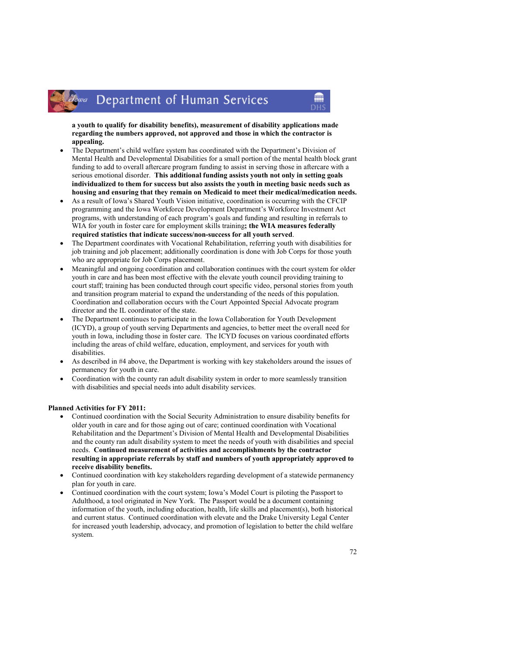a youth to qualify for disability benefits), measurement of disability applications made regarding the numbers approved, not approved and those in which the contractor is appealing.

m

- The Department's child welfare system has coordinated with the Department's Division of Mental Health and Developmental Disabilities for a small portion of the mental health block grant funding to add to overall aftercare program funding to assist in serving those in aftercare with a serious emotional disorder. This additional funding assists youth not only in setting goals individualized to them for success but also assists the youth in meeting basic needs such as housing and ensuring that they remain on Medicaid to meet their medical/medication needs.
- As a result of Iowa's Shared Youth Vision initiative, coordination is occurring with the CFCIP programming and the Iowa Workforce Development Department's Workforce Investment Act programs, with understanding of each program's goals and funding and resulting in referrals to WIA for youth in foster care for employment skills training; the WIA measures federally required statistics that indicate success/non-success for all youth served.
- The Department coordinates with Vocational Rehabilitation, referring youth with disabilities for job training and job placement; additionally coordination is done with Job Corps for those youth who are appropriate for Job Corps placement.
- Meaningful and ongoing coordination and collaboration continues with the court system for older youth in care and has been most effective with the elevate youth council providing training to court staff; training has been conducted through court specific video, personal stories from youth and transition program material to expand the understanding of the needs of this population. Coordination and collaboration occurs with the Court Appointed Special Advocate program director and the IL coordinator of the state.
- The Department continues to participate in the Iowa Collaboration for Youth Development (ICYD), a group of youth serving Departments and agencies, to better meet the overall need for youth in Iowa, including those in foster care. The ICYD focuses on various coordinated efforts including the areas of child welfare, education, employment, and services for youth with disabilities.
- As described in #4 above, the Department is working with key stakeholders around the issues of permanency for youth in care.
- Coordination with the county ran adult disability system in order to more seamlessly transition with disabilities and special needs into adult disability services.

# Planned Activities for FY 2011:

lowa

- Continued coordination with the Social Security Administration to ensure disability benefits for older youth in care and for those aging out of care; continued coordination with Vocational Rehabilitation and the Department's Division of Mental Health and Developmental Disabilities and the county ran adult disability system to meet the needs of youth with disabilities and special needs. Continued measurement of activities and accomplishments by the contractor resulting in appropriate referrals by staff and numbers of youth appropriately approved to receive disability benefits.
- Continued coordination with key stakeholders regarding development of a statewide permanency plan for youth in care.
- Continued coordination with the court system; Iowa's Model Court is piloting the Passport to Adulthood, a tool originated in New York. The Passport would be a document containing information of the youth, including education, health, life skills and placement(s), both historical and current status. Continued coordination with elevate and the Drake University Legal Center for increased youth leadership, advocacy, and promotion of legislation to better the child welfare system.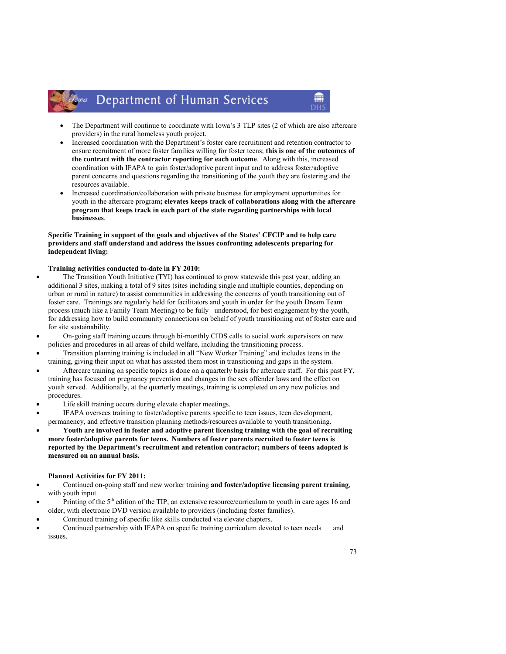#### Department of Human Services lowa

• The Department will continue to coordinate with Iowa's 3 TLP sites (2 of which are also aftercare providers) in the rural homeless youth project.

m

- Increased coordination with the Department's foster care recruitment and retention contractor to ensure recruitment of more foster families willing for foster teens; this is one of the outcomes of the contract with the contractor reporting for each outcome. Along with this, increased coordination with IFAPA to gain foster/adoptive parent input and to address foster/adoptive parent concerns and questions regarding the transitioning of the youth they are fostering and the resources available.
- Increased coordination/collaboration with private business for employment opportunities for youth in the aftercare program; elevates keeps track of collaborations along with the aftercare program that keeps track in each part of the state regarding partnerships with local businesses.

#### Specific Training in support of the goals and objectives of the States' CFCIP and to help care providers and staff understand and address the issues confronting adolescents preparing for independent living:

#### Training activities conducted to-date in FY 2010:

- The Transition Youth Initiative (TYI) has continued to grow statewide this past year, adding an additional 3 sites, making a total of 9 sites (sites including single and multiple counties, depending on urban or rural in nature) to assist communities in addressing the concerns of youth transitioning out of foster care. Trainings are regularly held for facilitators and youth in order for the youth Dream Team process (much like a Family Team Meeting) to be fully understood, for best engagement by the youth, for addressing how to build community connections on behalf of youth transitioning out of foster care and for site sustainability.
- On-going staff training occurs through bi-monthly CIDS calls to social work supervisors on new policies and procedures in all areas of child welfare, including the transitioning process.
- Transition planning training is included in all "New Worker Training" and includes teens in the training, giving their input on what has assisted them most in transitioning and gaps in the system.
- Aftercare training on specific topics is done on a quarterly basis for aftercare staff. For this past FY, training has focused on pregnancy prevention and changes in the sex offender laws and the effect on youth served. Additionally, at the quarterly meetings, training is completed on any new policies and procedures.
- Life skill training occurs during elevate chapter meetings.
- IFAPA oversees training to foster/adoptive parents specific to teen issues, teen development, permanency, and effective transition planning methods/resources available to youth transitioning.
- Youth are involved in foster and adoptive parent licensing training with the goal of recruiting more foster/adoptive parents for teens. Numbers of foster parents recruited to foster teens is reported by the Department's recruitment and retention contractor; numbers of teens adopted is measured on an annual basis.

#### Planned Activities for FY 2011:

- Continued on-going staff and new worker training and foster/adoptive licensing parent training, with youth input.
- Printing of the  $5<sup>th</sup>$  edition of the TIP, an extensive resource/curriculum to youth in care ages 16 and older, with electronic DVD version available to providers (including foster families).
- Continued training of specific like skills conducted via elevate chapters.
- Continued partnership with IFAPA on specific training curriculum devoted to teen needs and issues.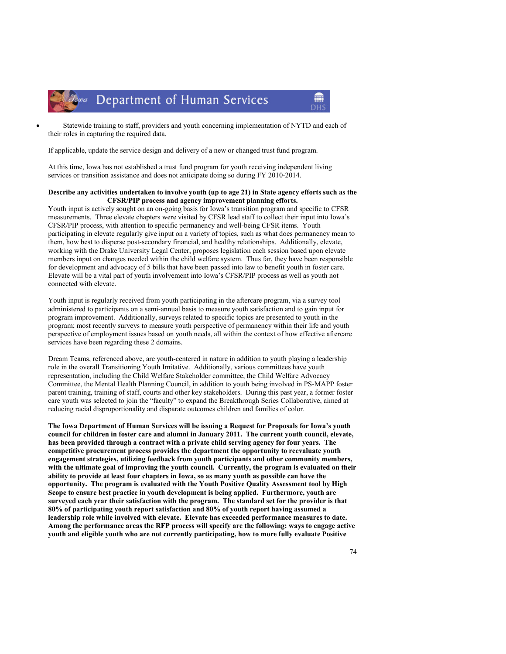Department of Human Services

lowa



If applicable, update the service design and delivery of a new or changed trust fund program.

At this time, Iowa has not established a trust fund program for youth receiving independent living services or transition assistance and does not anticipate doing so during FY 2010-2014.

#### Describe any activities undertaken to involve youth (up to age 21) in State agency efforts such as the CFSR/PIP process and agency improvement planning efforts.

Youth input is actively sought on an on-going basis for Iowa's transition program and specific to CFSR measurements. Three elevate chapters were visited by CFSR lead staff to collect their input into Iowa's CFSR/PIP process, with attention to specific permanency and well-being CFSR items. Youth participating in elevate regularly give input on a variety of topics, such as what does permanency mean to them, how best to disperse post-secondary financial, and healthy relationships. Additionally, elevate, working with the Drake University Legal Center, proposes legislation each session based upon elevate members input on changes needed within the child welfare system. Thus far, they have been responsible for development and advocacy of 5 bills that have been passed into law to benefit youth in foster care. Elevate will be a vital part of youth involvement into Iowa's CFSR/PIP process as well as youth not connected with elevate.

Youth input is regularly received from youth participating in the aftercare program, via a survey tool administered to participants on a semi-annual basis to measure youth satisfaction and to gain input for program improvement. Additionally, surveys related to specific topics are presented to youth in the program; most recently surveys to measure youth perspective of permanency within their life and youth perspective of employment issues based on youth needs, all within the context of how effective aftercare services have been regarding these 2 domains.

Dream Teams, referenced above, are youth-centered in nature in addition to youth playing a leadership role in the overall Transitioning Youth Imitative. Additionally, various committees have youth representation, including the Child Welfare Stakeholder committee, the Child Welfare Advocacy Committee, the Mental Health Planning Council, in addition to youth being involved in PS-MAPP foster parent training, training of staff, courts and other key stakeholders. During this past year, a former foster care youth was selected to join the "faculty" to expand the Breakthrough Series Collaborative, aimed at reducing racial disproportionality and disparate outcomes children and families of color.

The Iowa Department of Human Services will be issuing a Request for Proposals for Iowa's youth council for children in foster care and alumni in January 2011. The current youth council, elevate, has been provided through a contract with a private child serving agency for four years. The competitive procurement process provides the department the opportunity to reevaluate youth engagement strategies, utilizing feedback from youth participants and other community members, with the ultimate goal of improving the youth council. Currently, the program is evaluated on their ability to provide at least four chapters in Iowa, so as many youth as possible can have the opportunity. The program is evaluated with the Youth Positive Quality Assessment tool by High Scope to ensure best practice in youth development is being applied. Furthermore, youth are surveyed each year their satisfaction with the program. The standard set for the provider is that 80% of participating youth report satisfaction and 80% of youth report having assumed a leadership role while involved with elevate. Elevate has exceeded performance measures to date. Among the performance areas the RFP process will specify are the following: ways to engage active youth and eligible youth who are not currently participating, how to more fully evaluate Positive

m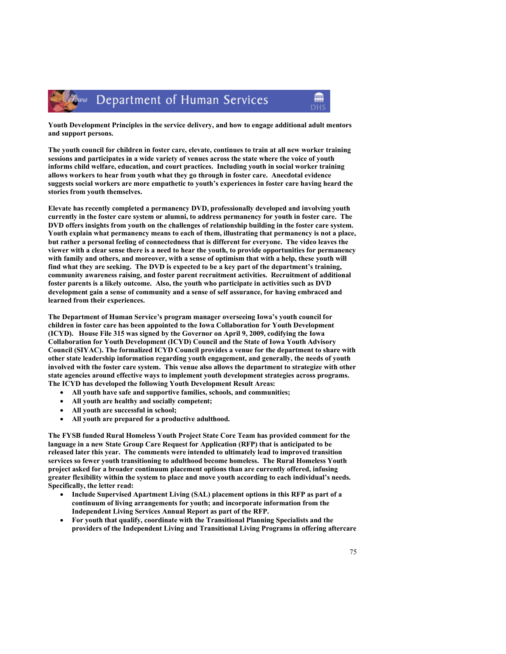

Youth Development Principles in the service delivery, and how to engage additional adult mentors and support persons.

The youth council for children in foster care, elevate, continues to train at all new worker training sessions and participates in a wide variety of venues across the state where the voice of youth informs child welfare, education, and court practices. Including youth in social worker training allows workers to hear from youth what they go through in foster care. Anecdotal evidence suggests social workers are more empathetic to youth's experiences in foster care having heard the stories from youth themselves.

Elevate has recently completed a permanency DVD, professionally developed and involving youth currently in the foster care system or alumni, to address permanency for youth in foster care. The DVD offers insights from youth on the challenges of relationship building in the foster care system. Youth explain what permanency means to each of them, illustrating that permanency is not a place, but rather a personal feeling of connectedness that is different for everyone. The video leaves the viewer with a clear sense there is a need to hear the youth, to provide opportunities for permanency with family and others, and moreover, with a sense of optimism that with a help, these youth will find what they are seeking. The DVD is expected to be a key part of the department's training, community awareness raising, and foster parent recruitment activities. Recruitment of additional foster parents is a likely outcome. Also, the youth who participate in activities such as DVD development gain a sense of community and a sense of self assurance, for having embraced and learned from their experiences.

The Department of Human Service's program manager overseeing Iowa's youth council for children in foster care has been appointed to the Iowa Collaboration for Youth Development (ICYD). House File 315 was signed by the Governor on April 9, 2009, codifying the Iowa Collaboration for Youth Development (ICYD) Council and the State of Iowa Youth Advisory Council (SIYAC). The formalized ICYD Council provides a venue for the department to share with other state leadership information regarding youth engagement, and generally, the needs of youth involved with the foster care system. This venue also allows the department to strategize with other state agencies around effective ways to implement youth development strategies across programs. The ICYD has developed the following Youth Development Result Areas:

- All youth have safe and supportive families, schools, and communities;
- All youth are healthy and socially competent;
- All youth are successful in school;
- All youth are prepared for a productive adulthood.

The FYSB funded Rural Homeless Youth Project State Core Team has provided comment for the language in a new State Group Care Request for Application (RFP) that is anticipated to be released later this year. The comments were intended to ultimately lead to improved transition services so fewer youth transitioning to adulthood become homeless. The Rural Homeless Youth project asked for a broader continuum placement options than are currently offered, infusing greater flexibility within the system to place and move youth according to each individual's needs. Specifically, the letter read:

- Include Supervised Apartment Living (SAL) placement options in this RFP as part of a continuum of living arrangements for youth; and incorporate information from the Independent Living Services Annual Report as part of the RFP.
- For youth that qualify, coordinate with the Transitional Planning Specialists and the providers of the Independent Living and Transitional Living Programs in offering aftercare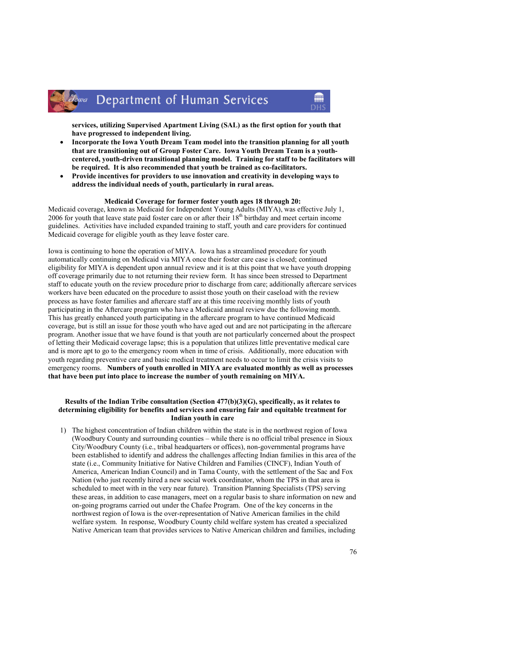#### Department of Human Services lowa

services, utilizing Supervised Apartment Living (SAL) as the first option for youth that have progressed to independent living.

m

- Incorporate the Iowa Youth Dream Team model into the transition planning for all youth that are transitioning out of Group Foster Care. Iowa Youth Dream Team is a youthcentered, youth-driven transitional planning model. Training for staff to be facilitators will be required. It is also recommended that youth be trained as co-facilitators.
- Provide incentives for providers to use innovation and creativity in developing ways to address the individual needs of youth, particularly in rural areas.

#### Medicaid Coverage for former foster youth ages 18 through 20:

Medicaid coverage, known as Medicaid for Independent Young Adults (MIYA), was effective July 1, 2006 for youth that leave state paid foster care on or after their  $18<sup>th</sup>$  birthday and meet certain income guidelines. Activities have included expanded training to staff, youth and care providers for continued Medicaid coverage for eligible youth as they leave foster care.

Iowa is continuing to hone the operation of MIYA. Iowa has a streamlined procedure for youth automatically continuing on Medicaid via MIYA once their foster care case is closed; continued eligibility for MIYA is dependent upon annual review and it is at this point that we have youth dropping off coverage primarily due to not returning their review form. It has since been stressed to Department staff to educate youth on the review procedure prior to discharge from care; additionally aftercare services workers have been educated on the procedure to assist those youth on their caseload with the review process as have foster families and aftercare staff are at this time receiving monthly lists of youth participating in the Aftercare program who have a Medicaid annual review due the following month. This has greatly enhanced youth participating in the aftercare program to have continued Medicaid coverage, but is still an issue for those youth who have aged out and are not participating in the aftercare program. Another issue that we have found is that youth are not particularly concerned about the prospect of letting their Medicaid coverage lapse; this is a population that utilizes little preventative medical care and is more apt to go to the emergency room when in time of crisis. Additionally, more education with youth regarding preventive care and basic medical treatment needs to occur to limit the crisis visits to emergency rooms. Numbers of youth enrolled in MIYA are evaluated monthly as well as processes that have been put into place to increase the number of youth remaining on MIYA.

#### Results of the Indian Tribe consultation (Section 477(b)(3)(G), specifically, as it relates to determining eligibility for benefits and services and ensuring fair and equitable treatment for Indian youth in care

1) The highest concentration of Indian children within the state is in the northwest region of Iowa (Woodbury County and surrounding counties – while there is no official tribal presence in Sioux City/Woodbury County (i.e., tribal headquarters or offices), non-governmental programs have been established to identify and address the challenges affecting Indian families in this area of the state (i.e., Community Initiative for Native Children and Families (CINCF), Indian Youth of America, American Indian Council) and in Tama County, with the settlement of the Sac and Fox Nation (who just recently hired a new social work coordinator, whom the TPS in that area is scheduled to meet with in the very near future). Transition Planning Specialists (TPS) serving these areas, in addition to case managers, meet on a regular basis to share information on new and on-going programs carried out under the Chafee Program. One of the key concerns in the northwest region of Iowa is the over-representation of Native American families in the child welfare system. In response, Woodbury County child welfare system has created a specialized Native American team that provides services to Native American children and families, including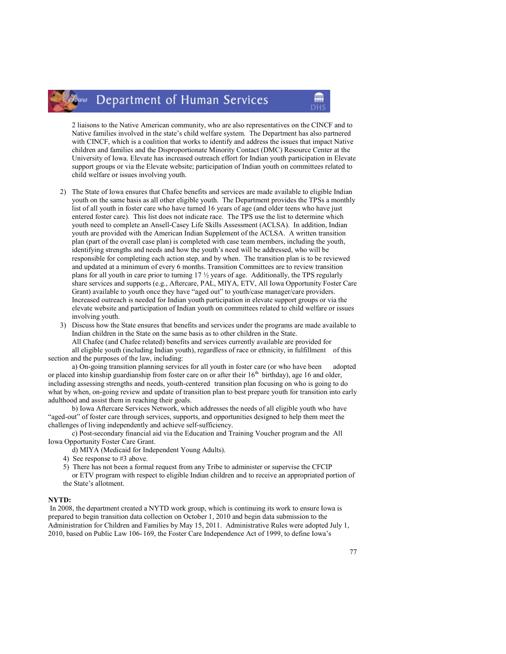#### Department of Human Services lowa

2 liaisons to the Native American community, who are also representatives on the CINCF and to Native families involved in the state's child welfare system. The Department has also partnered with CINCF, which is a coalition that works to identify and address the issues that impact Native children and families and the Disproportionate Minority Contact (DMC) Resource Center at the University of Iowa. Elevate has increased outreach effort for Indian youth participation in Elevate support groups or via the Elevate website; participation of Indian youth on committees related to child welfare or issues involving youth.

- 2) The State of Iowa ensures that Chafee benefits and services are made available to eligible Indian youth on the same basis as all other eligible youth. The Department provides the TPSs a monthly list of all youth in foster care who have turned 16 years of age (and older teens who have just entered foster care). This list does not indicate race. The TPS use the list to determine which youth need to complete an Ansell-Casey Life Skills Assessment (ACLSA). In addition, Indian youth are provided with the American Indian Supplement of the ACLSA. A written transition plan (part of the overall case plan) is completed with case team members, including the youth, identifying strengths and needs and how the youth's need will be addressed, who will be responsible for completing each action step, and by when. The transition plan is to be reviewed and updated at a minimum of every 6 months. Transition Committees are to review transition plans for all youth in care prior to turning 17 ½ years of age. Additionally, the TPS regularly share services and supports (e.g., Aftercare, PAL, MIYA, ETV, All Iowa Opportunity Foster Care Grant) available to youth once they have "aged out" to youth/case manager/care providers. Increased outreach is needed for Indian youth participation in elevate support groups or via the elevate website and participation of Indian youth on committees related to child welfare or issues involving youth.
- 3) Discuss how the State ensures that benefits and services under the programs are made available to Indian children in the State on the same basis as to other children in the State. All Chafee (and Chafee related) benefits and services currently available are provided for all eligible youth (including Indian youth), regardless of race or ethnicity, in fulfillment of this section and the purposes of the law, including:

 a) On-going transition planning services for all youth in foster care (or who have been adopted or placed into kinship guardianship from foster care on or after their  $16<sup>th</sup>$  birthday), age 16 and older, including assessing strengths and needs, youth-centered transition plan focusing on who is going to do what by when, on-going review and update of transition plan to best prepare youth for transition into early adulthood and assist them in reaching their goals.

 b) Iowa Aftercare Services Network, which addresses the needs of all eligible youth who have "aged-out" of foster care through services, supports, and opportunities designed to help them meet the challenges of living independently and achieve self-sufficiency.

 c) Post-secondary financial aid via the Education and Training Voucher program and the All Iowa Opportunity Foster Care Grant.

- d) MIYA (Medicaid for Independent Young Adults).
- 4) See response to #3 above.
- 5) There has not been a formal request from any Tribe to administer or supervise the CFCIP or ETV program with respect to eligible Indian children and to receive an appropriated portion of the State's allotment.

#### NYTD:

In 2008, the department created a NYTD work group, which is continuing its work to ensure Iowa is prepared to begin transition data collection on October 1, 2010 and begin data submission to the Administration for Children and Families by May 15, 2011. Administrative Rules were adopted July 1, 2010, based on Public Law 106- 169, the Foster Care Independence Act of 1999, to define Iowa's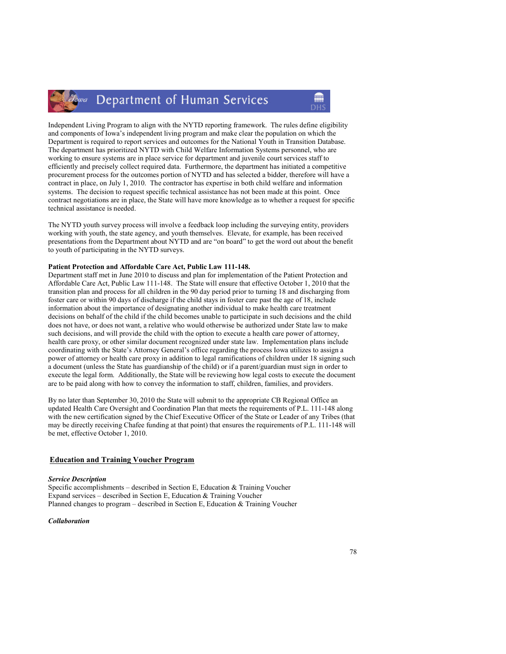#### Department of Human Services Iowa

Independent Living Program to align with the NYTD reporting framework. The rules define eligibility and components of Iowa's independent living program and make clear the population on which the Department is required to report services and outcomes for the National Youth in Transition Database. The department has prioritized NYTD with Child Welfare Information Systems personnel, who are working to ensure systems are in place service for department and juvenile court services staff to efficiently and precisely collect required data. Furthermore, the department has initiated a competitive procurement process for the outcomes portion of NYTD and has selected a bidder, therefore will have a contract in place, on July 1, 2010. The contractor has expertise in both child welfare and information systems. The decision to request specific technical assistance has not been made at this point. Once contract negotiations are in place, the State will have more knowledge as to whether a request for specific technical assistance is needed.

The NYTD youth survey process will involve a feedback loop including the surveying entity, providers working with youth, the state agency, and youth themselves. Elevate, for example, has been received presentations from the Department about NYTD and are "on board" to get the word out about the benefit to youth of participating in the NYTD surveys.

#### Patient Protection and Affordable Care Act, Public Law 111-148.

Department staff met in June 2010 to discuss and plan for implementation of the Patient Protection and Affordable Care Act, Public Law 111-148. The State will ensure that effective October 1, 2010 that the transition plan and process for all children in the 90 day period prior to turning 18 and discharging from foster care or within 90 days of discharge if the child stays in foster care past the age of 18, include information about the importance of designating another individual to make health care treatment decisions on behalf of the child if the child becomes unable to participate in such decisions and the child does not have, or does not want, a relative who would otherwise be authorized under State law to make such decisions, and will provide the child with the option to execute a health care power of attorney, health care proxy, or other similar document recognized under state law. Implementation plans include coordinating with the State's Attorney General's office regarding the process Iowa utilizes to assign a power of attorney or health care proxy in addition to legal ramifications of children under 18 signing such a document (unless the State has guardianship of the child) or if a parent/guardian must sign in order to execute the legal form. Additionally, the State will be reviewing how legal costs to execute the document are to be paid along with how to convey the information to staff, children, families, and providers.

By no later than September 30, 2010 the State will submit to the appropriate CB Regional Office an updated Health Care Oversight and Coordination Plan that meets the requirements of P.L. 111-148 along with the new certification signed by the Chief Executive Officer of the State or Leader of any Tribes (that may be directly receiving Chafee funding at that point) that ensures the requirements of P.L. 111-148 will be met, effective October 1, 2010.

#### Education and Training Voucher Program

#### Service Description

Specific accomplishments – described in Section E, Education & Training Voucher Expand services – described in Section E, Education & Training Voucher Planned changes to program – described in Section E, Education & Training Voucher

#### Collaboration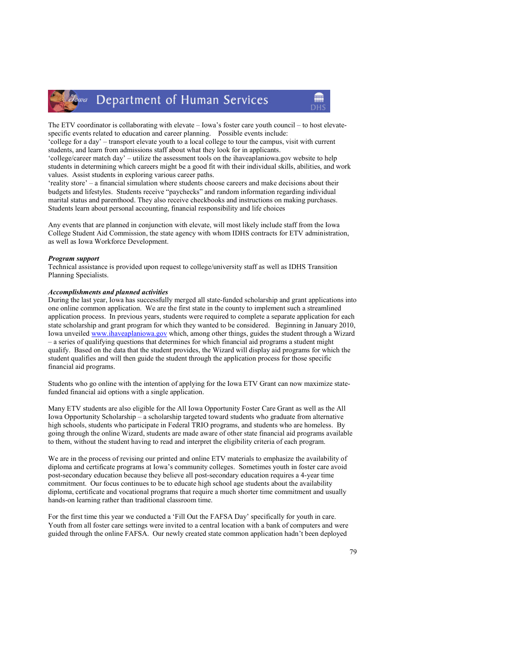

## Department of Human Services

The ETV coordinator is collaborating with elevate – Iowa's foster care youth council – to host elevatespecific events related to education and career planning. Possible events include:

'college for a day' – transport elevate youth to a local college to tour the campus, visit with current students, and learn from admissions staff about what they look for in applicants.

'college/career match day' – utilize the assessment tools on the ihaveaplaniowa.gov website to help students in determining which careers might be a good fit with their individual skills, abilities, and work values. Assist students in exploring various career paths.

'reality store' – a financial simulation where students choose careers and make decisions about their budgets and lifestyles. Students receive "paychecks" and random information regarding individual marital status and parenthood. They also receive checkbooks and instructions on making purchases. Students learn about personal accounting, financial responsibility and life choices

Any events that are planned in conjunction with elevate, will most likely include staff from the Iowa College Student Aid Commission, the state agency with whom IDHS contracts for ETV administration, as well as Iowa Workforce Development.

#### Program support

Technical assistance is provided upon request to college/university staff as well as IDHS Transition Planning Specialists.

#### Accomplishments and planned activities

During the last year, Iowa has successfully merged all state-funded scholarship and grant applications into one online common application. We are the first state in the county to implement such a streamlined application process. In previous years, students were required to complete a separate application for each state scholarship and grant program for which they wanted to be considered. Beginning in January 2010, Iowa unveiled www.ihaveaplaniowa.gov which, among other things, guides the student through a Wizard – a series of qualifying questions that determines for which financial aid programs a student might qualify. Based on the data that the student provides, the Wizard will display aid programs for which the student qualifies and will then guide the student through the application process for those specific financial aid programs.

Students who go online with the intention of applying for the Iowa ETV Grant can now maximize statefunded financial aid options with a single application.

Many ETV students are also eligible for the All Iowa Opportunity Foster Care Grant as well as the All Iowa Opportunity Scholarship – a scholarship targeted toward students who graduate from alternative high schools, students who participate in Federal TRIO programs, and students who are homeless. By going through the online Wizard, students are made aware of other state financial aid programs available to them, without the student having to read and interpret the eligibility criteria of each program.

We are in the process of revising our printed and online ETV materials to emphasize the availability of diploma and certificate programs at Iowa's community colleges. Sometimes youth in foster care avoid post-secondary education because they believe all post-secondary education requires a 4-year time commitment. Our focus continues to be to educate high school age students about the availability diploma, certificate and vocational programs that require a much shorter time commitment and usually hands-on learning rather than traditional classroom time.

For the first time this year we conducted a 'Fill Out the FAFSA Day' specifically for youth in care. Youth from all foster care settings were invited to a central location with a bank of computers and were guided through the online FAFSA. Our newly created state common application hadn't been deployed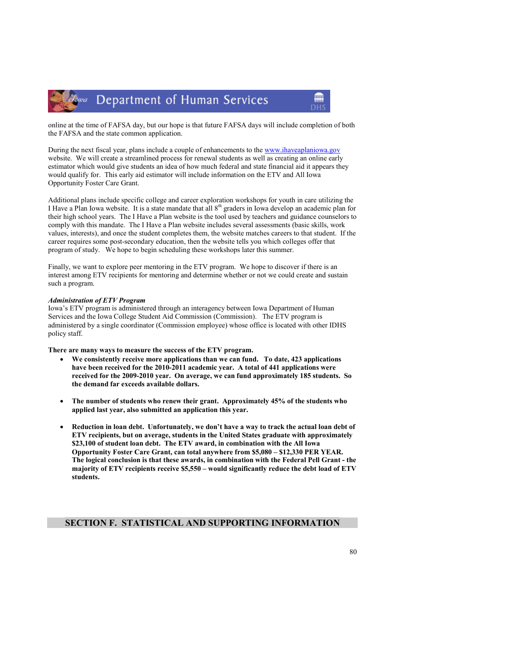

online at the time of FAFSA day, but our hope is that future FAFSA days will include completion of both the FAFSA and the state common application.

m

During the next fiscal year, plans include a couple of enhancements to the www.ihaveaplaniowa.gov website. We will create a streamlined process for renewal students as well as creating an online early estimator which would give students an idea of how much federal and state financial aid it appears they would qualify for. This early aid estimator will include information on the ETV and All Iowa Opportunity Foster Care Grant.

Additional plans include specific college and career exploration workshops for youth in care utilizing the I Have a Plan Iowa website. It is a state mandate that all  $8<sup>th</sup>$  graders in Iowa develop an academic plan for their high school years. The I Have a Plan website is the tool used by teachers and guidance counselors to comply with this mandate. The I Have a Plan website includes several assessments (basic skills, work values, interests), and once the student completes them, the website matches careers to that student. If the career requires some post-secondary education, then the website tells you which colleges offer that program of study. We hope to begin scheduling these workshops later this summer.

Finally, we want to explore peer mentoring in the ETV program. We hope to discover if there is an interest among ETV recipients for mentoring and determine whether or not we could create and sustain such a program.

#### Administration of ETV Program

Iowa's ETV program is administered through an interagency between Iowa Department of Human Services and the Iowa College Student Aid Commission (Commission). The ETV program is administered by a single coordinator (Commission employee) whose office is located with other IDHS policy staff.

There are many ways to measure the success of the ETV program.

- We consistently receive more applications than we can fund. To date, 423 applications have been received for the 2010-2011 academic year. A total of 441 applications were received for the 2009-2010 year. On average, we can fund approximately 185 students. So the demand far exceeds available dollars.
- The number of students who renew their grant. Approximately 45% of the students who applied last year, also submitted an application this year.
- Reduction in loan debt. Unfortunately, we don't have a way to track the actual loan debt of ETV recipients, but on average, students in the United States graduate with approximately \$23,100 of student loan debt. The ETV award, in combination with the All Iowa Opportunity Foster Care Grant, can total anywhere from \$5,080 – \$12,330 PER YEAR. The logical conclusion is that these awards, in combination with the Federal Pell Grant - the majority of ETV recipients receive \$5,550 – would significantly reduce the debt load of ETV students.

## SECTION F. STATISTICAL AND SUPPORTING INFORMATION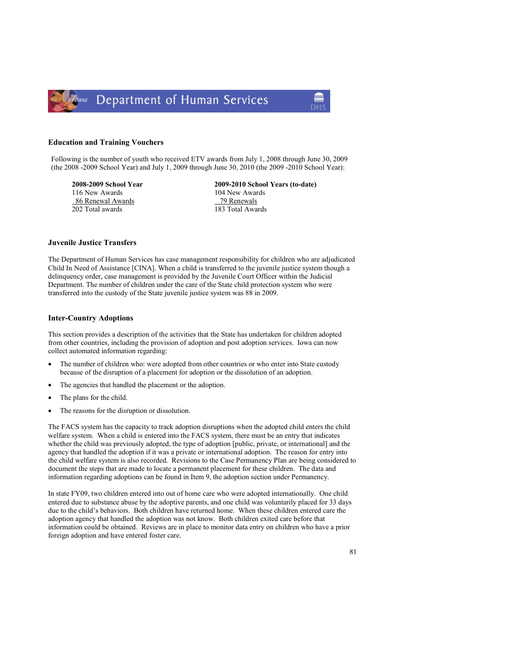

#### Education and Training Vouchers

Following is the number of youth who received ETV awards from July 1, 2008 through June 30, 2009 (the 2008 -2009 School Year) and July 1, 2009 through June 30, 2010 (the 2009 -2010 School Year):

116 New Awards 104 New Awards 104 New Awards 104 New Awards 104 New Awards 86 Renewal Awards 202 Total awards 183 Total Awards

2008-2009 School Year 2009-2010 School Years (to-date)

#### Juvenile Justice Transfers

The Department of Human Services has case management responsibility for children who are adjudicated Child In Need of Assistance [CINA]. When a child is transferred to the juvenile justice system though a delinquency order, case management is provided by the Juvenile Court Officer within the Judicial Department. The number of children under the care of the State child protection system who were transferred into the custody of the State juvenile justice system was 88 in 2009.

#### Inter-Country Adoptions

This section provides a description of the activities that the State has undertaken for children adopted from other countries, including the provision of adoption and post adoption services. Iowa can now collect automated information regarding:

- The number of children who: were adopted from other countries or who enter into State custody because of the disruption of a placement for adoption or the dissolution of an adoption.
- The agencies that handled the placement or the adoption.
- The plans for the child.
- The reasons for the disruption or dissolution.

The FACS system has the capacity to track adoption disruptions when the adopted child enters the child welfare system. When a child is entered into the FACS system, there must be an entry that indicates whether the child was previously adopted, the type of adoption [public, private, or international] and the agency that handled the adoption if it was a private or international adoption. The reason for entry into the child welfare system is also recorded. Revisions to the Case Permanency Plan are being considered to document the steps that are made to locate a permanent placement for these children. The data and information regarding adoptions can be found in Item 9, the adoption section under Permanency.

In state FY09, two children entered into out of home care who were adopted internationally. One child entered due to substance abuse by the adoptive parents, and one child was voluntarily placed for 33 days due to the child's behaviors. Both children have returned home. When these children entered care the adoption agency that handled the adoption was not know. Both children exited care before that information could be obtained. Reviews are in place to monitor data entry on children who have a prior foreign adoption and have entered foster care.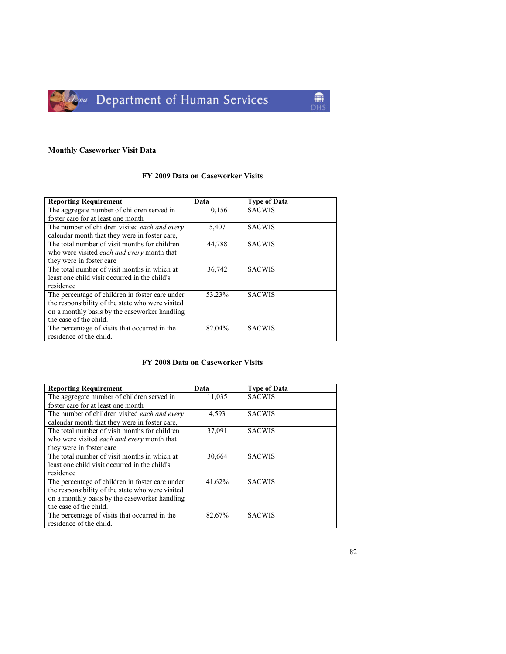

## Monthly Caseworker Visit Data

## FY 2009 Data on Caseworker Visits

| <b>Reporting Requirement</b>                         | Data   | <b>Type of Data</b> |
|------------------------------------------------------|--------|---------------------|
| The aggregate number of children served in           | 10,156 | <b>SACWIS</b>       |
| foster care for at least one month                   |        |                     |
| The number of children visited <i>each and every</i> | 5,407  | <b>SACWIS</b>       |
| calendar month that they were in foster care,        |        |                     |
| The total number of visit months for children        | 44,788 | <b>SACWIS</b>       |
| who were visited <i>each and every</i> month that    |        |                     |
| they were in foster care                             |        |                     |
| The total number of visit months in which at         | 36,742 | <b>SACWIS</b>       |
| least one child visit occurred in the child's        |        |                     |
| residence                                            |        |                     |
| The percentage of children in foster care under      | 53.23% | <b>SACWIS</b>       |
| the responsibility of the state who were visited     |        |                     |
| on a monthly basis by the caseworker handling        |        |                     |
| the case of the child.                               |        |                     |
| The percentage of visits that occurred in the        | 82.04% | <b>SACWIS</b>       |
| residence of the child.                              |        |                     |

## FY 2008 Data on Caseworker Visits

| <b>Reporting Requirement</b>                      | Data   | <b>Type of Data</b> |
|---------------------------------------------------|--------|---------------------|
| The aggregate number of children served in        | 11,035 | <b>SACWIS</b>       |
| foster care for at least one month                |        |                     |
| The number of children visited each and every     | 4,593  | <b>SACWIS</b>       |
| calendar month that they were in foster care,     |        |                     |
| The total number of visit months for children     | 37,091 | <b>SACWIS</b>       |
| who were visited <i>each and every</i> month that |        |                     |
| they were in foster care                          |        |                     |
| The total number of visit months in which at      | 30,664 | <b>SACWIS</b>       |
| least one child visit occurred in the child's     |        |                     |
| residence                                         |        |                     |
| The percentage of children in foster care under   | 41.62% | <b>SACWIS</b>       |
| the responsibility of the state who were visited  |        |                     |
| on a monthly basis by the caseworker handling     |        |                     |
| the case of the child.                            |        |                     |
| The percentage of visits that occurred in the     | 82.67% | <b>SACWIS</b>       |
| residence of the child.                           |        |                     |

M **DHS**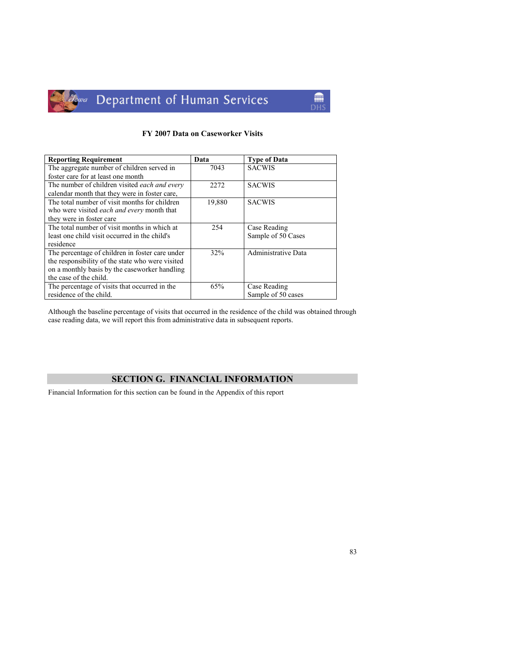

Jowa Department of Human Services

### FY 2007 Data on Caseworker Visits

mm<sup>a</sup> **DHS** 

| <b>Reporting Requirement</b>                      | Data   | <b>Type of Data</b> |
|---------------------------------------------------|--------|---------------------|
| The aggregate number of children served in        | 7043   | <b>SACWIS</b>       |
| foster care for at least one month                |        |                     |
| The number of children visited each and every     | 2272   | <b>SACWIS</b>       |
| calendar month that they were in foster care,     |        |                     |
| The total number of visit months for children     | 19,880 | <b>SACWIS</b>       |
| who were visited <i>each and every</i> month that |        |                     |
| they were in foster care                          |        |                     |
| The total number of visit months in which at      | 254    | Case Reading        |
| least one child visit occurred in the child's     |        | Sample of 50 Cases  |
| residence                                         |        |                     |
| The percentage of children in foster care under   | 32%    | Administrative Data |
| the responsibility of the state who were visited  |        |                     |
| on a monthly basis by the caseworker handling     |        |                     |
| the case of the child.                            |        |                     |
| The percentage of visits that occurred in the     | 65%    | Case Reading        |
| residence of the child.                           |        | Sample of 50 cases  |

Although the baseline percentage of visits that occurred in the residence of the child was obtained through case reading data, we will report this from administrative data in subsequent reports.

## SECTION G. FINANCIAL INFORMATION

Financial Information for this section can be found in the Appendix of this report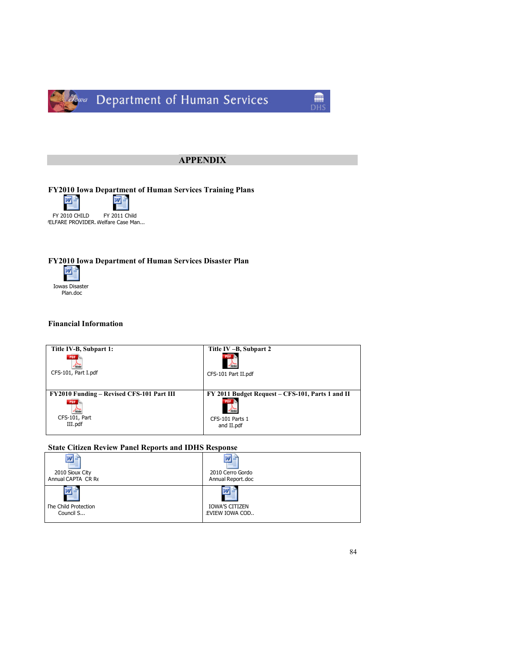

## APPENDIX

FY2010 Iowa Department of Human Services Training Plans



/ELFARE PROVIDER. Welfare Case Man...

# FY2010 Iowa Department of Human Services Disaster Plan<br> **EXECUTE:**



## Financial Information

| Title IV-B, Subpart 1:                           | Title IV-B, Subpart 2                            |
|--------------------------------------------------|--------------------------------------------------|
| PDF                                              | <b>Change</b>                                    |
| CFS-101, Part I.pdf                              | CFS-101 Part II.pdf                              |
| <b>FY2010 Funding – Revised CFS-101 Part III</b> | FY 2011 Budget Request – CFS-101, Parts 1 and II |
| PDF                                              | $J_{\text{Mole}}$                                |
| CFS-101, Part                                    | CFS-101 Parts 1                                  |
| III.pdf                                          | and II.pdf                                       |

## State Citizen Review Panel Reports and IDHS Response

| 2010 Sioux City      | 2010 Cerro Gordo      |
|----------------------|-----------------------|
| Annual CAPTA CR Re   | Annual Report.doc     |
| The Child Protection | <b>IOWA'S CITIZEN</b> |
| Council S            | EVIEW IOWA COD        |

mm<sup>a</sup> DH<sup>s</sup>